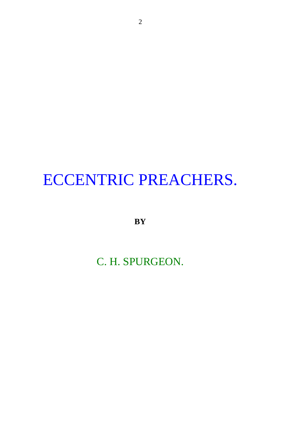## ECCENTRIC PREACHERS.

**BY**

C. H. SPURGEON.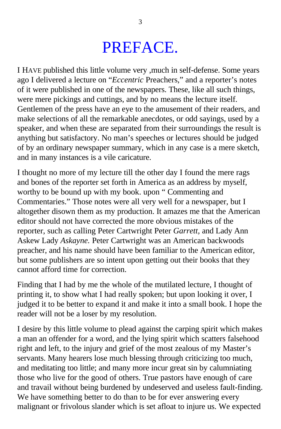### PREFACE.

I HAVE published this little volume very ,much in self-defense. Some years ago I delivered a lecture on "*Eccentric* Preachers," and a reporter's notes of it were published in one of the newspapers. These, like all such things, were mere pickings and cuttings, and by no means the lecture itself. Gentlemen of the press have an eye to the amusement of their readers, and make selections of all the remarkable anecdotes, or odd sayings, used by a speaker, and when these are separated from their surroundings the result is anything but satisfactory. No man's speeches or lectures should be judged of by an ordinary newspaper summary, which in any case is a mere sketch, and in many instances is a vile caricature.

I thought no more of my lecture till the other day I found the mere rags and bones of the reporter set forth in America as an address by myself, worthy to be bound up with my book. upon " Commenting and Commentaries." Those notes were all very well for a newspaper, but I altogether disown them as my production. It amazes me that the American editor should not have corrected the more obvious mistakes of the reporter, such as calling Peter Cartwright Peter *Garrett,* and Lady Ann Askew Lady *Askayne.* Peter Cartwright was an American backwoods preacher, and his name should have been familiar to the American editor, but some publishers are so intent upon getting out their books that they cannot afford time for correction.

Finding that I had by me the whole of the mutilated lecture, I thought of printing it, to show what I had really spoken; but upon looking it over, I judged it to be better to expand it and make it into a small book. I hope the reader will not be a loser by my resolution.

I desire by this little volume to plead against the carping spirit which makes a man an offender for a word, and the lying spirit which scatters falsehood right and left, to the injury and grief of the most zealous of my Master's servants. Many hearers lose much blessing through criticizing too much, and meditating too little; and many more incur great sin by calumniating those who live for the good of others. True pastors have enough of care and travail without being burdened by undeserved and useless fault-finding. We have something better to do than to be for ever answering every malignant or frivolous slander which is set afloat to injure us. We expected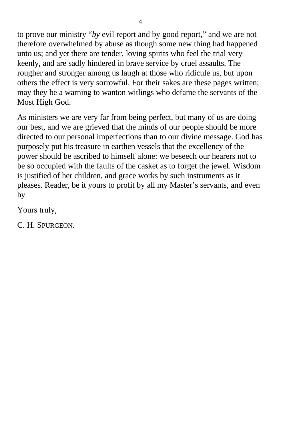to prove our ministry "*by* evil report and by good report," and we are not therefore overwhelmed by abuse as though some new thing had happened unto us; and yet there are tender, loving spirits who feel the trial very keenly, and are sadly hindered in brave service by cruel assaults. The rougher and stronger among us laugh at those who ridicule us, but upon others the effect is very sorrowful. For their sakes are these pages written; may they be a warning to wanton witlings who defame the servants of the Most High God.

As ministers we are very far from being perfect, but many of us are doing our best, and we are grieved that the minds of our people should be more directed to our personal imperfections than to our divine message. God has purposely put his treasure in earthen vessels that the excellency of the power should be ascribed to himself alone: we beseech our hearers not to be so occupied with the faults of the casket as to forget the jewel. Wisdom is justified of her children, and grace works by such instruments as it pleases. Reader, be it yours to profit by all my Master's servants, and even by

Yours truly,

C. H. SPURGEON.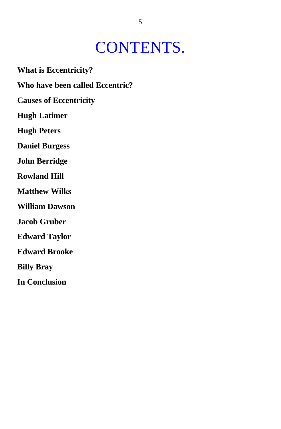## CONTENTS.

**What is Eccentricity?**

**Who have been called Eccentric?**

**Causes of Eccentricity**

**Hugh Latimer**

**Hugh Peters**

**Daniel Burgess**

**John Berridge**

**Rowland Hill**

**Matthew Wilks**

**William Dawson**

**Jacob Gruber**

**Edward Taylor**

**Edward Brooke**

**Billy Bray**

**In Conclusion**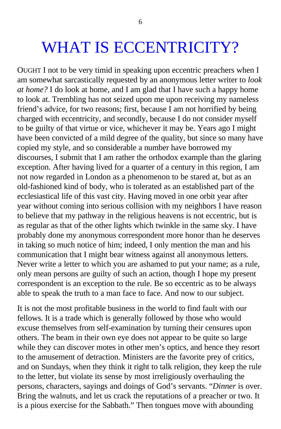## WHAT IS ECCENTRICITY?

OUGHT I not to be very timid in speaking upon eccentric preachers when I am somewhat sarcastically requested by an anonymous letter writer to *look at home?* I do look at home, and I am glad that I have such a happy home to look at. Trembling has not seized upon me upon receiving my nameless friend's advice, for two reasons; first, because I am not horrified by being charged with eccentricity, and secondly, because I do not consider myself to be guilty of that virtue or vice, whichever it may be. Years ago I might have been convicted of a mild degree of the quality, but since so many have copied my style, and so considerable a number have borrowed my discourses, I submit that I am rather the orthodox example than the glaring exception. After having lived for a quarter of a century in this region, I am not now regarded in London as a phenomenon to be stared at, but as an old-fashioned kind of body, who is tolerated as an established part of the ecclesiastical life of this vast city. Having moved in one orbit year after year without coming into serious collision with my neighbors I have reason to believe that my pathway in the religious heavens is not eccentric, but is as regular as that of the other lights which twinkle in the same sky. I have probably done my anonymous correspondent more honor than he deserves in taking so much notice of him; indeed, I only mention the man and his communication that I might bear witness against all anonymous letters. Never write a letter to which you are ashamed to put your name; as a rule, only mean persons are guilty of such an action, though I hope my present correspondent is an exception to the rule. Be so eccentric as to be always able to speak the truth to a man face to face. And now to our subject.

It is not the most profitable business in the world to find fault with our fellows. It is a trade which is generally followed by those who would excuse themselves from self-examination by turning their censures upon others. The beam in their own eye does not appear to be quite so large while they can discover motes in other men's optics, and hence they resort to the amusement of detraction. Ministers are the favorite prey of critics, and on Sundays, when they think it right to talk religion, they keep the rule to the letter, but violate its sense by most irreligiously overhauling the persons, characters, sayings and doings of God's servants. "*Dinner* is over. Bring the walnuts, and let us crack the reputations of a preacher or two. It is a pious exercise for the Sabbath." Then tongues move with abounding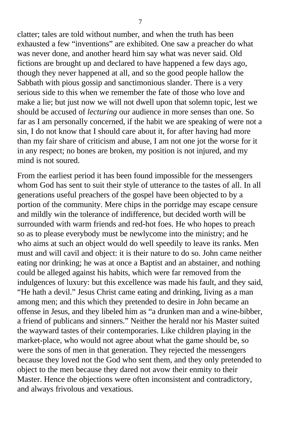clatter; tales are told without number, and when the truth has been exhausted a few "inventions" are exhibited. One saw a preacher do what was never done, and another heard him say what was never said. Old fictions are brought up and declared to have happened a few days ago, though they never happened at all, and so the good people hallow the Sabbath with pious gossip and sanctimonious slander. There is a very serious side to this when we remember the fate of those who love and make a lie; but just now we will not dwell upon that solemn topic, lest we should be accused of *lecturing* our audience in more senses than one. So far as I am personally concerned, if the habit we are speaking of were not a sin, I do not know that I should care about it, for after having had more than my fair share of criticism and abuse, I am not one jot the worse for it in any respect; no bones are broken, my position is not injured, and my mind is not soured.

From the earliest period it has been found impossible for the messengers whom God has sent to suit their style of utterance to the tastes of all. In all generations useful preachers of the gospel have been objected to by a portion of the community. Mere chips in the porridge may escape censure and mildly win the tolerance of indifference, but decided worth will be surrounded with warm friends and red-hot foes. He who hopes to preach so as to please everybody must be newlycome into the ministry; and he who aims at such an object would do well speedily to leave its ranks. Men must and will cavil and object: it is their nature to do so. John came neither eating nor drinking; he was at once a Baptist and an abstainer, and nothing could be alleged against his habits, which were far removed from the indulgences of luxury: but this excellence was made his fault, and they said, "He hath a devil." Jesus Christ came eating and drinking, living as a man among men; and this which they pretended to desire in John became an offense in Jesus, and they libeled him as "a drunken man and a wine-bibber, a friend of publicans and sinners." Neither the herald nor his Master suited the wayward tastes of their contemporaries. Like children playing in the market-place, who would not agree about what the game should be, so were the sons of men in that generation. They rejected the messengers because they loved not the God who sent them, and they only pretended to object to the men because they dared not avow their enmity to their Master. Hence the objections were often inconsistent and contradictory, and always frivolous and vexatious.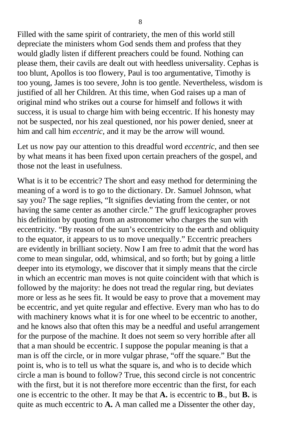Filled with the same spirit of contrariety, the men of this world still depreciate the ministers whom God sends them and profess that they would gladly listen if different preachers could be found. Nothing can please them, their cavils are dealt out with heedless universality. Cephas is too blunt, Apollos is too flowery, Paul is too argumentative, Timothy is too young, James is too severe, John is too gentle. Nevertheless, wisdom is justified of all her Children. At this time, when God raises up a man of original mind who strikes out a course for himself and follows it with success, it is usual to charge him with being eccentric. If his honesty may not be suspected, nor his zeal questioned, nor his power denied, sneer at him and call him *eccentric,* and it may be the arrow will wound.

Let us now pay our attention to this dreadful word *eccentric,* and then see by what means it has been fixed upon certain preachers of the gospel, and those not the least in usefulness.

What is it to be eccentric? The short and easy method for determining the meaning of a word is to go to the dictionary. Dr. Samuel Johnson, what say you? The sage replies, "It signifies deviating from the center, or not having the same center as another circle." The gruff lexicographer proves his definition by quoting from an astronomer who charges the sun with eccentricity. "By reason of the sun's eccentricity to the earth and obliquity to the equator, it appears to us to move unequally." Eccentric preachers are evidently in brilliant society. Now I am free to admit that the word has come to mean singular, odd, whimsical, and so forth; but by going a little deeper into its etymology, we discover that it simply means that the circle in which an eccentric man moves is not quite coincident with that which is followed by the majority: he does not tread the regular ring, but deviates more or less as he sees fit. It would be easy to prove that a movement may be eccentric, and yet quite regular and effective. Every man who has to do with machinery knows what it is for one wheel to be eccentric to another, and he knows also that often this may be a needful and useful arrangement for the purpose of the machine. It does not seem so very horrible after all that a man should be eccentric. I suppose the popular meaning is that a man is off the circle, or in more vulgar phrase, "off the square." But the point is, who is to tell us what the square is, and who is to decide which circle a man is bound to follow? True, this second circle is not concentric with the first, but it is not therefore more eccentric than the first, for each one is eccentric to the other. It may be that **A.** is eccentric to **B**., but **B.** is quite as much eccentric to **A.** A man called me a Dissenter the other day,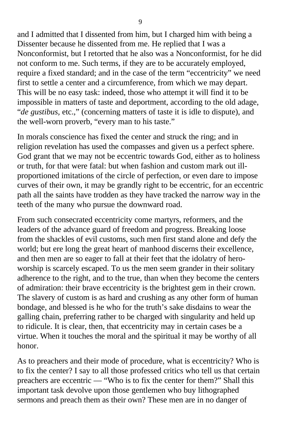and I admitted that I dissented from him, but I charged him with being a Dissenter because he dissented from me. He replied that I was a Nonconformist, but I retorted that he also was a Nonconformist, for he did not conform to me. Such terms, if they are to be accurately employed, require a fixed standard; and in the case of the term "eccentricity" we need first to settle a center and a circumference, from which we may depart. This will be no easy task: indeed, those who attempt it will find it to be impossible in matters of taste and deportment, according to the old adage, "*de gustibus,* etc.," (concerning matters of taste it is idle to dispute), and the well-worn proverb, "every man to his taste."

In morals conscience has fixed the center and struck the ring; and in religion revelation has used the compasses and given us a perfect sphere. God grant that we may not be eccentric towards God, either as to holiness or truth, for that were fatal: but when fashion and custom mark out illproportioned imitations of the circle of perfection, or even dare to impose curves of their own, it may be grandly right to be eccentric, for an eccentric path all the saints have trodden as they have tracked the narrow way in the teeth of the many who pursue the downward road.

From such consecrated eccentricity come martyrs, reformers, and the leaders of the advance guard of freedom and progress. Breaking loose from the shackles of evil customs, such men first stand alone and defy the world; but ere long the great heart of manhood discerns their excellence, and then men are so eager to fall at their feet that the idolatry of heroworship is scarcely escaped. To us the men seem grander in their solitary adherence to the right, and to the true, than when they become the centers of admiration: their brave eccentricity is the brightest gem in their crown. The slavery of custom is as hard and crushing as any other form of human bondage, and blessed is he who for the truth's sake disdains to wear the galling chain, preferring rather to be charged with singularity and held up to ridicule. It is clear, then, that eccentricity may in certain cases be a virtue. When it touches the moral and the spiritual it may be worthy of all honor.

As to preachers and their mode of procedure, what is eccentricity? Who is to fix the center? I say to all those professed critics who tell us that certain preachers are eccentric — "Who is to fix the center for them?" Shall this important task devolve upon those gentlemen who buy lithographed sermons and preach them as their own? These men are in no danger of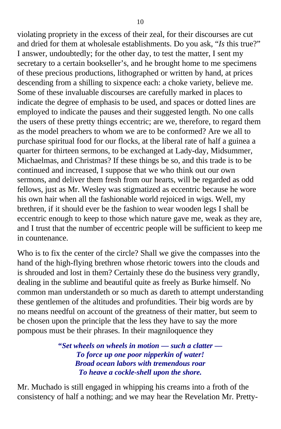violating propriety in the excess of their zeal, for their discourses are cut and dried for them at wholesale establishments. Do you ask, "*Is* this true?" I answer, undoubtedly; for the other day, to test the matter, I sent my secretary to a certain bookseller's, and he brought home to me specimens of these precious productions, lithographed or written by hand, at prices descending from a shilling to sixpence each: a choke variety, believe me. Some of these invaluable discourses are carefully marked in places to indicate the degree of emphasis to be used, and spaces or dotted lines are employed to indicate the pauses and their suggested length. No one calls the users of these pretty things eccentric; are we, therefore, to regard them as the model preachers to whom we are to be conformed? Are we all to purchase spiritual food for our flocks, at the liberal rate of half a guinea a quarter for thirteen sermons, to be exchanged at Lady-day, Midsummer, Michaelmas, and Christmas? If these things be so, and this trade is to be continued and increased, I suppose that we who think out our own sermons, and deliver them fresh from our hearts, will be regarded as odd fellows, just as Mr. Wesley was stigmatized as eccentric because he wore his own hair when all the fashionable world rejoiced in wigs. Well, my brethren, if it should ever be the fashion to wear wooden legs I shall be eccentric enough to keep to those which nature gave me, weak as they are, and I trust that the number of eccentric people will be sufficient to keep me in countenance.

Who is to fix the center of the circle? Shall we give the compasses into the hand of the high-flying brethren whose rhetoric towers into the clouds and is shrouded and lost in them? Certainly these do the business very grandly, dealing in the sublime and beautiful quite as freely as Burke himself. No common man understandeth or so much as dareth to attempt understanding these gentlemen of the altitudes and profundities. Their big words are by no means needful on account of the greatness of their matter, but seem to be chosen upon the principle that the less they have to say the more pompous must be their phrases. In their magniloquence they

> **"***Set wheels on wheels in motion — such a clatter — To force up one poor nipperkin of water! Broad ocean labors with tremendous roar To heave a cockle-shell upon the shore.*

Mr. Muchado is still engaged in whipping his creams into a froth of the consistency of half a nothing; and we may hear the Revelation Mr. Pretty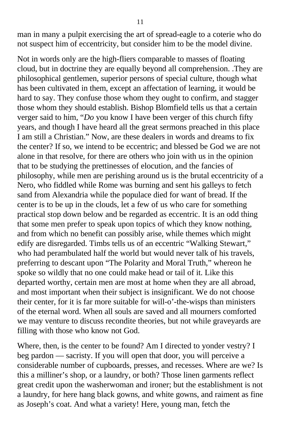man in many a pulpit exercising the art of spread-eagle to a coterie who do not suspect him of eccentricity, but consider him to be the model divine.

Not in words only are the high-fliers comparable to masses of floating cloud, but in doctrine they are equally beyond all comprehension. .They are philosophical gentlemen, superior persons of special culture, though what has been cultivated in them, except an affectation of learning, it would be hard to say. They confuse those whom they ought to confirm, and stagger those whom they should establish. Bishop Blomfield tells us that a certain verger said to him, "*Do* you know I have been verger of this church fifty years, and though I have heard all the great sermons preached in this place I am still a Christian." Now, are these dealers in words and dreams to fix the center? If so, we intend to be eccentric; and blessed be God we are not alone in that resolve, for there are others who join with us in the opinion that to be studying the prettinesses of elocution, and the fancies of philosophy, while men are perishing around us is the brutal eccentricity of a Nero, who fiddled while Rome was burning and sent his galleys to fetch sand from Alexandria while the populace died for want of bread. If the center is to be up in the clouds, let a few of us who care for something practical stop down below and be regarded as eccentric. It is an odd thing that some men prefer to speak upon topics of which they know nothing, and from which no benefit can possibly arise, while themes which might edify are disregarded. Timbs tells us of an eccentric "Walking Stewart," who had perambulated half the world but would never talk of his travels, preferring to descant upon "The Polarity and Moral Truth," whereon he spoke so wildly that no one could make head or tail of it. Like this departed worthy, certain men are most at home when they are all abroad, and most important when their subject is insignificant. We do not choose their center, for it is far more suitable for will-o'-the-wisps than ministers of the eternal word. When all souls are saved and all mourners comforted we may venture to discuss recondite theories, but not while graveyards are filling with those who know not God.

Where, then, is the center to be found? Am I directed to yonder vestry? I beg pardon — sacristy. If you will open that door, you will perceive a considerable number of cupboards, presses, and recesses. Where are we? Is this a milliner's shop, or a laundry, or both? Those linen garments reflect great credit upon the washerwoman and ironer; but the establishment is not a laundry, for here hang black gowns, and white gowns, and raiment as fine as Joseph's coat. And what a variety! Here, young man, fetch the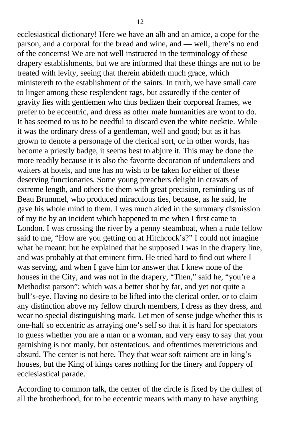ecclesiastical dictionary! Here we have an alb and an amice, a cope for the parson, and a corporal for the bread and wine, and — well, there's no end of the concerns! We are not well instructed in the terminology of these drapery establishments, but we are informed that these things are not to be treated with levity, seeing that therein abideth much grace, which ministereth to the establishment of the saints. In truth, we have small care to linger among these resplendent rags, but assuredly if the center of gravity lies with gentlemen who thus bedizen their corporeal frames, we prefer to be eccentric, and dress as other male humanities are wont to do. It has seemed to us to be needful to discard even the white necktie. While it was the ordinary dress of a gentleman, well and good; but as it has grown to denote a personage of the clerical sort, or in other words, has become a priestly badge, it seems best to abjure it. This may be done the more readily because it is also the favorite decoration of undertakers and waiters at hotels, and one has no wish to be taken for either of these deserving functionaries. Some young preachers delight in cravats of extreme length, and others tie them with great precision, reminding us of Beau Brummel, who produced miraculous ties, because, as he said, he gave his whole mind to them. I was much aided in the summary dismission of my tie by an incident which happened to me when I first came to London. I was crossing the river by a penny steamboat, when a rude fellow said to me, "How are you getting on at Hitchcock's?" I could not imagine what he meant; but he explained that he supposed I was in the drapery line, and was probably at that eminent firm. He tried hard to find out where I was serving, and when I gave him for answer that I knew none of the houses in the City, and was not in the drapery, "Then," said he, "you're a Methodist parson"; which was a better shot by far, and yet not quite a bull's-eye. Having no desire to be lifted into the clerical order, or to claim any distinction above my fellow church members, I dress as they dress, and wear no special distinguishing mark. Let men of sense judge whether this is one-half so eccentric as arraying one's self so that it is hard for spectators to guess whether you are a man or a woman, and very easy to say that your garnishing is not manly, but ostentatious, and oftentimes meretricious and absurd. The center is not here. They that wear soft raiment are in king's houses, but the King of kings cares nothing for the finery and foppery of ecclesiastical parade.

According to common talk, the center of the circle is fixed by the dullest of all the brotherhood, for to be eccentric means with many to have anything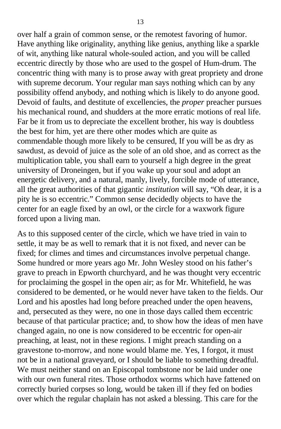over half a grain of common sense, or the remotest favoring of humor. Have anything like originality, anything like genius, anything like a sparkle of wit, anything like natural whole-souled action, and you will be called eccentric directly by those who are used to the gospel of Hum-drum. The concentric thing with many is to prose away with great propriety and drone with supreme decorum. Your regular man says nothing which can by any possibility offend anybody, and nothing which is likely to do anyone good. Devoid of faults, and destitute of excellencies, the *proper* preacher pursues his mechanical round, and shudders at the more erratic motions of real life. Far be it from us to depreciate the excellent brother, his way is doubtless the best for him, yet are there other modes which are quite as commendable though more likely to be censured, If you will be as dry as sawdust, as devoid of juice as the sole of an old shoe, and as correct as the multiplication table, you shall earn to yourself a high degree in the great university of Droneingen, but if you wake up your soul and adopt an energetic delivery, and a natural, manly, lively, forcible mode of utterance, all the great authorities of that gigantic *institution* will say, "Oh dear, it is a pity he is so eccentric." Common sense decidedly objects to have the center for an eagle fixed by an owl, or the circle for a waxwork figure forced upon a living man.

As to this supposed center of the circle, which we have tried in vain to settle, it may be as well to remark that it is not fixed, and never can be fixed; for climes and times and circumstances involve perpetual change. Some hundred or more years ago Mr. John Wesley stood on his father's grave to preach in Epworth churchyard, and he was thought very eccentric for proclaiming the gospel in the open air; as for Mr. Whitefield, he was considered to be demented, or he would never have taken to the fields. Our Lord and his apostles had long before preached under the open heavens, and, persecuted as they were, no one in those days called them eccentric because of that particular practice; and, to show how the ideas of men have changed again, no one is now considered to be eccentric for open-air preaching, at least, not in these regions. I might preach standing on a gravestone to-morrow, and none would blame me. Yes, I forgot, it must not be in a national graveyard, or I should be liable to something dreadful. We must neither stand on an Episcopal tombstone nor be laid under one with our own funeral rites. Those orthodox worms which have fattened on correctly buried corpses so long, would be taken ill if they fed on bodies over which the regular chaplain has not asked a blessing. This care for the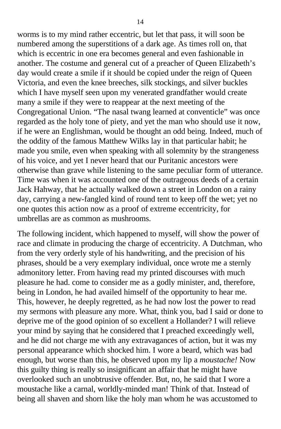worms is to my mind rather eccentric, but let that pass, it will soon be numbered among the superstitions of a dark age. As times roll on, that which is eccentric in one era becomes general and even fashionable in another. The costume and general cut of a preacher of Queen Elizabeth's day would create a smile if it should be copied under the reign of Queen Victoria, and even the knee breeches, silk stockings, and silver buckles which I have myself seen upon my venerated grandfather would create many a smile if they were to reappear at the next meeting of the Congregational Union. "The nasal twang learned at conventicle" was once regarded as the holy tone of piety, and yet the man who should use it now, if he were an Englishman, would be thought an odd being. Indeed, much of the oddity of the famous Matthew Wilks lay in that particular habit; he made you smile, even when speaking with all solemnity by the strangeness of his voice, and yet I never heard that our Puritanic ancestors were otherwise than grave while listening to the same peculiar form of utterance. Time was when it was accounted one of the outrageous deeds of a certain Jack Hahway, that he actually walked down a street in London on a rainy day, carrying a new-fangled kind of round tent to keep off the wet; yet no one quotes this action now as a proof of extreme eccentricity, for umbrellas are as common as mushrooms.

The following incident, which happened to myself, will show the power of race and climate in producing the charge of eccentricity. A Dutchman, who from the very orderly style of his handwriting, and the precision of his phrases, should be a very exemplary individual, once wrote me a sternly admonitory letter. From having read my printed discourses with much pleasure he had. come to consider me as a godly minister, and, therefore, being in London, he had availed himself of the opportunity to hear me. This, however, he deeply regretted, as he had now lost the power to read my sermons with pleasure any more. What, think you, bad I said or done to deprive me of the good opinion of so excellent a Hollander? I will relieve your mind by saying that he considered that I preached exceedingly well, and he did not charge me with any extravagances of action, but it was my personal appearance which shocked him. I wore a beard, which was bad enough, but worse than this, he observed upon my lip a *moustache!* Now this guilty thing is really so insignificant an affair that he might have overlooked such an unobtrusive offender. But, no, he said that I wore a moustache like a carnal, worldly-minded man! Think of that. Instead of being all shaven and shorn like the holy man whom he was accustomed to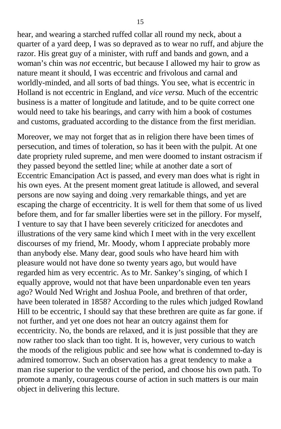hear, and wearing a starched ruffed collar all round my neck, about a quarter of a yard deep, I was so depraved as to wear no ruff, and abjure the razor. His great guy of a minister, with ruff and bands and gown, and a woman's chin was *not* eccentric, but because I allowed my hair to grow as nature meant it should, I was eccentric and frivolous and carnal and worldly-minded, and all sorts of bad things. You see, what is eccentric in Holland is not eccentric in England, and *vice versa.* Much of the eccentric business is a matter of longitude and latitude, and to be quite correct one would need to take his bearings, and carry with him a book of costumes and customs, graduated according to the distance from the first meridian.

Moreover, we may not forget that as in religion there have been times of persecution, and times of toleration, so has it been with the pulpit. At one date propriety ruled supreme, and men were doomed to instant ostracism if they passed beyond the settled line; while at another date a sort of Eccentric Emancipation Act is passed, and every man does what is right in his own eyes. At the present moment great latitude is allowed, and several persons are now saying and doing .very remarkable things, and yet are escaping the charge of eccentricity. It is well for them that some of us lived before them, and for far smaller liberties were set in the pillory. For myself, I venture to say that I have been severely criticized for anecdotes and illustrations of the very same kind which I meet with in the very excellent discourses of my friend, Mr. Moody, whom I appreciate probably more than anybody else. Many dear, good souls who have heard him with pleasure would not have done so twenty years ago, but would have regarded him as very eccentric. As to Mr. Sankey's singing, of which I equally approve, would not that have been unpardonable even ten years ago? Would Ned Wright and Joshua Poole, and brethren of that order, have been tolerated in 1858? According to the rules which judged Rowland Hill to be eccentric, I should say that these brethren are quite as far gone. if not further, and yet one does not hear an outcry against them for eccentricity. No, the bonds are relaxed, and it is just possible that they are now rather too slack than too tight. It is, however, very curious to watch the moods of the religious public and see how what is condemned to-day is admired tomorrow. Such an observation has a great tendency to make a man rise superior to the verdict of the period, and choose his own path. To promote a manly, courageous course of action in such matters is our main object in delivering this lecture.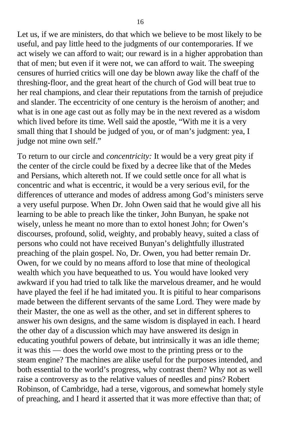Let us, if we are ministers, do that which we believe to be most likely to be useful, and pay little heed to the judgments of our contemporaries. If we act wisely we can afford to wait; our reward is in a higher approbation than that of men; but even if it were not, we can afford to wait. The sweeping censures of hurried critics will one day be blown away like the chaff of the threshing-floor, and the great heart of the church of God will beat true to her real champions, and clear their reputations from the tarnish of prejudice and slander. The eccentricity of one century is the heroism of another; and what is in one age cast out as folly may be in the next revered as a wisdom which lived before its time. Well said the apostle, "With me it is a very small thing that I should be judged of you, or of man's judgment: yea, I judge not mine own self."

To return to our circle and *concentricity:* It would be a very great pity if the center of the circle could be fixed by a decree like that of the Medes and Persians, which altereth not. If we could settle once for all what is concentric and what is eccentric, it would be a very serious evil, for the differences of utterance and modes of address among God's ministers serve a very useful purpose. When Dr. John Owen said that he would give all his learning to be able to preach like the tinker, John Bunyan, he spake not wisely, unless he meant no more than to extol honest John; for Owen's discourses, profound, solid, weighty, and probably heavy, suited a class of persons who could not have received Bunyan's delightfully illustrated preaching of the plain gospel. No, Dr. Owen, you had better remain Dr. Owen, for we could by no means afford to lose that mine of theological wealth which you have bequeathed to us. You would have looked very awkward if you had tried to talk like the marvelous dreamer, and he would have played the feel if he had imitated you. It is pitiful to hear comparisons made between the different servants of the same Lord. They were made by their Master, the one as well as the other, and set in different spheres to answer his own designs, and the same wisdom is displayed in each. I heard the other day of a discussion which may have answered its design in educating youthful powers of debate, but intrinsically it was an idle theme; it was this — does the world owe most to the printing press or to the steam engine? The machines are alike useful for the purposes intended, and both essential to the world's progress, why contrast them? Why not as well raise a controversy as to the relative values of needles and pins? Robert Robinson, of Cambridge, had a terse, vigorous, and somewhat homely style of preaching, and I heard it asserted that it was more effective than that; of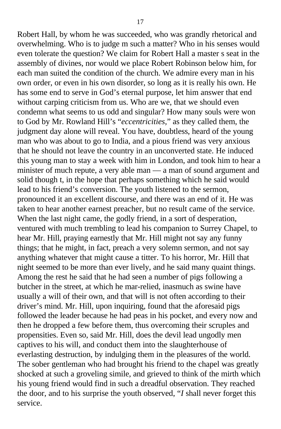Robert Hall, by whom he was succeeded, who was grandly rhetorical and overwhelming. Who is to judge m such a matter? Who in his senses would even tolerate the question? We claim for Robert Hall a master s seat in the assembly of divines, nor would we place Robert Robinson below him, for each man suited the condition of the church. We admire every man in his own order, or even in his own disorder, so long as it is really his own. He has some end to serve in God's eternal purpose, let him answer that end without carping criticism from us. Who are we, that we should even condemn what seems to us odd and singular? How many souls were won to God by Mr. Rowland Hill's "*eccentricities,*" as they called them, the judgment day alone will reveal. You have, doubtless, heard of the young man who was about to go to India, and a pious friend was very anxious that he should not leave the country in an unconverted state. He induced this young man to stay a week with him in London, and took him to hear a minister of much repute, a very able man — a man of sound argument and solid though t, in the hope that perhaps something which he said would lead to his friend's conversion. The youth listened to the sermon, pronounced it an excellent discourse, and there was an end of it. He was taken to hear another earnest preacher, but no result came of the service. When the last night came, the godly friend, in a sort of desperation, ventured with much trembling to lead his companion to Surrey Chapel, to hear Mr. Hill, praying earnestly that Mr. Hill might not say any funny things; that he might, in fact, preach a very solemn sermon, and not say anything whatever that might cause a titter. To his horror, Mr. Hill that night seemed to be more than ever lively, and he said many quaint things. Among the rest he said that he had seen a number of pigs following a butcher in the street, at which he mar-relied, inasmuch as swine have usually a will of their own, and that will is not often according to their driver's mind. Mr. Hill, upon inquiring, found that the aforesaid pigs followed the leader because he had peas in his pocket, and every now and then he dropped a few before them, thus overcoming their scruples and propensities. Even so, said Mr. Hill, does the devil lead ungodly men captives to his will, and conduct them into the slaughterhouse of everlasting destruction, by indulging them in the pleasures of the world. The sober gentleman who had brought his friend to the chapel was greatly shocked at such a groveling simile, and grieved to think of the mirth which his young friend would find in such a dreadful observation. They reached the door, and to his surprise the youth observed, "*I* shall never forget this service.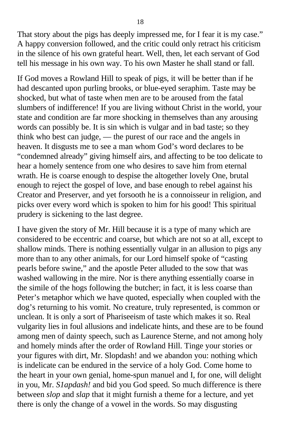That story about the pigs has deeply impressed me, for I fear it is my case." A happy conversion followed, and the critic could only retract his criticism in the silence of his own grateful heart. Well, then, let each servant of God tell his message in his own way. To his own Master he shall stand or fall.

If God moves a Rowland Hill to speak of pigs, it will be better than if he had descanted upon purling brooks, or blue-eyed seraphim. Taste may be shocked, but what of taste when men are to be aroused from the fatal slumbers of indifference! If you are living without Christ in the world, your state and condition are far more shocking in themselves than any arousing words can possibly be. It is sin which is vulgar and in bad taste; so they think who best can judge, — the purest of our race and the angels in heaven. It disgusts me to see a man whom God's word declares to be "condemned already" giving himself airs, and affecting to be too delicate to hear a homely sentence from one who desires to save him from eternal wrath. He is coarse enough to despise the altogether lovely One, brutal enough to reject the gospel of love, and base enough to rebel against his Creator and Preserver, and yet forsooth he is a connoisseur in religion, and picks over every word which is spoken to him for his good! This spiritual prudery is sickening to the last degree.

I have given the story of Mr. Hill because it is a type of many which are considered to be eccentric and coarse, but which are not so at all, except to shallow minds. There is nothing essentially vulgar in an allusion to pigs any more than to any other animals, for our Lord himself spoke of "casting pearls before swine," and the apostle Peter alluded to the sow that was washed wallowing in the mire. Nor is there anything essentially coarse in the simile of the hogs following the butcher; in fact, it is less coarse than Peter's metaphor which we have quoted, especially when coupled with the dog's returning to his vomit. No creature, truly represented, is common or unclean. It is only a sort of Phariseeism of taste which makes it so. Real vulgarity lies in foul allusions and indelicate hints, and these are to be found among men of dainty speech, such as Laurence Sterne, and not among holy and homely minds after the order of Rowland Hill. Tinge your stories or your figures with dirt, Mr. Slopdash! and we abandon you: nothing which is indelicate can be endured in the service of a holy God. Come home to the heart in your own genial, home-spun manuel and I, for one, will delight in you, Mr. *S1apdash!* and bid you God speed. So much difference is there between *slop* and *slap* that it might furnish a theme for a lecture, and yet there is only the change of a vowel in the words. So may disgusting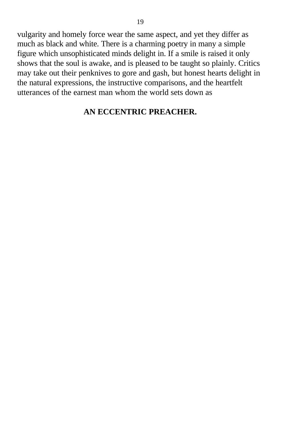vulgarity and homely force wear the same aspect, and yet they differ as much as black and white. There is a charming poetry in many a simple figure which unsophisticated minds delight in. If a smile is raised it only shows that the soul is awake, and is pleased to be taught so plainly. Critics may take out their penknives to gore and gash, but honest hearts delight in the natural expressions, the instructive comparisons, and the heartfelt utterances of the earnest man whom the world sets down as

#### **AN ECCENTRIC PREACHER.**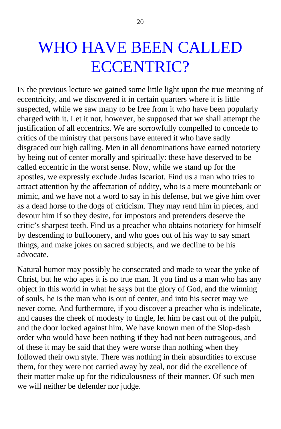# WHO HAVE BEEN CALLED ECCENTRIC?

IN the previous lecture we gained some little light upon the true meaning of eccentricity, and we discovered it in certain quarters where it is little suspected, while we saw many to be free from it who have been popularly charged with it. Let it not, however, be supposed that we shall attempt the justification of all eccentrics. We are sorrowfully compelled to concede to critics of the ministry that persons have entered it who have sadly disgraced our high calling. Men in all denominations have earned notoriety by being out of center morally and spiritually: these have deserved to be called eccentric in the worst sense. Now, while we stand up for the apostles, we expressly exclude Judas Iscariot. Find us a man who tries to attract attention by the affectation of oddity, who is a mere mountebank or mimic, and we have not a word to say in his defense, but we give him over as a dead horse to the dogs of criticism. They may rend him in pieces, and devour him if so they desire, for impostors and pretenders deserve the critic's sharpest teeth. Find us a preacher who obtains notoriety for himself by descending to buffoonery, and who goes out of his way to say smart things, and make jokes on sacred subjects, and we decline to be his advocate.

Natural humor may possibly be consecrated and made to wear the yoke of Christ, but he who apes it is no true man. If you find us a man who has any object in this world in what he says but the glory of God, and the winning of souls, he is the man who is out of center, and into his secret may we never come. And furthermore, if you discover a preacher who is indelicate, and causes the cheek of modesty to tingle, let him be cast out of the pulpit, and the door locked against him. We have known men of the Slop-dash order who would have been nothing if they had not been outrageous, and of these it may be said that they were worse than nothing when they followed their own style. There was nothing in their absurdities to excuse them, for they were not carried away by zeal, nor did the excellence of their matter make up for the ridiculousness of their manner. Of such men we will neither be defender nor judge.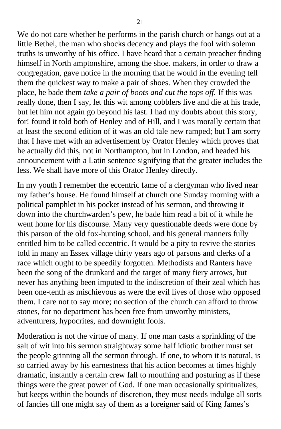We do not care whether he performs in the parish church or hangs out at a little Bethel, the man who shocks decency and plays the fool with solemn truths is unworthy of his office. I have heard that a certain preacher finding himself in North amptonshire, among the shoe. makers, in order to draw a congregation, gave notice in the morning that he would in the evening tell them the quickest way to make a pair of shoes. When they crowded the place, he bade them *take a pair of boots and cut the tops off.* If this was really done, then I say, let this wit among cobblers live and die at his trade, but let him not again go beyond his last. I had my doubts about this story, for! found it told both of Henley and of Hill, and I was morally certain that at least the second edition of it was an old tale new ramped; but I am sorry that I have met with an advertisement by Orator Henley which proves that he actually did this, not in Northampton, but in London, and headed his announcement with a Latin sentence signifying that the greater includes the less. We shall have more of this Orator Henley directly.

In my youth I remember the eccentric fame of a clergyman who lived near my father's house. He found himself at church one Sunday morning with a political pamphlet in his pocket instead of his sermon, and throwing it down into the churchwarden's pew, he bade him read a bit of it while he went home for his discourse. Many very questionable deeds were done by this parson of the old fox-hunting school, and his general manners fully entitled him to be called eccentric. It would be a pity to revive the stories told in many an Essex village thirty years ago of parsons and clerks of a race which ought to be speedily forgotten. Methodists and Ranters have been the song of the drunkard and the target of many fiery arrows, but never has anything been imputed to the indiscretion of their zeal which has been one-tenth as mischievous as were the evil lives of those who opposed them. I care not to say more; no section of the church can afford to throw stones, for no department has been free from unworthy ministers, adventurers, hypocrites, and downright fools.

Moderation is not the virtue of many. If one man casts a sprinkling of the salt of wit into his sermon straightway some half idiotic brother must set the people grinning all the sermon through. If one, to whom it is natural, is so carried away by his earnestness that his action becomes at times highly dramatic, instantly a certain crew fall to mouthing and posturing as if these things were the great power of God. If one man occasionally spiritualizes, but keeps within the bounds of discretion, they must needs indulge all sorts of fancies till one might say of them as a foreigner said of King James's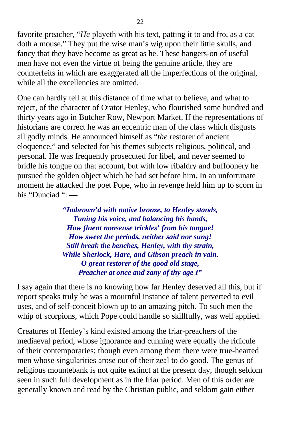favorite preacher, "*He* playeth with his text, patting it to and fro, as a cat doth a mouse." They put the wise man's wig upon their little skulls, and fancy that they have become as great as he. These hangers-on of useful men have not even the virtue of being the genuine article, they are counterfeits in which are exaggerated all the imperfections of the original, while all the excellencies are omitted.

One can hardly tell at this distance of time what to believe, and what to reject, of the character of Orator Henley, who flourished some hundred and thirty years ago in Butcher Row, Newport Market. If the representations of historians are correct he was an eccentric man of the class which disgusts all godly minds. He announced himself as "*the* restorer of ancient eloquence," and selected for his themes subjects religious, political, and personal. He was frequently prosecuted for libel, and never seemed to bridle his tongue on that account, but with low ribaldry and buffoonery he pursued the golden object which he had set before him. In an unfortunate moment he attacked the poet Pope, who in revenge held him up to scorn in his "Dunciad ": —

> **"***Imbrown***'***d with native bronze, to Henley stands, Tuning his voice, and balancing his hands, How fluent nonsense trickles***'** *from his tongue! How sweet the periods, neither said nor sung! Still break the benches, Henley, with thy strain, While Sherlock, Hare, and Gibson preach in vain. O great restorer of the good old stage, Preacher at once and zany of thy age I***"**

I say again that there is no knowing how far Henley deserved all this, but if report speaks truly he was a mournful instance of talent perverted to evil uses, and of self-conceit blown up to an amazing pitch. To such men the whip of scorpions, which Pope could handle so skillfully, was well applied.

Creatures of Henley's kind existed among the friar-preachers of the mediaeval period, whose ignorance and cunning were equally the ridicule of their contemporaries; though even among them there were true-hearted men whose singularities arose out of their zeal to do good. The genus of religious mountebank is not quite extinct at the present day, though seldom seen in such full development as in the friar period. Men of this order are generally known and read by the Christian public, and seldom gain either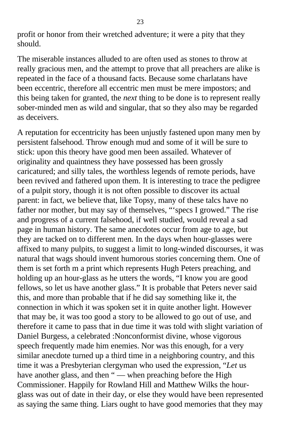profit or honor from their wretched adventure; it were a pity that they should.

The miserable instances alluded to are often used as stones to throw at really gracious men, and the attempt to prove that all preachers are alike is repeated in the face of a thousand facts. Because some charlatans have been eccentric, therefore all eccentric men must be mere impostors; and this being taken for granted, the *next* thing to be done is to represent really sober-minded men as wild and singular, that so they also may be regarded as deceivers.

A reputation for eccentricity has been unjustly fastened upon many men by persistent falsehood. Throw enough mud and some of it will be sure to stick: upon this theory have good men been assailed. Whatever of originality and quaintness they have possessed has been grossly caricatured; and silly tales, the worthless legends of remote periods, have been revived and fathered upon them. It is interesting to trace the pedigree of a pulpit story, though it is not often possible to discover its actual parent: in fact, we believe that, like Topsy, many of these talcs have no father nor mother, but may say of themselves, "'specs I growed." The rise and progress of a current falsehood, if well studied, would reveal a sad page in human history. The same anecdotes occur from age to age, but they are tacked on to different men. In the days when hour-glasses were affixed to many pulpits, to suggest a limit to long-winded discourses, it was natural that wags should invent humorous stories concerning them. One of them is set forth m a print which represents Hugh Peters preaching, and holding up an hour-glass as he utters the words, "I know you are good fellows, so let us have another glass." It is probable that Peters never said this, and more than probable that if he did say something like it, the connection in which it was spoken set it in quite another light. However that may be, it was too good a story to be allowed to go out of use, and therefore it came to pass that in due time it was told with slight variation of Daniel Burgess, a celebrated :Nonconformist divine, whose vigorous speech frequently made him enemies. Nor was this enough, for a very similar anecdote turned up a third time in a neighboring country, and this time it was a Presbyterian clergyman who used the expression, "*Let* us have another glass, and then " — when preaching before the High Commissioner. Happily for Rowland Hill and Matthew Wilks the hourglass was out of date in their day, or else they would have been represented as saying the same thing. Liars ought to have good memories that they may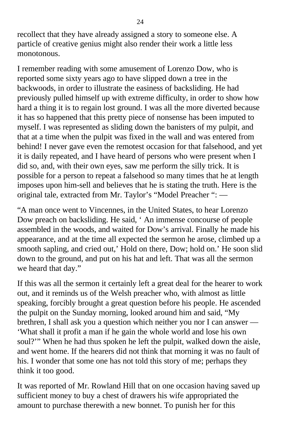recollect that they have already assigned a story to someone else. A particle of creative genius might also render their work a little less monotonous.

I remember reading with some amusement of Lorenzo Dow, who is reported some sixty years ago to have slipped down a tree in the backwoods, in order to illustrate the easiness of backsliding. He had previously pulled himself up with extreme difficulty, in order to show how hard a thing it is to regain lost ground. I was all the more diverted because it has so happened that this pretty piece of nonsense has been imputed to myself. I was represented as sliding down the banisters of my pulpit, and that at a time when the pulpit was fixed in the wall and was entered from behind! I never gave even the remotest occasion for that falsehood, and yet it is daily repeated, and I have heard of persons who were present when I did so, and, with their own eyes, saw me perform the silly trick. It is possible for a person to repeat a falsehood so many times that he at length imposes upon him-sell and believes that he is stating the truth. Here is the original tale, extracted from Mr. Taylor's "Model Preacher ": —

"A man once went to Vincennes, in the United States, to hear Lorenzo Dow preach on backsliding. He said, ' An immense concourse of people assembled in the woods, and waited for Dow's arrival. Finally he made his appearance, and at the time all expected the sermon he arose, climbed up a smooth sapling, and cried out,' Hold on there, Dow; hold on.' He soon slid down to the ground, and put on his hat and left. That was all the sermon we heard that day."

If this was all the sermon it certainly left a great deal for the hearer to work out, and it reminds us of the Welsh preacher who, with almost as little speaking, forcibly brought a great question before his people. He ascended the pulpit on the Sunday morning, looked around him and said, "My brethren, I shall ask you a question which neither you nor I can answer — 'What shall it profit a man if he gain the whole world and lose his own soul?'" When he had thus spoken he left the pulpit, walked down the aisle, and went home. If the hearers did not think that morning it was no fault of his. I wonder that some one has not told this story of me; perhaps they think it too good.

It was reported of Mr. Rowland Hill that on one occasion having saved up sufficient money to buy a chest of drawers his wife appropriated the amount to purchase therewith a new bonnet. To punish her for this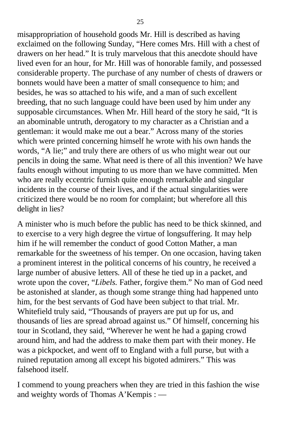misappropriation of household goods Mr. Hill is described as having exclaimed on the following Sunday, "Here comes Mrs. Hill with a chest of drawers on her head." It is truly marvelous that this anecdote should have lived even for an hour, for Mr. Hill was of honorable family, and possessed considerable property. The purchase of any number of chests of drawers or bonnets would have been a matter of small consequence to him; and besides, he was so attached to his wife, and a man of such excellent breeding, that no such language could have been used by him under any supposable circumstances. When Mr. Hill heard of the story he said, "It is an abominable untruth, derogatory to my character as a Christian and a gentleman: it would make me out a bear." Across many of the stories which were printed concerning himself he wrote with his own hands the words, "A lie;" and truly there are others of us who might wear out our pencils in doing the same. What need is there of all this invention? We have faults enough without imputing to us more than we have committed. Men who are really eccentric furnish quite enough remarkable and singular incidents in the course of their lives, and if the actual singularities were criticized there would be no room for complaint; but wherefore all this delight in lies?

A minister who is much before the public has need to be thick skinned, and to exercise to a very high degree the virtue of longsuffering. It may help him if he will remember the conduct of good Cotton Mather, a man remarkable for the sweetness of his temper. On one occasion, having taken a prominent interest in the political concerns of his country, he received a large number of abusive letters. All of these he tied up in a packet, and wrote upon the cover, "*Libels.* Father, forgive them." No man of God need be astonished at slander, as though some strange thing had happened unto him, for the best servants of God have been subject to that trial. Mr. Whitefield truly said, "Thousands of prayers are put up for us, and thousands of lies are spread abroad against us." Of himself, concerning his tour in Scotland, they said, "Wherever he went he had a gaping crowd around him, and had the address to make them part with their money. He was a pickpocket, and went off to England with a full purse, but with a ruined reputation among all except his bigoted admirers." This was falsehood itself.

I commend to young preachers when they are tried in this fashion the wise and weighty words of Thomas A'Kempis : —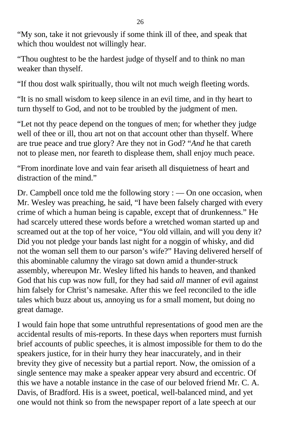"My son, take it not grievously if some think ill of thee, and speak that which thou wouldest not willingly hear.

"Thou oughtest to be the hardest judge of thyself and to think no man weaker than thyself.

"If thou dost walk spiritually, thou wilt not much weigh fleeting words.

"It is no small wisdom to keep silence in an evil time, and in thy heart to turn thyself to God, and not to be troubled by the judgment of men.

"Let not thy peace depend on the tongues of men; for whether they judge well of thee or ill, thou art not on that account other than thyself. Where are true peace and true glory? Are they not in God? "*And* he that careth not to please men, nor feareth to displease them, shall enjoy much peace.

"From inordinate love and vain fear ariseth all disquietness of heart and distraction of the mind."

Dr. Campbell once told me the following story  $:$   $\sim$  On one occasion, when Mr. Wesley was preaching, he said, "I have been falsely charged with every crime of which a human being is capable, except that of drunkenness." He had scarcely uttered these words before a wretched woman started up and screamed out at the top of her voice, "*You* old villain, and will you deny it? Did you not pledge your bands last night for a noggin of whisky, and did not the woman sell them to our parson's wife?" Having delivered herself of this abominable calumny the virago sat down amid a thunder-struck assembly, whereupon Mr. Wesley lifted his hands to heaven, and thanked God that his cup was now full, for they had said *all* manner of evil against him falsely for Christ's namesake. After this we feel reconciled to the idle tales which buzz about us, annoying us for a small moment, but doing no great damage.

I would fain hope that some untruthful representations of good men are the accidental results of mis-reports. In these days when reporters must furnish brief accounts of public speeches, it is almost impossible for them to do the speakers justice, for in their hurry they hear inaccurately, and in their brevity they give of necessity but a partial report. Now, the omission of a single sentence may make a speaker appear very absurd and eccentric. Of this we have a notable instance in the case of our beloved friend Mr. C. A. Davis, of Bradford. His is a sweet, poetical, well-balanced mind, and yet one would not think so from the newspaper report of a late speech at our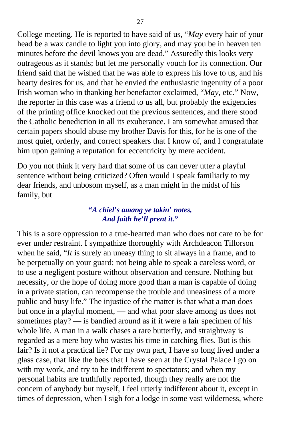College meeting. He is reported to have said of us, "*May* every hair of your head be a wax candle to light you into glory, and may you be in heaven ten minutes before the devil knows you are dead." Assuredly this looks very outrageous as it stands; but let me personally vouch for its connection. Our friend said that he wished that he was able to express his love to us, and his hearty desires for us, and that he envied the enthusiastic ingenuity of a poor Irish woman who in thanking her benefactor exclaimed, "*May,* etc." Now, the reporter in this case was a friend to us all, but probably the exigencies of the printing office knocked out the previous sentences, and there stood the Catholic benediction in all its exuberance. I am somewhat amused that certain papers should abuse my brother Davis for this, for he is one of the most quiet, orderly, and correct speakers that I know of, and I congratulate him upon gaining a reputation for eccentricity by mere accident.

Do you not think it very hard that some of us can never utter a playful sentence without being criticized? Often would I speak familiarly to my dear friends, and unbosom myself, as a man might in the midst of his family, but

#### **"***A chiel***'***s amang ye takin***'** *notes, And faith he***'***ll prent it.***"**

This is a sore oppression to a true-hearted man who does not care to be for ever under restraint. I sympathize thoroughly with Archdeacon Tillorson when he said, "*It* is surely an uneasy thing to sit always in a frame, and to be perpetually on your guard; not being able to speak a careless word, or to use a negligent posture without observation and censure. Nothing but necessity, or the hope of doing more good than a man is capable of doing in a private station, can recompense the trouble and uneasiness of a more public and busy life." The injustice of the matter is that what a man does but once in a playful moment, — and what poor slave among us does not sometimes play? — is bandied around as if it were a fair specimen of his whole life. A man in a walk chases a rare butterfly, and straightway is regarded as a mere boy who wastes his time in catching flies. But is this fair? Is it not a practical lie? For my own part, I have so long lived under a glass case, that like the bees that I have seen at the Crystal Palace I go on with my work, and try to be indifferent to spectators; and when my personal habits are truthfully reported, though they really are not the concern of anybody but myself, I feel utterly indifferent about it, except in times of depression, when I sigh for a lodge in some vast wilderness, where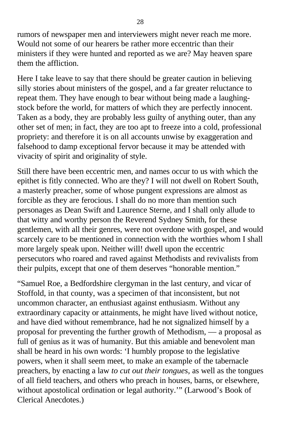rumors of newspaper men and interviewers might never reach me more. Would not some of our hearers be rather more eccentric than their ministers if they were hunted and reported as we are? May heaven spare them the affliction.

Here I take leave to say that there should be greater caution in believing silly stories about ministers of the gospel, and a far greater reluctance to repeat them. They have enough to bear without being made a laughingstock before the world, for matters of which they are perfectly innocent. Taken as a body, they are probably less guilty of anything outer*,* than any other set of men; in fact, they are too apt to freeze into a cold, professional propriety: and therefore it is on all accounts unwise by exaggeration and falsehood to damp exceptional fervor because it may be attended with vivacity of spirit and originality of style.

Still there have been eccentric men, and names occur to us with which the epithet is fitly connected. Who are they? I will not dwell on Robert South, a masterly preacher, some of whose pungent expressions are almost as forcible as they are ferocious. I shall do no more than mention such personages as Dean Swift and Laurence Sterne, and I shall only allude to that witty and worthy person the Reverend Sydney Smith, for these gentlemen, with all their genres, were not overdone with gospel, and would scarcely care to be mentioned in connection with the worthies whom I shall more largely speak upon. Neither will! dwell upon the eccentric persecutors who roared and raved against Methodists and revivalists from their pulpits, except that one of them deserves "honorable mention."

"Samuel Roe, a Bedfordshire clergyman in the last century, and vicar of Stoffold, in that county, was a specimen of that inconsistent, but not uncommon character, an enthusiast against enthusiasm. Without any extraordinary capacity or attainments, he might have lived without notice, and have died without remembrance, had he not signalized himself by a proposal for preventing the further growth of Methodism, — a proposal as full of genius as it was of humanity. But this amiable and benevolent man shall be heard in his own words: 'I humbly propose to the legislative powers, when it shall seem meet, to make an example of the tabernacle preachers, by enacting a law *to cut out their tongues,* as well as the tongues of all field teachers, and others who preach in houses, barns, or elsewhere, without apostolical ordination or legal authority.'" (Larwood's Book of Clerical Anecdotes.)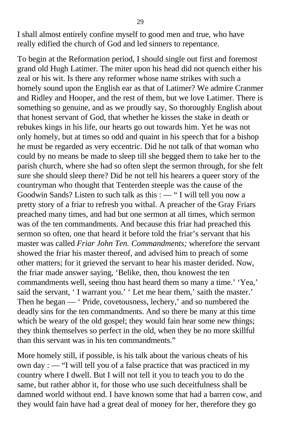I shall almost entirely confine myself to good men and true, who have really edified the church of God and led sinners to repentance.

To begin at the Reformation period, I should single out first and foremost grand old Hugh Latimer. The miter upon his head did not quench either his zeal or his wit. Is there any reformer whose name strikes with such a homely sound upon the English ear as that of Latimer? We admire Cranmer and Ridley and Hooper, and the rest of them, but we love Latimer. There is something so genuine, and as we proudly say, So thoroughly English about that honest servant of God, that whether he kisses the stake in death or rebukes kings in his life, our hearts go out towards him. Yet he was not only homely, but at times so odd and quaint in his speech that for a bishop he must be regarded as very eccentric. Did he not talk of that woman who could by no means be made to sleep till she begged them to take her to the parish church, where she had so often slept the sermon through, for she felt sure she should sleep there? Did he not tell his hearers a queer story of the countryman who thought that Tenterden steeple was the cause of the Goodwin Sands? Listen to such talk as this : — " I will tell you now a pretty story of a friar to refresh you withal. A preacher of the Gray Friars preached many times, and had but one sermon at all times, which sermon was of the ten commandments. And because this friar had preached this sermon so often, one that heard it before told the friar's servant that his master was called *Friar John Ten. Commandments;* wherefore the servant showed the friar his master thereof, and advised him to preach of some other matters; for it grieved the servant to hear his master derided. Now, the friar made answer saying, 'Belike, then, thou knowest the ten commandments well, seeing thou hast heard them so many a time.' 'Yea,' said the servant, 'I warrant you.' 'Let me hear them,' saith the master.' Then he began — ' Pride, covetousness, lechery,' and so numbered the deadly sins for the ten commandments. And so there be many at this time which be weary of the old gospel; they would fain hear some new things; they think themselves so perfect in the old, when they be no more skillful than this servant was in his ten commandments."

More homely still, if possible, is his talk about the various cheats of his own day : — "I will tell you of a false practice that was practiced in my country where I dwell. But I will not tell it you to teach you to do the same, but rather abhor it, for those who use such deceitfulness shall be damned world without end. I have known some that had a barren cow, and they would fain have had a great deal of money for her, therefore they go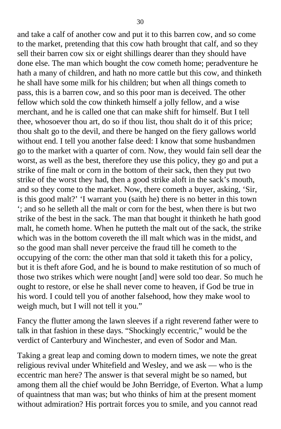and take a calf of another cow and put it to this barren cow, and so come to the market, pretending that this cow hath brought that calf, and so they sell their barren cow six or eight shillings dearer than they should have done else. The man which bought the cow cometh home; peradventure he hath a many of children, and hath no more cattle but this cow, and thinketh he shall have some milk for his children; but when all things cometh to pass, this is a barren cow, and so this poor man is deceived. The other fellow which sold the cow thinketh himself a jolly fellow, and a wise merchant, and he is called one that can make shift for himself. But I tell thee, whosoever thou art, do so if thou list, thou shalt do it of this price; thou shalt go to the devil, and there be hanged on the fiery gallows world without end. I tell you another false deed: I know that some husbandmen go to the market with a quarter of corn. Now, they would fain sell dear the worst, as well as the best, therefore they use this policy, they go and put a strike of fine malt or corn in the bottom of their sack, then they put two strike of the worst they had, then a good strike aloft in the sack's mouth, and so they come to the market. Now, there cometh a buyer, asking, 'Sir, is this good malt?' 'I warrant you (saith he) there is no better in this town '; and so he selleth all the malt or corn for the best, when there is but two strike of the best in the sack. The man that bought it thinketh he hath good malt, he cometh home. When he putteth the malt out of the sack, the strike which was in the bottom covereth the ill malt which was in the midst, and so the good man shall never perceive the fraud till he cometh to the occupying of the corn: the other man that sold it taketh this for a policy, but it is theft afore God, and he is bound to make restitution of so much of those two strikes which were nought [and] were sold too dear. So much he ought to restore, or else he shall never come to heaven, if God be true in his word. I could tell you of another falsehood, how they make wool to weigh much, but I will not tell it you."

Fancy the flutter among the lawn sleeves if a right reverend father were to talk in that fashion in these days. "Shockingly eccentric," would be the verdict of Canterbury and Winchester, and even of Sodor and Man.

Taking a great leap and coming down to modern times, we note the great religious revival under Whitefield and Wesley, and we ask — who is the eccentric man here? The answer is that several might be so named, but among them all the chief would be John Berridge, of Everton. What a lump of quaintness that man was; but who thinks of him at the present moment without admiration? His portrait forces you to smile, and you cannot read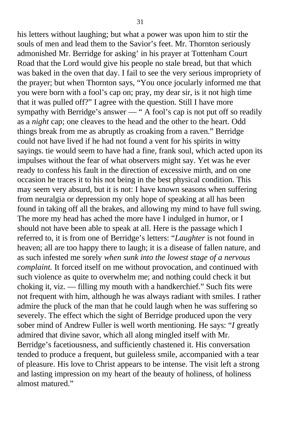his letters without laughing; but what a power was upon him to stir the souls of men and lead them to the Savior's feet. Mr. Thornton seriously admonished Mr. Berridge for asking' in his prayer at Tottenham Court Road that the Lord would give his people no stale bread, but that which was baked in the oven that day. I fail to see the very serious impropriety of the prayer; but when Thornton says, "You once jocularly informed me that you were born with a fool's cap on; pray, my dear sir, is it not high time that it was pulled off?" I agree with the question. Still I have more sympathy with Berridge's answer — " A fool's cap is not put off so readily as a *night* cap; one cleaves to the head and the other to the heart. Odd things break from me as abruptly as croaking from a raven." Berridge could not have lived if he had not found a vent for his spirits in witty sayings. tie would seem to have had a fine, frank soul, which acted upon its impulses without the fear of what observers might say. Yet was he ever ready to confess his fault in the direction of excessive mirth, and on one occasion he traces it to his not being in the best physical condition. This may seem very absurd, but it is not: I have known seasons when suffering from neuralgia or depression my only hope of speaking at all has been found in taking off all the brakes, and allowing my mind to have full swing. The more my head has ached the more have I indulged in humor, or I should not have been able to speak at all. Here is the passage which I referred to, it is from one of Berridge's letters: "*Laughter* is not found in heaven; all are too happy there to laugh; it is a disease of fallen nature, and as such infested me sorely *when sunk into the lowest stage of a nervous complaint.* It forced itself on me without provocation, and continued with such violence as quite to overwhelm me; and nothing could check it but choking it, viz. — filling my mouth with a handkerchief." Such fits were not frequent with him, although he was always radiant with smiles. I rather admire the pluck of the man that he could laugh when he was suffering so severely. The effect which the sight of Berridge produced upon the very sober mind of Andrew Fuller is well worth mentioning. He says: "*I* greatly admired that divine savor, which all along mingled itself with Mr. Berridge's facetiousness, and sufficiently chastened it. His conversation tended to produce a frequent, but guileless smile, accompanied with a tear of pleasure. His love to Christ appears to be intense. The visit left a strong and lasting impression on my heart of the beauty of holiness, of holiness almost matured."

31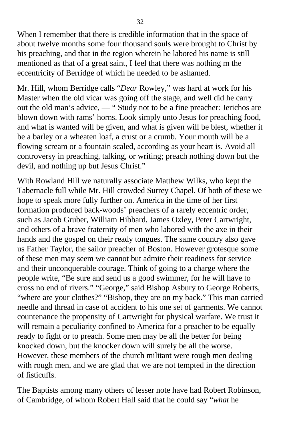When I remember that there is credible information that in the space of about twelve months some four thousand souls were brought to Christ by his preaching, and that in the region wherein he labored his name is still mentioned as that of a great saint, I feel that there was nothing m the eccentricity of Berridge of which he needed to be ashamed.

Mr. Hill, whom Berridge calls "*Dear* Rowley," was hard at work for his Master when the old vicar was going off the stage, and well did he carry out the old man's advice, — " Study not to be a fine preacher: Jerichos are blown down with rams' horns. Look simply unto Jesus for preaching food, and what is wanted will be given, and what is given will be blest, whether it be a barley or a wheaten loaf, a crust or a crumb. Your mouth will be a flowing scream or a fountain scaled, according as your heart is. Avoid all controversy in preaching, talking, or writing; preach nothing down but the devil, and nothing up but Jesus Christ."

With Rowland Hill we naturally associate Matthew Wilks, who kept the Tabernacle full while Mr. Hill crowded Surrey Chapel. Of both of these we hope to speak more fully further on. America in the time of her first formation produced back-woods' preachers of a rarely eccentric order, such as Jacob Gruber, William Hibbard, James Oxley, Peter Cartwright, and others of a brave fraternity of men who labored with the axe in their hands and the gospel on their ready tongues. The same country also gave us Father Taylor, the sailor preacher of Boston. However grotesque some of these men may seem we cannot but admire their readiness for service and their unconquerable courage. Think of going to a charge where the people write, "Be sure and send us a good swimmer, for he will have to cross no end of rivers." "George," said Bishop Asbury to George Roberts, "where are your clothes?" "Bishop, they are on my back." This man carried needle and thread in case of accident to his one set of garments. We cannot countenance the propensity of Cartwright for physical warfare. We trust it will remain a peculiarity confined to America for a preacher to be equally ready to fight or to preach. Some men may be all the better for being knocked down, but the knocker down will surely be all the worse. However, these members of the church militant were rough men dealing with rough men, and we are glad that we are not tempted in the direction of fisticuffs.

The Baptists among many others of lesser note have had Robert Robinson, of Cambridge, of whom Robert Hall said that he could say "*what* he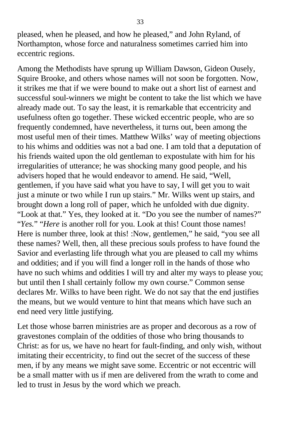pleased, when he pleased, and how he pleased," and John Ryland, of Northampton, whose force and naturalness sometimes carried him into eccentric regions.

Among the Methodists have sprung up William Dawson, Gideon Ousely, Squire Brooke, and others whose names will not soon be forgotten. Now, it strikes me that if we were bound to make out a short list of earnest and successful soul-winners we might be content to take the list which we have already made out. To say the least, it is remarkable that eccentricity and usefulness often go together. These wicked eccentric people, who are so frequently condemned, have nevertheless, it turns out, been among the most useful men of their times. Matthew Wilks' way of meeting objections to his whims and oddities was not a bad one. I am told that a deputation of his friends waited upon the old gentleman to expostulate with him for his irregularities of utterance; he was shocking many good people, and his advisers hoped that he would endeavor to amend. He said, "Well, gentlemen, if you have said what you have to say, I will get you to wait just a minute or two while I run up stairs." Mr. Wilks went up stairs, and brought down a long roll of paper, which he unfolded with due dignity. "Look at that." Yes, they looked at it. "Do you see the number of names?" "*Yes.*" "*Here* is another roll for you. Look at this! Count those names! Here is number three, look at this! :Now, gentlemen," he said, "you see all these names? Well, then, all these precious souls profess to have found the Savior and everlasting life through what you are pleased to call my whims and oddities; and if you will find a longer roll in the hands of those who have no such whims and oddities I will try and alter my ways to please you; but until then I shall certainly follow my own course." Common sense declares Mr. Wilks to have been right. We do not say that the end justifies the means, but we would venture to hint that means which have such an end need very little justifying.

Let those whose barren ministries are as proper and decorous as a row of gravestones complain of the oddities of those who bring thousands to Christ: as for us, we have no heart for fault-finding, and only wish, without imitating their eccentricity, to find out the secret of the success of these men, if by any means we might save some. Eccentric or not eccentric will be a small matter with us if men are delivered from the wrath to come and led to trust in Jesus by the word which we preach.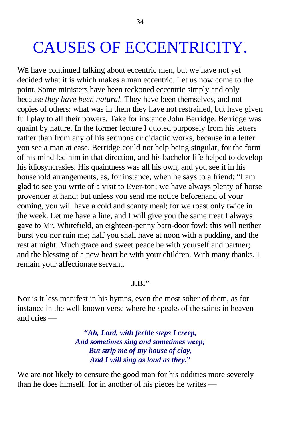# CAUSES OF ECCENTRICITY.

WE have continued talking about eccentric men, but we have not yet decided what it is which makes a man eccentric. Let us now come to the point. Some ministers have been reckoned eccentric simply and only because *they have been natural.* They have been themselves, and not copies of others: what was in them they have not restrained, but have given full play to all their powers. Take for instance John Berridge. Berridge was quaint by nature. In the former lecture I quoted purposely from his letters rather than from any of his sermons or didactic works, because in a letter you see a man at ease. Berridge could not help being singular, for the form of his mind led him in that direction, and his bachelor life helped to develop his idiosyncrasies. His quaintness was all his own, and you see it in his household arrangements, as, for instance, when he says to a friend: "I am glad to see you write of a visit to Ever-ton; we have always plenty of horse provender at hand; but unless you send me notice beforehand of your coming, you will have a cold and scanty meal; for we roast only twice in the week. Let me have a line, and I will give you the same treat I always gave to Mr. Whitefield, an eighteen-penny barn-door fowl; this will neither burst you nor ruin me; half you shall have at noon with a pudding, and the rest at night. Much grace and sweet peace be with yourself and partner; and the blessing of a new heart be with your children. With many thanks, I remain your affectionate servant,

#### **J.B."**

Nor is it less manifest in his hymns, even the most sober of them, as for instance in the well-known verse where he speaks of the saints in heaven and cries —

> **"***Ah, Lord, with feeble steps I creep, And sometimes sing and sometimes weep; But strip me of my house of clay, And I will sing as loud as they.***"**

We are not likely to censure the good man for his oddities more severely than he does himself, for in another of his pieces he writes —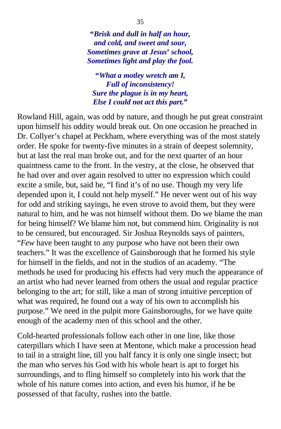**"***Brisk and dull in half an hour, and cold, and sweet and sour, Sometimes grave at Jesus***'** *school, Sometimes light and play the fool.*

**"***What a motley wretch am I, Full of inconsistency! Sure the plague is in my heart, Else I could not act this part.***"**

Rowland Hill, again, was odd by nature, and though he put great constraint upon himself his oddity would break out. On one occasion he preached in Dr. Collyer's chapel at Peckham, where everything was of the most stately order. He spoke for twenty-five minutes in a strain of deepest solemnity, but at last the real man broke out, and for the next quarter of an hour quaintness came to the front. In the vestry, at the close, he observed that he had over and over again resolved to utter no expression which could excite a smile, but, said he, "I find it's of no use. Though my very life depended upon it, I could not help myself." He never went out of his way for odd and striking sayings, he even strove to avoid them, but they were natural to him, and he was not himself without them. Do we blame the man for being himself? We blame him not, but commend him. Originality is not to be censured, but encouraged. Sir Joshua Reynolds says of painters, "*Few* have been taught to any purpose who have not been their own teachers." It was the excellence of Gainsborough that he formed his style for himself in the fields, and not in the studios of an academy. "The methods he used for producing his effects had very much the appearance of an artist who had never learned from others the usual and regular practice belonging to the art; for still, like a man of strong intuitive perception of what was required, he found out a way of his own to accomplish his purpose." We need in the pulpit more Gainsboroughs, for we have quite enough of the academy men of this school and the other.

Cold-hearted professionals follow each other in one line, like those caterpillars which I have seen at Mentone, which make a procession head to tail in a straight line, till you half fancy it is only one single insect; but the man who serves his God with his whole heart is apt to forget his surroundings, and to fling himself so completely into his work that the whole of his nature comes into action, and even his humor, if he be possessed of that faculty, rushes into the battle.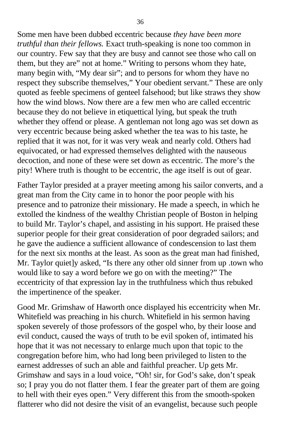Some men have been dubbed eccentric because *they have been more truthful than their fellows.* Exact truth-speaking is none too common in our country. Few say that they are busy and cannot see those who call on them, but they are" not at home." Writing to persons whom they hate, many begin with, "My dear sir"; and to persons for whom they have no respect they subscribe themselves," Your obedient servant." These are only quoted as feeble specimens of genteel falsehood; but like straws they show how the wind blows. Now there are a few men who are called eccentric because they do not believe in etiquettical lying, but speak the truth whether they offend or please. A gentleman not long ago was set down as very eccentric because being asked whether the tea was to his taste, he replied that it was not, for it was very weak and nearly cold. Others had equivocated, or had expressed themselves delighted with the nauseous decoction, and none of these were set down as eccentric. The more's the pity! Where truth is thought to be eccentric, the age itself is out of gear.

Father Taylor presided at a prayer meeting among his sailor converts, and a great man from the City came in to honor the poor people with his presence and to patronize their missionary. He made a speech, in which he extolled the kindness of the wealthy Christian people of Boston in helping to build Mr. Taylor's chapel, and assisting in his support. He praised these superior people for their great consideration of poor degraded sailors; and he gave the audience a sufficient allowance of condescension to last them for the next six months at the least. As soon as the great man had finished, Mr. Taylor quiet]y asked, "Is there any other old sinner from up .town who would like to say a word before we go on with the meeting?" The eccentricity of that expression lay in the truthfulness which thus rebuked the impertinence of the speaker.

Good Mr. Grimshaw of Haworth once displayed his eccentricity when Mr. Whitefield was preaching in his church. Whitefield in his sermon having spoken severely of those professors of the gospel who, by their loose and evil conduct, caused the ways of truth to be evil spoken of, intimated his hope that it was not necessary to enlarge much upon that topic to the congregation before him, who had long been privileged to listen to the earnest addresses of such an able and faithful preacher. Up gets Mr. Grimshaw and says in a loud voice, "Oh! sir, for God's sake, don't speak so; I pray you do not flatter them. I fear the greater part of them are going to hell with their eyes open." Very different this from the smooth-spoken flatterer who did not desire the visit of an evangelist, because such people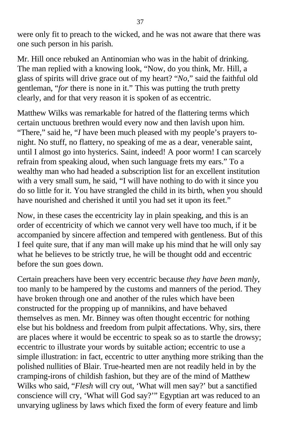were only fit to preach to the wicked, and he was not aware that there was one such person in his parish.

Mr. Hill once rebuked an Antinomian who was in the habit of drinking. The man replied with a knowing look, "Now, do you think, Mr. Hill, a glass of spirits will drive grace out of my heart? "*No,*" said the faithful old gentleman, "*for* there is none in it." This was putting the truth pretty clearly, and for that very reason it is spoken of as eccentric.

Matthew Wilks was remarkable for hatred of the flattering terms which certain unctuous brethren would every now and then lavish upon him. "There," said he, "*I* have been much pleased with my people's prayers tonight. No stuff, no flattery, no speaking of me as a dear, venerable saint, until I almost go into hysterics. Saint, indeed! A poor worm! I can scarcely refrain from speaking aloud, when such language frets my ears." To a wealthy man who had headed a subscription list for an excellent institution with a very small sum, he said, "I will have nothing to do with it since you do so little for it. You have strangled the child in its birth, when you should have nourished and cherished it until you had set it upon its feet."

Now, in these cases the eccentricity lay in plain speaking, and this is an order of eccentricity of which we cannot very well have too much, if it be accompanied by sincere affection and tempered with gentleness. But of this I feel quite sure, that if any man will make up his mind that he will only say what he believes to be strictly true, he will be thought odd and eccentric before the sun goes down.

Certain preachers have been very eccentric because *they have been manly,* too manly to be hampered by the customs and manners of the period. They have broken through one and another of the rules which have been constructed for the propping up of mannikins, and have behaved themselves as men. Mr. Binney was often thought eccentric for nothing else but his boldness and freedom from pulpit affectations. Why, sirs, there are places where it would be eccentric to speak so as to startle the drowsy; eccentric to illustrate your words by suitable action; eccentric to use a simple illustration: in fact, eccentric to utter anything more striking than the polished nullities of Blair. True-hearted men are not readily held in by the cramping-irons of childish fashion, but they are of the mind of Matthew Wilks who said, "*Flesh* will cry out, 'What will men say?' but a sanctified conscience will cry, 'What will God say?'" Egyptian art was reduced to an unvarying ugliness by laws which fixed the form of every feature and limb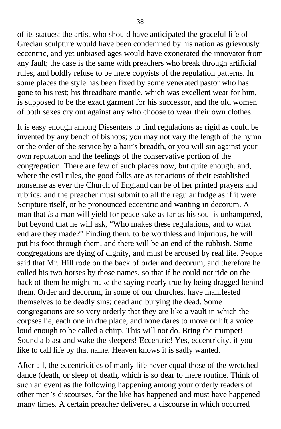of its statues: the artist who should have anticipated the graceful life of Grecian sculpture would have been condemned by his nation as grievously eccentric, and yet unbiased ages would have exonerated the innovator from any fault; the case is the same with preachers who break through artificial rules, and boldly refuse to be mere copyists of the regulation patterns. In some places the style has been fixed by some venerated pastor who has gone to his rest; his threadbare mantle, which was excellent wear for him, is supposed to be the exact garment for his successor, and the old women of both sexes cry out against any who choose to wear their own clothes.

It is easy enough among Dissenters to find regulations as rigid as could be invented by any bench of bishops; you may not vary the length of the hymn or the order of the service by a hair's breadth, or you will sin against your own reputation and the feelings of the conservative portion of the congregation. There are few of such places now, but quite enough. and, where the evil rules, the good folks are as tenacious of their established nonsense as ever the Church of England can be of her printed prayers and rubrics; and the preacher must submit to all the regular fudge as if it were Scripture itself, or be pronounced eccentric and wanting in decorum. A man that *is* a man will yield for peace sake as far as his soul is unhampered, but beyond that he will ask, "Who makes these regulations, and to what end are they made?" Finding them. to be worthless and injurious, he will put his foot through them, and there will be an end of the rubbish. Some congregations are dying of dignity, and must be aroused by real life. People said that Mr. Hill rode on the back of order and decorum, and therefore he called his two horses by those names, so that if he could not ride on the back of them he might make the saying nearly true by being dragged behind them. Order and decorum, in some of our churches, have manifested themselves to be deadly sins; dead and burying the dead. Some congregations are so very orderly that they are like a vault in which the corpses lie, each one in due place, and none dares to move or lift a voice loud enough to be called a chirp. This will not do. Bring the trumpet! Sound a blast and wake the sleepers! Eccentric! Yes, eccentricity, if you like to call life by that name. Heaven knows it is sadly wanted.

After all, the eccentricities of manly life never equal those of the wretched dance (death, or sleep of death, which is so dear to mere routine. Think of such an event as the following happening among your orderly readers of other men's discourses, for the like has happened and must have happened many times. A certain preacher delivered a discourse in which occurred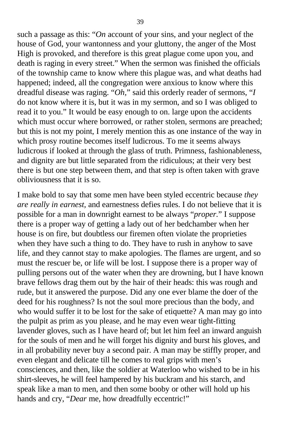such a passage as this: "*On* account of your sins, and your neglect of the house of God, your wantonness and your gluttony, the anger of the Most High is provoked, and therefore is this great plague come upon you, and death is raging in every street." When the sermon was finished the officials of the township came to know where this plague was, and what deaths had happened; indeed, all the congregation were anxious to know where this dreadful disease was raging. "*Oh,*" said this orderly reader of sermons, "*I* do not know where it is, but it was in my sermon, and so I was obliged to read it to you." It would be easy enough to on. large upon the accidents which must occur where borrowed, or rather stolen, sermons are preached; but this is not my point, I merely mention this as one instance of the way in which prosy routine becomes itself ludicrous. To me it seems always ludicrous if looked at through the glass of truth. Primness, fashionableness, and dignity are but little separated from the ridiculous; at their very best there is but one step between them, and that step is often taken with grave obliviousness that it is so.

I make bold to say that some men have been styled eccentric because *they are really in earnest,* and earnestness defies rules. I do not believe that it is possible for a man in downright earnest to be always "*proper.*" I suppose there is a proper way of getting a lady out of her bedchamber when her house is on fire, but doubtless our firemen often violate the proprieties when they have such a thing to do. They have to rush in anyhow to save life, and they cannot stay to make apologies. The flames are urgent, and so must the rescuer be, or life will be lost. I suppose there is a proper way of pulling persons out of the water when they are drowning, but I have known brave fellows drag them out by the hair of their heads: this was rough and rude, but it answered the purpose. Did any one ever blame the doer of the deed for his roughness? Is not the soul more precious than the body, and who would suffer it to be lost for the sake of etiquette? A man may go into the pulpit as prim as you please, and he may even wear tight-fitting lavender gloves, such as I have heard of; but let him feel an inward anguish for the souls of men and he will forget his dignity and burst his gloves, and in all probability never buy a second pair. A man may be stiffly proper, and even elegant and delicate till he comes to real grips with men's consciences, and then, like the soldier at Waterloo who wished to be in his shirt-sleeves, he will feel hampered by his buckram and his starch, and speak like a man to men, and then some booby or other will hold up his hands and cry, "*Dear* me, how dreadfully eccentric!"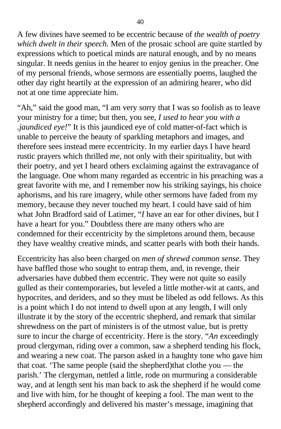A few divines have seemed to be eccentric because of *the wealth of poetry which dwelt in their speech.* Men of the prosaic school are quite startled by expressions which to poetical minds are natural enough, and by no means singular. It needs genius in the hearer to enjoy genius in the preacher. One of my personal friends, whose sermons are essentially poems, laughed the other day right heartily at the expression of an admiring hearer, who did not at one time appreciate him.

"Ah," said the good man, "I am very sorry that I was so foolish as to leave your ministry for a time; but then, you see, *I used to hear you with a .jaundiced eye!*" It is this jaundiced eye of cold matter-of-fact which is unable to perceive the beauty of sparkling metaphors and images, and therefore sees instead mere eccentricity. In my earlier days I have heard rustic prayers which thrilled *me,* not only with their spirituality, but with their poetry, and yet I heard others exclaiming against the extravagance of the language. One whom many regarded as eccentric in his preaching was a great favorite with me, and I remember now his striking sayings, his choice aphorisms, and his rare imagery, while other sermons have faded from my memory, because they never touched my heart. I could have said of him what John Bradford said of Latimer, "*I* have an ear for other divines, but I have a heart for you." Doubtless there are many others who are condemned for their eccentricity by the simpletons around them, because they have wealthy creative minds, and scatter pearls with both their hands.

Eccentricity has also been charged on *men of shrewd common sense.* They have baffled those who sought to entrap them, and, in revenge, their adversaries have dubbed them eccentric. They were not quite so easily gulled as their contemporaries, but leveled a little mother-wit at cants, and hypocrites, and deriders, and so they must be libeled as odd fellows. As this is a point which I do not intend to dwell upon at any length, I will only illustrate it by the story of the eccentric shepherd, and remark that similar shrewdness on the part of ministers is of the utmost value, but is pretty sure to incur the charge of eccentricity. Here is the story. "*An* exceedingly proud clergyman, riding over a common, saw a shepherd tending his flock, and wearing a new coat. The parson asked in a haughty tone who gave him that coat. 'The same people (said the shepherd)that clothe you — the parish.' The clergyman, nettled a little, rode on murmuring a considerable way, and at length sent his man back to ask the shepherd if he would come and live with him, for he thought of keeping a fool. The man went to the shepherd accordingly and delivered his master's message, imagining that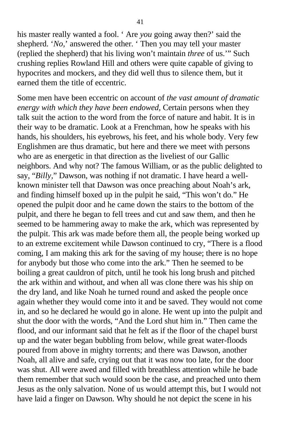his master really wanted a fool. ' Are *you* going away then?' said the shepherd. '*No,*' answered the other. ' Then you may tell your master (replied the shepherd) that his living won't maintain *three* of us.'" Such crushing replies Rowland Hill and others were quite capable of giving to hypocrites and mockers, and they did well thus to silence them, but it earned them the title of eccentric.

Some men have been eccentric on account of *the vast amount of dramatic energy with which they have been endowed,* Certain persons when they talk suit the action to the word from the force of nature and habit. It is in their way to be dramatic. Look at a Frenchman, how he speaks with his hands, his shoulders, his eyebrows, his feet, and his whole body. Very few Englishmen are thus dramatic, but here and there we meet with persons who are as energetic in that direction as the liveliest of our Gallic neighbors. And why not? The famous William, or as the public delighted to say, "*Billy,*" Dawson, was nothing if not dramatic. I have heard a wellknown minister tell that Dawson was once preaching about Noah's ark, and finding himself boxed up in the pulpit he said, "This won't do." He opened the pulpit door and he came down the stairs to the bottom of the pulpit, and there he began to fell trees and cut and saw them, and then he seemed to be hammering away to make the ark, which was represented by the pulpit. This ark was made before them all, the people being worked up to an extreme excitement while Dawson continued to cry, "There is a flood coming, I am making this ark for the saving of my house; there is no hope for anybody but those who come into the ark." Then he seemed to be boiling a great cauldron of pitch, until he took his long brush and pitched the ark within and without, and when all was clone there was his ship on the dry land, and like Noah he turned round and asked the people once again whether they would come into it and be saved. They would not come in, and so he declared he would go in alone. He went up into the pulpit and shut the door with the words, "And the Lord shut him in." Then came the flood, and our informant said that he felt as if the floor of the chapel burst up and the water began bubbling from below, while great water-floods poured from above in mighty torrents; and there was Dawson, another Noah, all alive and safe, crying out that it was now too late, for the door was shut. All were awed and filled with breathless attention while he bade them remember that such would soon be the case, and preached unto them Jesus as the only salvation. None of us would attempt this, but I would not have laid a finger on Dawson. Why should he not depict the scene in his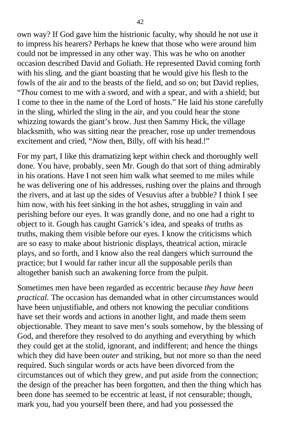own way? If God gave him the histrionic faculty, why should he not use it to impress his hearers? Perhaps he knew that those who were around him could not be impressed in any other way. This was he who on another occasion described David and Goliath. He represented David coming forth with his sling, and the giant boasting that he would give his flesh to the fowls of the air and to the beasts of the field, and so on; but David replies, "*Thou* comest to me with a sword, and with a spear, and with a shield; but I come to thee in the name of the Lord of hosts." He laid his stone carefully in the sling, whirled the sling in the air, and you could hear the stone whizzing towards the giant's brow. Just then Sammy Hick, the village blacksmith, who was sitting near the preacher, rose up under tremendous excitement and cried, "*Now* then, Billy, off with his head.!"

For my part, I like this dramatizing kept within check and thoroughly well done. You have, probably, seen Mr. Gough do that sort of thing admirably in his orations. Have I not seen him walk what seemed to me miles while he was delivering one of his addresses, rushing over the plains and through the rivers, and at last up the sides of Vesuvius after a bubble? I think I see him now, with his feet sinking in the hot ashes, struggling in vain and perishing before our eyes. It was grandly done, and no one had a right to object to it. Gough has caught Garrick's idea, and speaks of truths as truths, making them visible before our eyes. I know the criticisms which are so easy to make about histrionic displays, theatrical action, miracle plays, and so forth, and I know also the real dangers which surround the practice; but I would far rather incur all the supposable perils than altogether banish such an awakening force from the pulpit.

Sometimes men have been regarded as eccentric because *they have been practical.* The occasion has demanded what in other circumstances would have been unjustifiable, and others not knowing the peculiar conditions have set their words and actions in another light, and made them seem objectionable. They meant to save men's souls somehow, by the blessing of God, and therefore they resolved to do anything and everything by which they could get at the stolid, ignorant, and indifferent; and hence the things which they did have been *outer* and striking, but not more so than the need required. Such singular words or acts have been divorced from the circumstances out of which they grew, and put aside from the connection; the design of the preacher has been forgotten, and then the thing which has been done has seemed to be eccentric at least, if not censurable; though, mark you, had you yourself been there, and had you possessed the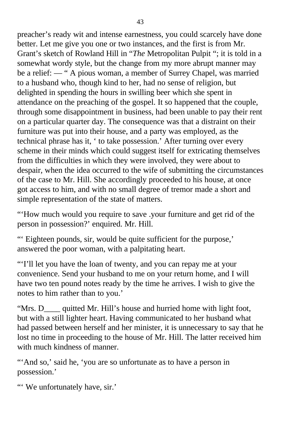preacher's ready wit and intense earnestness, you could scarcely have done better. Let me give you one or two instances, and the first is from Mr. Grant's sketch of Rowland Hill in "*The* Metropolitan Pulpit "; it is told in a somewhat wordy style, but the change from my more abrupt manner may be a relief: — " A pious woman, a member of Surrey Chapel, was married to a husband who, though kind to her, had no sense of religion, but delighted in spending the hours in swilling beer which she spent in attendance on the preaching of the gospel. It so happened that the couple, through some disappointment in business, had been unable to pay their rent on a particular quarter day. The consequence was that a distraint on their furniture was put into their house, and a party was employed, as the technical phrase has it, ' to take possession.' After turning over every scheme in their minds which could suggest itself for extricating themselves from the difficulties in which they were involved, they were about to despair, when the idea occurred to the wife of submitting the circumstances of the case to Mr. Hill. She accordingly proceeded to his house, at once got access to him, and with no small degree of tremor made a short and simple representation of the state of matters.

"'How much would you require to save .your furniture and get rid of the person in possession?' enquired. Mr. Hill.

"' Eighteen pounds, sir, would be quite sufficient for the purpose,' answered the poor woman, with a palpitating heart.

"'I'll let you have the loan of twenty, and you can repay me at your convenience. Send your husband to me on your return home, and I will have two ten pound notes ready by the time he arrives. I wish to give the notes to him rather than to you.'

"Mrs. D quitted Mr. Hill's house and hurried home with light foot, but with a still lighter heart. Having communicated to her husband what had passed between herself and her minister, it is unnecessary to say that he lost no time in proceeding to the house of Mr. Hill. The latter received him with much kindness of manner.

"'And so,' said he, 'you are so unfortunate as to have a person in possession.'

"" We unfortunately have, sir.'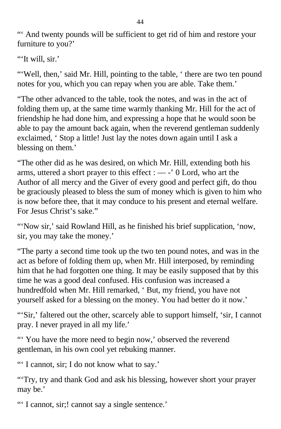"" And twenty pounds will be sufficient to get rid of him and restore your furniture to you?'

""It will, sir."

"'Well, then,' said Mr. Hill, pointing to the table, ' there are two ten pound notes for you, which you can repay when you are able. Take them.'

"The other advanced to the table, took the notes, and was in the act of folding them up, at the same time warmly thanking Mr. Hill for the act of friendship he had done him, and expressing a hope that he would soon be able to pay the amount back again, when the reverend gentleman suddenly exclaimed, ' Stop a little! Just lay the notes down again until I ask a blessing on them.'

"The other did as he was desired, on which Mr. Hill, extending both his arms, uttered a short prayer to this effect : — -' 0 Lord, who art the Author of all mercy and the Giver of every good and perfect gift, do thou be graciously pleased to bless the sum of money which is given to him who is now before thee, that it may conduce to his present and eternal welfare. For Jesus Christ's sake."

"'Now sir,' said Rowland Hill, as he finished his brief supplication, 'now, sir, you may take the money.'

"The party a second time took up the two ten pound notes, and was in the act as before of folding them up, when Mr. Hill interposed, by reminding him that he had forgotten one thing. It may be easily supposed that by this time he was a good deal confused. His confusion was increased a hundredfold when Mr. Hill remarked, ' But, my friend, you have not yourself asked for a blessing on the money. You had better do it now.'

"'Sir,' faltered out the other, scarcely able to support himself, 'sir, I cannot pray. I never prayed in all my life.'

"" You have the more need to begin now,' observed the reverend gentleman, in his own cool yet rebuking manner.

"' I cannot, sir; I do not know what to say.'

"'Try, try and thank God and ask his blessing, however short your prayer may be.'

"' I cannot, sir;! cannot say a single sentence.'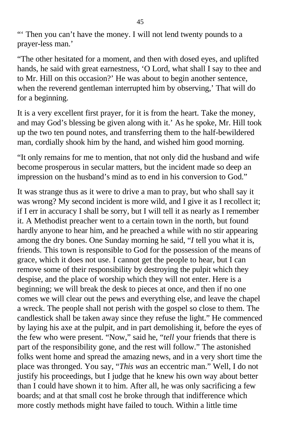"" Then you can't have the money. I will not lend twenty pounds to a prayer-less man.'

"The other hesitated for a moment, and then with dosed eyes, and uplifted hands, he said with great earnestness, 'O Lord, what shall I say to thee and to Mr. Hill on this occasion?' He was about to begin another sentence, when the reverend gentleman interrupted him by observing,' That will do for a beginning.

It is a very excellent first prayer, for it is from the heart. Take the money, and may God's blessing be given along with it.' As he spoke, Mr. Hill took up the two ten pound notes, and transferring them to the half-bewildered man, cordially shook him by the hand, and wished him good morning.

"It only remains for me to mention, that not only did the husband and wife become prosperous in secular matters, but the incident made so deep an impression on the husband's mind as to end in his conversion to God."

It was strange thus as it were to drive a man to pray, but who shall say it was wrong? My second incident is more wild, and I give it as I recollect it; if I err in accuracy I shall be sorry, but I will tell it as nearly as I remember it. A Methodist preacher went to a certain town in the north, but found hardly anyone to hear him, and he preached a while with no stir appearing among the dry bones. One Sunday morning he said, "*I* tell you what it is, friends. This town is responsible to God for the possession of the means of grace, which it does not use. I cannot get the people to hear, but I can remove some of their responsibility by destroying the pulpit which they despise, and the place of worship which they will not enter. Here is a beginning; we will break the desk to pieces at once, and then if no one comes we will clear out the pews and everything else, and leave the chapel a wreck. The people shall not perish with the gospel so close to them. The candlestick shall be taken away since they refuse the light." He commenced by laying his axe at the pulpit, and in part demolishing it, before the eyes of the few who were present. "Now," said he, "*tell* your friends that there is part of the responsibility gone, and the rest will follow." The astonished folks went home and spread the amazing news, and in a very short time the place was thronged. You say, "*This was* an eccentric man." Well, I do not justify his proceedings, but I judge that he knew his own way about better than I could have shown it to him. After all, he was only sacrificing a few boards; and at that small cost he broke through that indifference which more costly methods might have failed to touch. Within a little time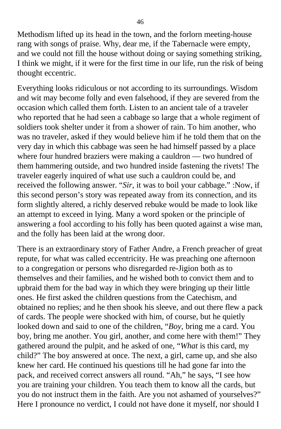Methodism lifted up its head in the town, and the forlorn meeting-house rang with songs of praise. Why, dear me, if the Tabernacle were empty, and we could not fill the house without doing or saying something striking, I think we might, if it were for the first time in our life, run the risk of being thought eccentric.

Everything looks ridiculous or not according to its surroundings. Wisdom and wit may become folly and even falsehood, if they are severed from the occasion which called them forth. Listen to an ancient tale of a traveler who reported that he had seen a cabbage so large that a whole regiment of soldiers took shelter under it from a shower of rain. To him another, who was no traveler, asked if they would believe him if he told them that on the very day in which this cabbage was seen he had himself passed by a place where four hundred braziers were making a cauldron — two hundred of them hammering outside, and two hundred inside fastening the rivets! The traveler eagerly inquired of what use such a cauldron could be, and received the following answer. "*Sir,* it was to boil your cabbage." :Now, if this second person's story was repeated away from its connection, and its form slightly altered, a richly deserved rebuke would be made to look like an attempt to exceed in lying. Many a word spoken or the principle of answering a fool according to his folly has been quoted against a wise man, and the folly has been laid at the wrong door.

There is an extraordinary story of Father Andre, a French preacher of great repute, for what was called eccentricity. He was preaching one afternoon to a congregation or persons who disregarded re-Jigion both as to themselves and their families, and he wished both to convict them and to upbraid them for the bad way in which they were bringing up their little ones. He first asked the children questions from the Catechism, and obtained no replies; and he then shook his sleeve, and out there flew a pack of cards. The people were shocked with him, of course, but he quietly looked down and said to one of the children, "*Boy,* bring me a card. You boy, bring me another. You girl, another, and come here with them!" They gathered around the pulpit, and he asked of one, "*What* is this card, my child?" The boy answered at once. The next, a girl, came up, and she also knew her card. He continued his questions till he had gone far into the pack, and received correct answers all round. "Ah," he says, "I see how you are training your children. You teach them to know all the cards, but you do not instruct them in the faith. Are you not ashamed of yourselves?" Here I pronounce no verdict, I could not have done it myself, nor should I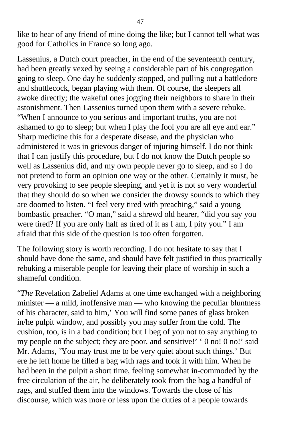like to hear of any friend of mine doing the like; but I cannot tell what was good for Catholics in France so long ago.

Lassenius, a Dutch court preacher, in the end of the seventeenth century, had been greatly vexed by seeing a considerable part of his congregation going to sleep. One day he suddenly stopped, and pulling out a battledore and shuttlecock, began playing with them. Of course, the sleepers all awoke directly; the wakeful ones jogging their neighbors to share in their astonishment. Then Lassenius turned upon them with a severe rebuke.

"When I announce to you serious and important truths, you are not ashamed to go to sleep; but when I play the fool you are all eye and ear." Sharp medicine this for a desperate disease, and the physician who administered it was in grievous danger of injuring himself. I do not think that I can justify this procedure, but I do not know the Dutch people so well as Lassenius did, and my own people never go to sleep, and so I do not pretend to form an opinion one way or the other. Certainly it must, be very provoking to see people sleeping, and yet it is not so very wonderful that they should do so when we consider the drowsy sounds to which they are doomed to listen. "I feel very tired with preaching," said a young bombastic preacher. "O man," said a shrewd old hearer, "did you say you were tired? If you are only half as tired of it as I am, I pity you." I am afraid that this side of the question is too often forgotten.

The following story is worth recording. I do not hesitate to say that I should have done the same, and should have felt justified in thus practically rebuking a miserable people for leaving their place of worship in such a shameful condition.

"*The* Revelation Zabeliel Adams at one time exchanged with a neighboring minister — a mild, inoffensive man — who knowing the peculiar bluntness of his character, said to him,' You will find some panes of glass broken in/he pulpit window, and possibly you may suffer from the cold. The cushion, too, is in a bad condition; but I beg of you not to say anything to my people on the subject; they are poor, and sensitive!' ' 0 no! 0 no!' said Mr. Adams, 'You may trust me to be very quiet about such things.' But ere he left home he filled a bag with rags and took it with him. When he had been in the pulpit a short time, feeling somewhat in-commoded by the free circulation of the air, he deliberately took from the bag a handful of rags, and stuffed them into the windows. Towards the close of his discourse, which was more or less upon the duties of a people towards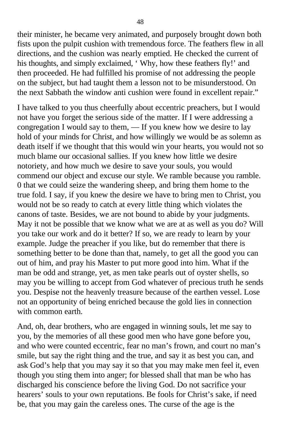their minister, he became very animated, and purposely brought down both fists upon the pulpit cushion with tremendous force. The feathers flew in all directions, and the cushion was nearly emptied. He checked the current of his thoughts, and simply exclaimed, ' Why, how these feathers fly!' and then proceeded. He had fulfilled his promise of not addressing the people on the subject, but had taught them a lesson not to be misunderstood. On the next Sabbath the window anti cushion were found in excellent repair."

I have talked to you thus cheerfully about eccentric preachers, but I would not have you forget the serious side of the matter. If I were addressing a congregation I would say to them, — If you knew how we desire to lay hold of your minds for Christ, and how willingly we would be as solemn as death itself if we thought that this would win your hearts, you would not so much blame our occasional sallies. If you knew how little we desire notoriety, and how much we desire to save your souls, you would commend our object and excuse our style. We ramble because you ramble. 0 that we could seize the wandering sheep, and bring them home to the true fold. I say, if you knew the desire we have to bring men to Christ, you would not be so ready to catch at every little thing which violates the canons of taste. Besides, we are not bound to abide by your judgments. May it not be possible that we know what we are at as well as you do? Will you take our work and do it better? If so, we are ready to learn by your example. Judge the preacher if you like, but do remember that there is something better to be done than that, namely, to get all the good you can out of him, and pray his Master to put more good into him. What if the man be odd and strange, yet, as men take pearls out of oyster shells, so may you be willing to accept from God whatever of precious truth he sends you. Despise not the heavenly treasure because of the earthen vessel. Lose not an opportunity of being enriched because the gold lies in connection with common earth.

And, oh, dear brothers, who are engaged in winning souls, let me say to you, by the memories of all these good men who have gone before you, and who were counted eccentric, fear no man's frown, and court no man's smile, but say the right thing and the true, and say it as best you can, and ask God's help that you may say it so that you may make men feel it, even though you sting them into anger; for blessed shall that man be who has discharged his conscience before the living God. Do not sacrifice your hearers' souls to your own reputations. Be fools for Christ's sake, if need be, that you may gain the careless ones. The curse of the age is the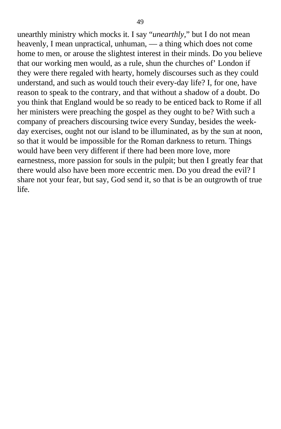unearthly ministry which mocks it. I say "*unearthly,*" but I do not mean heavenly, I mean unpractical, unhuman, — a thing which does not come home to men, or arouse the slightest interest in their minds. Do you believe that our working men would, as a rule, shun the churches of' London if they were there regaled with hearty, homely discourses such as they could understand, and such as would touch their every-day life? I, for one, have reason to speak to the contrary, and that without a shadow of a doubt. Do you think that England would be so ready to be enticed back to Rome if all her ministers were preaching the gospel as they ought to be? With such a company of preachers discoursing twice every Sunday, besides the weekday exercises, ought not our island to be illuminated, as by the sun at noon, so that it would be impossible for the Roman darkness to return. Things would have been very different if there had been more love, more earnestness, more passion for souls in the pulpit; but then I greatly fear that there would also have been more eccentric men. Do you dread the evil? I share not your fear, but say, God send it, so that is be an outgrowth of true life.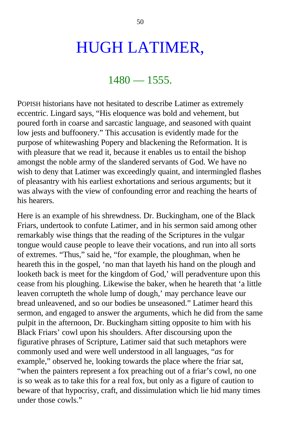## HUGH LATIMER,

### $1480 - 1555$ .

POPISH historians have not hesitated to describe Latimer as extremely eccentric. Lingard says, "His eloquence was bold and vehement, but poured forth in coarse and sarcastic language, and seasoned with quaint low jests and buffoonery." This accusation is evidently made for the purpose of whitewashing Popery and blackening the Reformation. It is with pleasure that we read it, because it enables us to entail the bishop amongst the noble army of the slandered servants of God. We have no wish to deny that Latimer was exceedingly quaint, and intermingled flashes of pleasantry with his earliest exhortations and serious arguments; but it was always with the view of confounding error and reaching the hearts of his hearers.

Here is an example of his shrewdness. Dr. Buckingham, one of the Black Friars, undertook to confute Latimer, and in his sermon said among other remarkably wise things that the reading of the Scriptures in the vulgar tongue would cause people to leave their vocations, and run into all sorts of extremes. "Thus," said he, "for example, the ploughman, when he heareth this in the gospel, 'no man that layeth his hand on the plough and looketh back is meet for the kingdom of God,' will peradventure upon this cease from his ploughing. Likewise the baker, when he heareth that 'a little leaven corrupteth the whole lump of dough,' may perchance leave our bread unleavened, and so our bodies be unseasoned." Latimer heard this sermon, and engaged to answer the arguments, which he did from the same pulpit in the afternoon, Dr. Buckingham sitting opposite to him with his Black Friars' cowl upon his shoulders. After discoursing upon the figurative phrases of Scripture, Latimer said that such metaphors were commonly used and were well understood in all languages, "*as* for example," observed he, looking towards the place where the friar sat, "when the painters represent a fox preaching out of a friar's cowl, no one is so weak as to take this for a real fox, but only as a figure of caution to beware of that hypocrisy, craft, and dissimulation which lie hid many times under those cowls."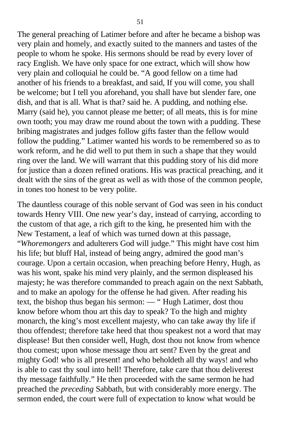The general preaching of Latimer before and after he became a bishop was very plain and homely, and exactly suited to the manners and tastes of the people to whom he spoke. His sermons should be read by every lover of racy English. We have only space for one extract, which will show how very plain and colloquial he could be. "A good fellow on a time had another of his friends to a breakfast, and said, If you will come, you shall be welcome; but I tell you aforehand, you shall have but slender fare, one dish, and that is all. What is that? said he. A pudding, and nothing else. Marry (said he), you cannot please me better; of all meats, this is for mine own tooth; you may draw me round about the town with a pudding. These bribing magistrates and judges follow gifts faster than the fellow would follow the pudding." Latimer wanted his words to be remembered so as to work reform, and he did well to put them in such a shape that they would ring over the land. We will warrant that this pudding story of his did more for justice than a dozen refined orations. His was practical preaching, and it dealt with the sins of the great as well as with those of the common people, in tones too honest to be very polite.

The dauntless courage of this noble servant of God was seen in his conduct towards Henry VIII. One new year's day, instead of carrying, according to the custom of that age, a rich gift to the king, he presented him with the New Testament, a leaf of which was turned down at this passage, "*Whoremongers* and adulterers God will judge." This might have cost him his life; but bluff Hal, instead of being angry, admired the good man's courage. Upon a certain occasion, when preaching before Henry, Hugh, as was his wont, spake his mind very plainly, and the sermon displeased his majesty; he was therefore commanded to preach again on the next Sabbath, and to make an apology for the offense he had given. After reading his text, the bishop thus began his sermon: — " Hugh Latimer, dost thou know before whom thou art this day to speak? To the high and mighty monarch, the king's most excellent majesty, who can take away thy life if thou offendest; therefore take heed that thou speakest not a word that may displease! But then consider well, Hugh, dost thou not know from whence thou comest; upon whose message thou art sent? Even by the great and mighty God! who is all present! and who beholdeth all thy ways! and who is able to cast thy soul into hell! Therefore, take care that thou deliverest thy message faithfully." He then proceeded with the same sermon he had preached the *preceding* Sabbath, but with considerably more energy. The sermon ended, the court were full of expectation to know what would be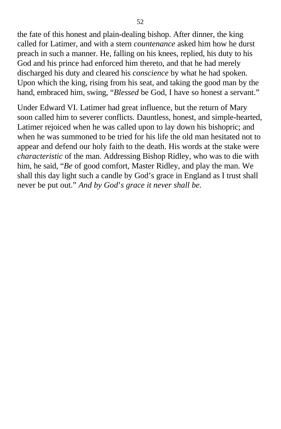the fate of this honest and plain-dealing bishop. After dinner, the king called for Latimer, and with a stern *countenance* asked him how he durst preach in such a manner. He, falling on his knees, replied, his duty to his God and his prince had enforced him thereto, and that he had merely discharged his duty and cleared his *conscience* by what he had spoken. Upon which the king, rising from his seat, and taking the good man by the hand, embraced him, swing, "*Blessed* be God, I have so honest a servant."

Under Edward VI. Latimer had great influence, but the return of Mary soon called him to severer conflicts. Dauntless, honest, and simple-hearted, Latimer rejoiced when he was called upon to lay down his bishopric; and when he was summoned to be tried for his life the old man hesitated not to appear and defend our holy faith to the death. His words at the stake were *characteristic* of the man. Addressing Bishop Ridley, who was to die with him, he said, "*Be* of good comfort, Master Ridley, and play the man. We shall this day light such a candle by God's grace in England as I trust shall never be put out." *And by God*'*s grace it never shall be.*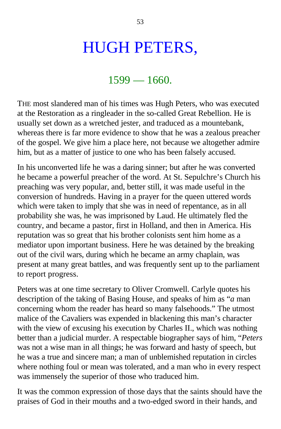# HUGH PETERS,

### $1599 - 1660.$

THE most slandered man of his times was Hugh Peters, who was executed at the Restoration as a ringleader in the so-called Great Rebellion. He is usually set down as a wretched jester, and traduced as a mountebank, whereas there is far more evidence to show that he was a zealous preacher of the gospel. We give him a place here, not because we altogether admire him, but as a matter of justice to one who has been falsely accused.

In his unconverted life he was a daring sinner; but after he was converted he became a powerful preacher of the word. At St. Sepulchre's Church his preaching was very popular, and, better still, it was made useful in the conversion of hundreds. Having in a prayer for the queen uttered words which were taken to imply that she was in need of repentance, as in all probability she was, he was imprisoned by Laud. He ultimately fled the country, and became a pastor, first in Holland, and then in America. His reputation was so great that his brother colonists sent him home as a mediator upon important business. Here he was detained by the breaking out of the civil wars, during which he became an army chaplain, was present at many great battles, and was frequently sent up to the parliament to report progress.

Peters was at one time secretary to Oliver Cromwell. Carlyle quotes his description of the taking of Basing House, and speaks of him as "*a* man concerning whom the reader has heard so many falsehoods." The utmost malice of the Cavaliers was expended in blackening this man's character with the view of excusing his execution by Charles II., which was nothing better than a judicial murder. A respectable biographer says of him, "*Peters* was not a wise man in all things; he was forward and hasty of speech, but he was a true and sincere man; a man of unblemished reputation in circles where nothing foul or mean was tolerated, and a man who in every respect was immensely the superior of those who traduced him.

It was the common expression of those days that the saints should have the praises of God in their mouths and a two-edged sword in their hands, and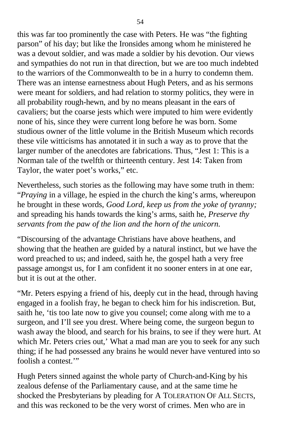this was far too prominently the case with Peters. He was "the fighting parson" of his day; but like the Ironsides among whom he ministered he was a devout soldier, and was made a soldier by his devotion. Our views and sympathies do not run in that direction, but we are too much indebted to the warriors of the Commonwealth to be in a hurry to condemn them. There was an intense earnestness about Hugh Peters, and as his sermons were meant for soldiers, and had relation to stormy politics, they were in all probability rough-hewn, and by no means pleasant in the ears of cavaliers; but the coarse jests which were imputed to him were evidently none of his, since they were current long before he was born. Some studious owner of the little volume in the British Museum which records these vile witticisms has annotated it in such a way as to prove that the larger number of the anecdotes are fabrications. Thus, "Jest 1: This is a Norman tale of the twelfth or thirteenth century. Jest 14: Taken from Taylor, the water poet's works," etc.

Nevertheless, such stories as the following may have some truth in them: "*Praying* in a village, he espied in the church the king's arms, whereupon he brought in these words, *Good Lord, keep us from the yoke of tyranny;* and spreading his hands towards the king's arms, saith he, *Preserve thy servants from the paw of the lion and the horn of the unicorn.*

"Discoursing of the advantage Christians have above heathens, and showing that the heathen are guided by a natural instinct, but we have the word preached to us; and indeed, saith he, the gospel hath a very free passage amongst us, for I am confident it no sooner enters in at one ear, but it is out at the other.

"Mr. Peters espying a friend of his, deeply cut in the head, through having engaged in a foolish fray, he began to check him for his indiscretion. But, saith he, 'tis too late now to give you counsel; come along with me to a surgeon, and I'll see you drest. Where being come, the surgeon begun to wash away the blood, and search for his brains, to see if they were hurt. At which Mr. Peters cries out,' What a mad man are you to seek for any such thing; if he had possessed any brains he would never have ventured into so foolish a contest."

Hugh Peters sinned against the whole party of Church-and-King by his zealous defense of the Parliamentary cause, and at the same time he shocked the Presbyterians by pleading for A TOLERATION OF ALL SECTS, and this was reckoned to be the very worst of crimes. Men who are in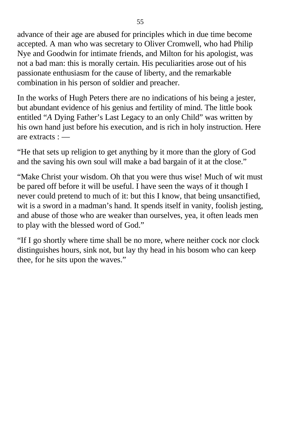advance of their age are abused for principles which in due time become accepted. A man who was secretary to Oliver Cromwell, who had Philip Nye and Goodwin for intimate friends, and Milton for his apologist, was not a bad man: this is morally certain. His peculiarities arose out of his passionate enthusiasm for the cause of liberty, and the remarkable combination in his person of soldier and preacher.

In the works of Hugh Peters there are no indications of his being a jester, but abundant evidence of his genius and fertility of mind. The little book entitled "*A* Dying Father's Last Legacy to an only Child" was written by his own hand just before his execution, and is rich in holy instruction. Here are extracts : —

"He that sets up religion to get anything by it more than the glory of God and the saving his own soul will make a bad bargain of it at the close."

"Make Christ your wisdom. Oh that you were thus wise! Much of wit must be pared off before it will be useful. I have seen the ways of it though I never could pretend to much of it: but this I know, that being unsanctified, wit is a sword in a madman's hand. It spends itself in vanity, foolish jesting, and abuse of those who are weaker than ourselves, yea, it often leads men to play with the blessed word of God."

"If I go shortly where time shall be no more, where neither cock nor clock distinguishes hours, sink not, but lay thy head in his bosom who can keep thee, for he sits upon the waves."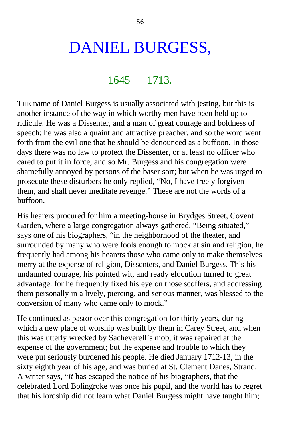## DANIEL BURGESS,

### $1645 - 1713.$

THE name of Daniel Burgess is usually associated with jesting, but this is another instance of the way in which worthy men have been held up to ridicule. He was a Dissenter, and a man of great courage and boldness of speech; he was also a quaint and attractive preacher, and so the word went forth from the evil one that he should be denounced as a buffoon. In those days there was no law to protect the Dissenter, or at least no officer who cared to put it in force, and so Mr. Burgess and his congregation were shamefully annoyed by persons of the baser sort; but when he was urged to prosecute these disturbers he only replied, "No, I have freely forgiven them, and shall never meditate revenge." These are not the words of a buffoon.

His hearers procured for him a meeting-house in Brydges Street, Covent Garden, where a large congregation always gathered. "Being situated," says one of his biographers, "in the neighborhood of the theater, and surrounded by many who were fools enough to mock at sin and religion, he frequently had among his hearers those who came only to make themselves merry at the expense of religion, Dissenters, and Daniel Burgess. This his undaunted courage, his pointed wit, and ready elocution turned to great advantage: for he frequently fixed his eye on those scoffers, and addressing them personally in a lively, piercing, and serious manner, was blessed to the conversion of many who came only to mock."

He continued as pastor over this congregation for thirty years, during which a new place of worship was built by them in Carey Street, and when this was utterly wrecked by Sacheverell's mob, it was repaired at the expense of the government; but the expense and trouble to which they were put seriously burdened his people. He died January 1712-13, in the sixty eighth year of his age, and was buried at St. Clement Danes, Strand. A writer says, "*It* has escaped the notice of his biographers, that the celebrated Lord Bolingroke was once his pupil, and the world has to regret that his lordship did not learn what Daniel Burgess might have taught him;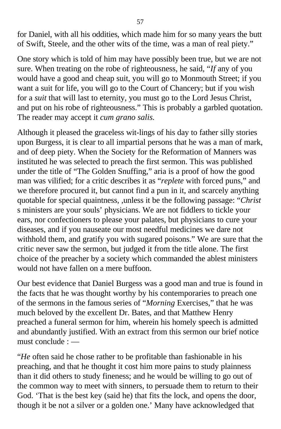for Daniel, with all his oddities, which made him for so many years the butt of Swift, Steele, and the other wits of the time, was a man of real piety."

One story which is told of him may have possibly been true, but we are not sure. When treating on the robe of righteousness, he said, "*If* any of you would have a good and cheap suit, you will go to Monmouth Street; if you want a suit for life, you will go to the Court of Chancery; but if you wish for a *suit* that will last to eternity, you must go to the Lord Jesus Christ, and put on his robe of righteousness." This is probably a garbled quotation. The reader may accept it *cum grano salis.*

Although it pleased the graceless wit-lings of his day to father silly stories upon Burgess, it is clear to all impartial persons that he was a man of mark, and of deep piety. When the Society for the Reformation of Manners was instituted he was selected to preach the first sermon. This was published under the title of "The Golden Snuffing," aria is a proof of how the good man was vilified; for a critic describes it as "*replete* with forced puns," and we therefore procured it, but cannot find a pun in it, and scarcely anything quotable for special quaintness, ,unless it be the following passage: "*Christ* s ministers are your souls' physicians. We are not fiddlers to tickle your ears, nor confectioners to please your palates, but physicians to cure your diseases, and if you nauseate our most needful medicines we dare not withhold them, and gratify you with sugared poisons." We are sure that the critic never saw the sermon, but judged it from the title alone. The first choice of the preacher by a society which commanded the ablest ministers would not have fallen on a mere buffoon.

Our best evidence that Daniel Burgess was a good man and true is found in the facts that he was thought worthy by his contemporaries to preach one of the sermons in the famous series of "*Morning* Exercises," that he was much beloved by the excellent Dr. Bates, and that Matthew Henry preached a funeral sermon for him, wherein his homely speech is admitted and abundantly justified. With an extract from this sermon our brief notice must conclude : —

"*He* often said he chose rather to be profitable than fashionable in his preaching, and that he thought it cost him more pains to study plainness than it did others to study fineness; and he would be willing to go out of the common way to meet with sinners, to persuade them to return to their God. 'That is the best key (said he) that fits the lock, and opens the door, though it be not a silver or a golden one.' Many have acknowledged that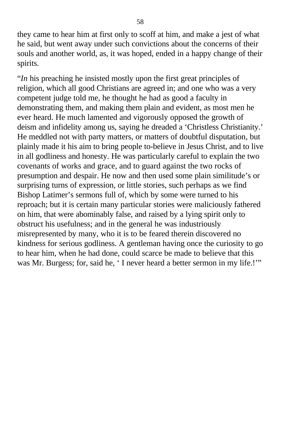they came to hear him at first only to scoff at him, and make a jest of what he said, but went away under such convictions about the concerns of their souls and another world, as, it was hoped, ended in a happy change of their spirits.

"*In* his preaching he insisted mostly upon the first great principles of religion, which all good Christians are agreed in; and one who was a very competent judge told me, he thought he had as good a faculty in demonstrating them, and making them plain and evident, as most men he ever heard. He much lamented and vigorously opposed the growth of deism and infidelity among us, saying he dreaded a 'Christless Christianity.' He meddled not with party matters, or matters of doubtful disputation, but plainly made it his aim to bring people to-believe in Jesus Christ, and to live in all godliness and honesty. He was particularly careful to explain the two covenants of works and grace, and to guard against the two rocks of presumption and despair. He now and then used some plain similitude's or surprising turns of expression, or little stories, such perhaps as we find Bishop Latimer's sermons full of, which by some were turned to his reproach; but it is certain many particular stories were maliciously fathered on him, that were abominably false, and raised by a lying spirit only to obstruct his usefulness; and in the general he was industriously misrepresented by many, who it is to be feared therein discovered no kindness for serious godliness. A gentleman having once the curiosity to go to hear him, when he had done, could scarce be made to believe that this was Mr. Burgess; for, said he, ' I never heard a better sermon in my life.!'"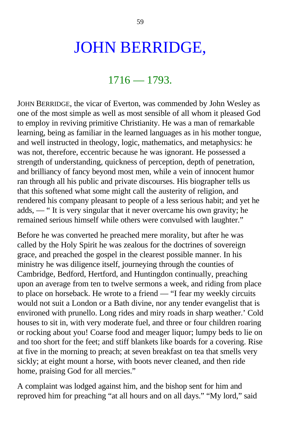## JOHN BERRIDGE,

### $1716 - 1793.$

JOHN BERRIDGE, the vicar of Everton, was commended by John Wesley as one of the most simple as well as most sensible of all whom it pleased God to employ in reviving primitive Christianity. He was a man of remarkable learning, being as familiar in the learned languages as in his mother tongue, and well instructed in theology, logic, mathematics, and metaphysics: he was not, therefore, eccentric because he was ignorant. He possessed a strength of understanding, quickness of perception, depth of penetration, and brilliancy of fancy beyond most men, while a vein of innocent humor ran through all his public and private discourses. His biographer tells us that this softened what some might call the austerity of religion, and rendered his company pleasant to people of a less serious habit; and yet he adds, — " It is very singular that it never overcame his own gravity; he remained serious himself while others were convulsed with laughter."

Before he was converted he preached mere morality, but after he was called by the Holy Spirit he was zealous for the doctrines of sovereign grace, and preached the gospel in the clearest possible manner. In his ministry he was diligence itself, journeying through the counties of Cambridge, Bedford, Hertford, and Huntingdon continually, preaching upon an average from ten to twelve sermons a week, and riding from place to place on horseback. He wrote to a friend — "I fear my weekly circuits would not suit a London or a Bath divine, nor any tender evangelist that is environed with prunello. Long rides and miry roads in sharp weather.' Cold houses to sit in, with very moderate fuel, and three or four children roaring or rocking about you! Coarse food and meager liquor; lumpy beds to lie on and too short for the feet; and stiff blankets like boards for a covering. Rise at five in the morning to preach; at seven breakfast on tea that smells very sickly; at eight mount a horse, with boots never cleaned, and then ride home, praising God for all mercies."

A complaint was lodged against him, and the bishop sent for him and reproved him for preaching "at all hours and on all days." "My lord," said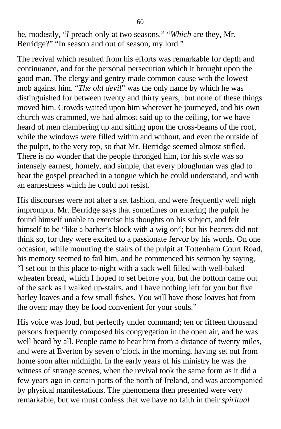he, modestly, "*I* preach only at two seasons." "*Which* are they, Mr. Berridge?" "In season and out of season, my lord."

The revival which resulted from his efforts was remarkable for depth and continuance, and for the personal persecution which it brought upon the good man. The clergy and gentry made common cause with the lowest mob against him. "*The old devil*" was the only name by which he was distinguished for between twenty and thirty years,: but none of these things moved him. Crowds waited upon him wherever he journeyed, and his own church was crammed, we had almost said up to the ceiling, for we have heard of men clambering up and sitting upon the cross-beams of the roof, while the windows were filled within and without, and even the outside of the pulpit, to the very top, so that Mr. Berridge seemed almost stifled. There is no wonder that the people thronged him, for his style was so intensely earnest, homely, and simple, that every ploughman was glad to hear the gospel preached in a tongue which he could understand, and with an earnestness which he could not resist.

His discourses were not after a set fashion, and were frequently well nigh impromptu. Mr. Berridge says that sometimes on entering the pulpit he found himself unable to exercise his thoughts on his subject, and felt himself to be "like a barber's block with a wig on"; but his hearers did not think so, for they were excited to a passionate fervor by his words. On one occasion, while mounting the stairs of the pulpit at Tottenham Court Road, his memory seemed to fail him, and he commenced his sermon by saying, "I set out to this place to-night with a sack well filled with well-baked wheaten bread, which I hoped to set before you, but the bottom came out of the sack as I walked up-stairs, and I have nothing left for you but five barley loaves and a few small fishes. You will have those loaves hot from the oven; may they be food convenient for your souls."

His voice was loud, but perfectly under command; ten or fifteen thousand persons frequently composed his congregation in the open air, and he was well heard by all. People came to hear him from a distance of twenty miles, and were at Everton by seven o'clock in the morning, having set out from home soon after midnight. In the early years of his ministry he was the witness of strange scenes, when the revival took the same form as it did a few years ago in certain parts of the north of Ireland, and was accompanied by physical manifestations. The phenomena then presented were very remarkable, but we must confess that we have no faith in their *spiritual*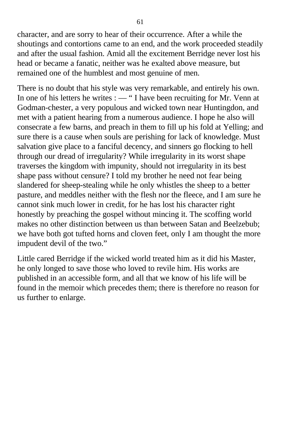character, and are sorry to hear of their occurrence. After a while the shoutings and contortions came to an end, and the work proceeded steadily and after the usual fashion. Amid all the excitement Berridge never lost his head or became a fanatic, neither was he exalted above measure, but remained one of the humblest and most genuine of men.

There is no doubt that his style was very remarkable, and entirely his own. In one of his letters he writes : — " I have been recruiting for Mr. Venn at Godman-chester, a very populous and wicked town near Huntingdon, and met with a patient hearing from a numerous audience. I hope he also will consecrate a few barns, and preach in them to fill up his fold at Yelling; and sure there is a cause when souls are perishing for lack of knowledge. Must salvation give place to a fanciful decency, and sinners go flocking to hell through our dread of irregularity? While irregularity in its worst shape traverses the kingdom with impunity, should not irregularity in its best shape pass without censure? I told my brother he need not fear being slandered for sheep-stealing while he only whistles the sheep to a better pasture, and meddles neither with the flesh nor the fleece, and I am sure he cannot sink much lower in credit, for he has lost his character right honestly by preaching the gospel without mincing it. The scoffing world makes no other distinction between us than between Satan and Beelzebub; we have both got tufted horns and cloven feet, only I am thought the more impudent devil of the two."

Little cared Berridge if the wicked world treated him as it did his Master, he only longed to save those who loved to revile him. His works are published in an accessible form, and all that we know of his life will be found in the memoir which precedes them; there is therefore no reason for us further to enlarge.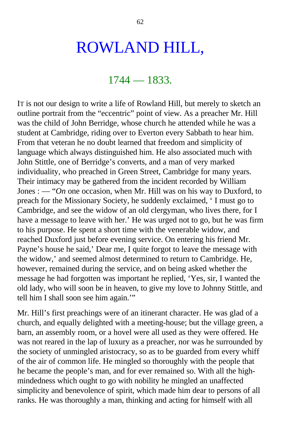## ROWLAND HILL,

### $1744 - 1833.$

IT is not our design to write a life of Rowland Hill, but merely to sketch an outline portrait from the "eccentric" point of view. As a preacher Mr. Hill was the child of John Berridge, whose church he attended while he was a student at Cambridge, riding over to Everton every Sabbath to hear him. From that veteran he no doubt learned that freedom and simplicity of language which always distinguished him. He also associated much with John Stittle, one of Berridge's converts, and a man of very marked individuality, who preached in Green Street, Cambridge for many years. Their intimacy may be gathered from the incident recorded by William Jones : — "*On* one occasion, when Mr. Hill was on his way to Duxford, to preach for the Missionary Society, he suddenly exclaimed, ' I must go to Cambridge, and see the widow of an old clergyman, who lives there, for I have a message to leave with her.' He was urged not to go, but he was firm to his purpose. He spent a short time with the venerable widow, and reached Duxford just before evening service. On entering his friend Mr. Payne's house he said,' Dear me, I quite forgot to leave the message with the widow,' and seemed almost determined to return to Cambridge. He, however, remained during the service, and on being asked whether the message he had forgotten was important he replied, 'Yes, sir, I wanted the old lady, who will soon be in heaven, to give my love to Johnny Stittle, and tell him I shall soon see him again.'"

Mr. Hill's first preachings were of an itinerant character. He was glad of a church, and equally delighted with a meeting-house; but the village green, a barn, an assembly room, or a hovel were all used as they were offered. He was not reared in the lap of luxury as a preacher, nor was he surrounded by the society of unmingled aristocracy, so as to be guarded from every whiff of the air of common life. He mingled so thoroughly with the people that he became the people's man, and for ever remained so. With all the highmindedness which ought to go with nobility he mingled an unaffected simplicity and benevolence of spirit, which made him dear to persons of all ranks. He was thoroughly a man, thinking and acting for himself with all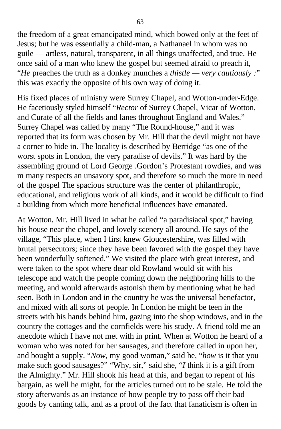the freedom of a great emancipated mind, which bowed only at the feet of Jesus; but he was essentially a child-man, a Nathanael in whom was no guile — artless, natural, transparent, in all things unaffected, and true. He once said of a man who knew the gospel but seemed afraid to preach it, "*He* preaches the truth as a donkey munches a *thistle — very cautiously :*" this was exactly the opposite of his own way of doing it.

His fixed places of ministry were Surrey Chapel, and Wotton-under-Edge. He facetiously styled himself "*Rector* of Surrey Chapel, Vicar of Wotton, and Curate of all the fields and lanes throughout England and Wales." Surrey Chapel was called by many "The Round-house," and it was reported that its form was chosen by Mr. Hill that the devil might not have a corner to hide in. The locality is described by Berridge "as one of the worst spots in London, the very paradise of devils." It was hard by the assembling ground of Lord George .Gordon's Protestant rowdies, and was m many respects an unsavory spot, and therefore so much the more in need of the gospel The spacious structure was the center of philanthropic, educational, and religious work of all kinds, and it would be difficult to find a building from which more beneficial influences have emanated.

At Wotton, Mr. Hill lived in what he called "a paradisiacal spot," having his house near the chapel, and lovely scenery all around. He says of the village, "This place, when I first knew Gloucestershire, was filled with brutal persecutors; since they have been favored with the gospel they have been wonderfully softened." We visited the place with great interest, and were taken to the spot where dear old Rowland would sit with his telescope and watch the people coming down the neighboring hills to the meeting, and would afterwards astonish them by mentioning what he had seen. Both in London and in the country he was the universal benefactor, and mixed with all sorts of people. In London he might be teen in the streets with his hands behind him, gazing into the shop windows, and in the country the cottages and the cornfields were his study. A friend told me an anecdote which I have not met with in print. When at Wotton he heard of a woman who was noted for her sausages, and therefore called in upon her, and bought a supply. "*Now,* my good woman," said he, "*how* is it that you make such good sausages?" "Why, sir," said she, "*I* think it is a gift from the Almighty." Mr. Hill shook his head at this, and began to repent of his bargain, as well he might, for the articles turned out to be stale. He told the story afterwards as an instance of how people try to pass off their bad goods by canting talk, and as a proof of the fact that fanaticism is often in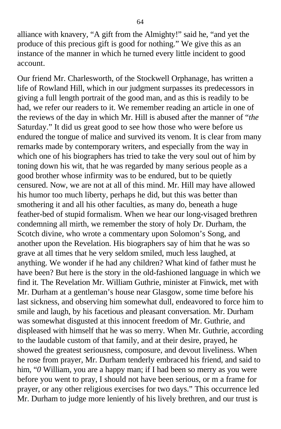alliance with knavery, "A gift from the Almighty!" said he, "and yet the produce of this precious gift is good for nothing." We give this as an instance of the manner in which he turned every little incident to good account.

Our friend Mr. Charlesworth, of the Stockwell Orphanage, has written a life of Rowland Hill, which in our judgment surpasses its predecessors in giving a full length portrait of the good man, and as this is readily to be had, we refer our readers to it. We remember reading an article in one of the reviews of the day in which Mr. Hill is abused after the manner of "*the* Saturday." It did us great good to see how those who were before us endured the tongue of malice and survived its venom. It is clear from many remarks made by contemporary writers, and especially from the way in which one of his biographers has tried to take the very soul out of him by toning down his wit, that he was regarded by many serious people as a good brother whose infirmity was to be endured, but to be quietly censured. Now, we are not at all of this mind. Mr. Hill may have allowed his humor too much liberty, perhaps he did, but this was better than smothering it and all his other faculties, as many do, beneath a huge feather-bed of stupid formalism. When we hear our long-visaged brethren condemning all mirth, we remember the story of holy Dr. Durham, the Scotch divine, who wrote a commentary upon Solomon's Song, and another upon the Revelation. His biographers say of him that he was so grave at all times that he very seldom smiled, much less laughed, at anything. We wonder if he had any children? What kind of father must he have been? But here is the story in the old-fashioned language in which we find it. The Revelation Mr. William Guthrie, minister at Finwick, met with Mr. Durham at a gentleman's house near Glasgow, some time before his last sickness, and observing him somewhat dull, endeavored to force him to smile and laugh, by his facetious and pleasant conversation. Mr. Durham was somewhat disgusted at this innocent freedom of Mr. Guthrie, and displeased with himself that he was so merry. When Mr. Guthrie, according to the laudable custom of that family, and at their desire, prayed, he showed the greatest seriousness, composure, and devout liveliness. When he rose from prayer, Mr. Durham tenderly embraced his friend, and said to him, "*O* William, you are a happy man; if I had been so merry as you were before you went to pray, I should not have been serious, or m a frame for prayer, or any other religious exercises for two days." This occurrence led Mr. Durham to judge more leniently of his lively brethren, and our trust is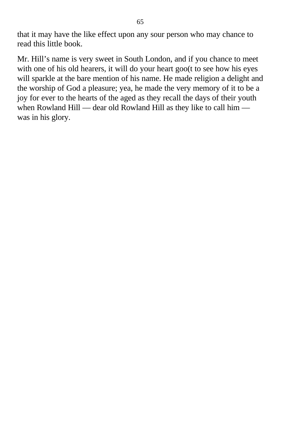that it may have the like effect upon any sour person who may chance to read this little book.

Mr. Hill's name is very sweet in South London, and if you chance to meet with one of his old hearers, it will do your heart goo(t to see how his eyes will sparkle at the bare mention of his name. He made religion a delight and the worship of God a pleasure; yea, he made the very memory of it to be a joy for ever to the hearts of the aged as they recall the days of their youth when Rowland Hill — dear old Rowland Hill as they like to call him was in his glory.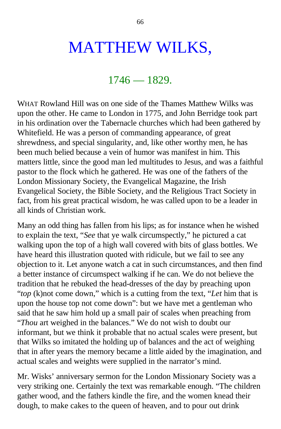## MATTHEW WILKS,

### $1746 - 1829.$

WHAT Rowland Hill was on one side of the Thames Matthew Wilks was upon the other. He came to London in 1775, and John Berridge took part in his ordination over the Tabernacle churches which had been gathered by Whitefield. He was a person of commanding appearance, of great shrewdness, and special singularity, and, like other worthy men, he has been much belied because a vein of humor was manifest in him. This matters little, since the good man led multitudes to Jesus, and was a faithful pastor to the flock which he gathered. He was one of the fathers of the London Missionary Society, the Evangelical Magazine, the Irish Evangelical Society, the Bible Society, and the Religious Tract Society in fact, from his great practical wisdom, he was called upon to be a leader in all kinds of Christian work.

Many an odd thing has fallen from his lips; as for instance when he wished to explain the text, "*See* that ye walk circumspectly," he pictured a cat walking upon the top of a high wall covered with bits of glass bottles. We have heard this illustration quoted with ridicule, but we fail to see any objection to it. Let anyone watch a cat in such circumstances, and then find a better instance of circumspect walking if he can. We do not believe the tradition that he rebuked the head-dresses of the day by preaching upon "*top* (k)not come down," which is a cutting from the text, "*Let* him that is upon the house top not come down": but we have met a gentleman who said that he saw him hold up a small pair of scales when preaching from "*Thou* art weighed in the balances." We do not wish to doubt our informant, but we think it probable that no actual scales were present, but that Wilks so imitated the holding up of balances and the act of weighing that in after years the memory became a little aided by the imagination, and actual scales and weights were supplied in the narrator's mind.

Mr. Wisks' anniversary sermon for the London Missionary Society was a very striking one. Certainly the text was remarkable enough. "The children gather wood, and the fathers kindle the fire, and the women knead their dough, to make cakes to the queen of heaven, and to pour out drink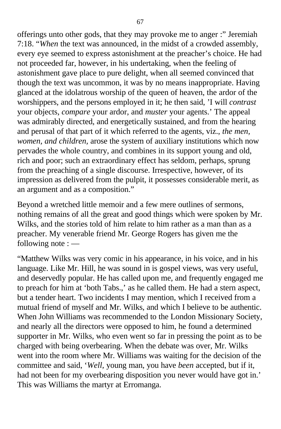offerings unto other gods, that they may provoke me to anger :" Jeremiah 7:18. "*When* the text was announced, in the midst of a crowded assembly, every eye seemed to express astonishment at the preacher's choice. He had not proceeded far, however, in his undertaking, when the feeling of astonishment gave place to pure delight, when all seemed convinced that though the text was uncommon, it was by no means inappropriate. Having glanced at the idolatrous worship of the queen of heaven, the ardor of the worshippers, and the persons employed in it; he then said, 'I will *contrast* your objects, *compare* your ardor, and *muster* your agents.' The appeal was admirably directed, and energetically sustained, and from the hearing and perusal of that part of it which referred to the agents, viz., *the men, women, and children,* arose the system of auxiliary institutions which now pervades the whole country, and combines in its support young and old, rich and poor; such an extraordinary effect has seldom, perhaps, sprung from the preaching of a single discourse. Irrespective, however, of its impression as delivered from the pulpit, it possesses considerable merit, as an argument and as a composition."

Beyond a wretched little memoir and a few mere outlines of sermons, nothing remains of all the great and good things which were spoken by Mr. Wilks, and the stories told of him relate to him rather as a man than as a preacher. My venerable friend Mr. George Rogers has given me the following note : —

"Matthew Wilks was very comic in his appearance, in his voice, and in his language. Like Mr. Hill, he was sound in is gospel views, was very useful, and deservedly popular. He has called upon me, and frequently engaged me to preach for him at 'both Tabs.,' as he called them. He had a stern aspect, but a tender heart. Two incidents I may mention, which I received from a mutual friend of myself and Mr. Wilks, and which I believe to be authentic. When John Williams was recommended to the London Missionary Society, and nearly all the directors were opposed to him, he found a determined supporter in Mr. Wilks, who even went so far in pressing the point as to be charged with being overbearing. When the debate was over, Mr. Wilks went into the room where Mr. Williams was waiting for the decision of the committee and said, '*Well,* young man, you have *been* accepted, but if it, had not been for my overbearing disposition you never would have got in.' This was Williams the martyr at Erromanga.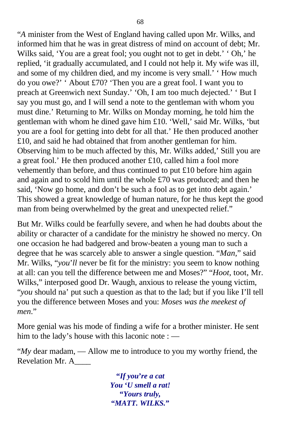"*A* minister from the West of England having called upon Mr. Wilks, and informed him that he was in great distress of mind on account of debt; Mr. Wilks said, 'You are a great fool; you ought not to get in debt.' ' Oh,' he replied, 'it gradually accumulated, and I could not help it. My wife was ill, and some of my children died, and my income is very small.' ' How much do you owe?' ' About £70? 'Then you are a great fool. I want you to preach at Greenwich next Sunday.' 'Oh, I am too much dejected.' ' But I say you must go, and I will send a note to the gentleman with whom you must dine.' Returning to Mr. Wilks on Monday morning, he told him the gentleman with whom he dined gave him £10. 'Well,' said Mr. Wilks, 'but you are a fool for getting into debt for all that.' He then produced another £10, and said he had obtained that from another gentleman for him. Observing him to be much affected by this, Mr. Wilks added,' Still you are a great fool.' He then produced another £10, called him a fool more vehemently than before, and thus continued to put £10 before him again and again and to scold him until the whole £70 was produced; and then he said, 'Now go home, and don't be such a fool as to get into debt again.' This showed a great knowledge of human nature, for he thus kept the good man from being overwhelmed by the great and unexpected relief."

But Mr. Wilks could be fearfully severe, and when he had doubts about the ability or character of a candidate for the ministry he showed no mercy. On one occasion he had badgered and brow-beaten a young man to such a degree that he was scarcely able to answer a single question. "*Man,*" said Mr. Wilks, "*you*'*ll* never be fit for the ministry: you seem to know nothing at all: can you tell the difference between me and Moses?" "*Hoot,* toot, Mr. Wilks," interposed good Dr. Waugh, anxious to release the young victim, "*you* should na' put such a question as that to the lad; but if you like I'll tell you the difference between Moses and you: *Moses was the meekest of men*."

More genial was his mode of finding a wife for a brother minister. He sent him to the lady's house with this laconic note : —

"*My* dear madam, — Allow me to introduce to you my worthy friend, the Revelation Mr. A\_\_\_\_

> **"***If you***'***re a cat You* **'***U smell a rat!* **"***Yours truly,* **"***MATT. WILKS.***"**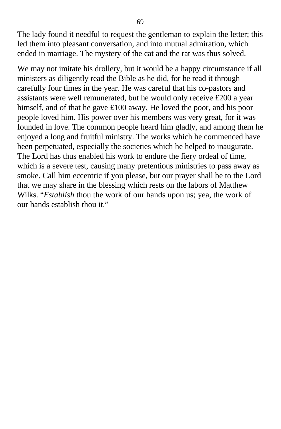The lady found it needful to request the gentleman to explain the letter; this led them into pleasant conversation, and into mutual admiration, which ended in marriage. The mystery of the cat and the rat was thus solved.

We may not imitate his drollery, but it would be a happy circumstance if all ministers as diligently read the Bible as he did, for he read it through carefully four times in the year. He was careful that his co-pastors and assistants were well remunerated, but he would only receive £200 a year himself, and of that he gave £100 away. He loved the poor, and his poor people loved him. His power over his members was very great, for it was founded in love. The common people heard him gladly, and among them he enjoyed a long and fruitful ministry. The works which he commenced have been perpetuated, especially the societies which he helped to inaugurate. The Lord has thus enabled his work to endure the fiery ordeal of time, which is a severe test, causing many pretentious ministries to pass away as smoke. Call him eccentric if you please, but our prayer shall be to the Lord that we may share in the blessing which rests on the labors of Matthew Wilks. "*Establish* thou the work of our hands upon us; yea, the work of our hands establish thou it."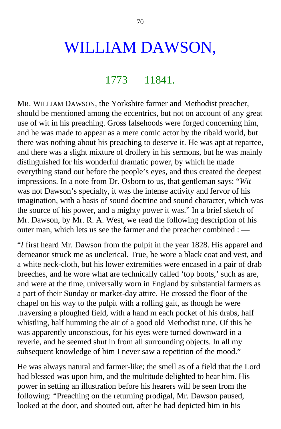## WILLIAM DAWSON,

### 1773 — 11841.

MR. WILLIAM DAWSON, the Yorkshire farmer and Methodist preacher, should be mentioned among the eccentrics, but not on account of any great use of wit in his preaching. Gross falsehoods were forged concerning him, and he was made to appear as a mere comic actor by the ribald world, but there was nothing about his preaching to deserve it. He was apt at repartee, and there was a slight mixture of drollery in his sermons, but he was mainly distinguished for his wonderful dramatic power, by which he made everything stand out before the people's eyes, and thus created the deepest impressions. In a note from Dr. Osborn to us, that gentleman says: "*Wit* was not Dawson's specialty, it was the intense activity and fervor of his imagination, with a basis of sound doctrine and sound character, which was the source of his power, and a mighty power it was." In a brief sketch of Mr. Dawson, by Mr. R. A. West, we read the following description of his outer man, which lets us see the farmer and the preacher combined : —

"*I* first heard Mr. Dawson from the pulpit in the year 1828. His apparel and demeanor struck me as unclerical. True, he wore a black coat and vest, and a white neck-cloth, but his lower extremities were encased in a pair of drab breeches, and he wore what are technically called 'top boots,' such as are, and were at the time, universally worn in England by substantial farmers as a part of their Sunday or market-day attire. He crossed the floor of the chapel on his way to the pulpit with a rolling gait, as though he were .traversing a ploughed field, with a hand m each pocket of his drabs, half whistling, half humming the air of a good old Methodist tune. Of this he was apparently unconscious, for his eyes were turned downward in a reverie, and he seemed shut in from all surrounding objects. In all my subsequent knowledge of him I never saw a repetition of the mood."

He was always natural and farmer-like; the smell as of a field that the Lord had blessed was upon him, and the multitude delighted to hear him. His power in setting an illustration before his hearers will be seen from the following: "Preaching on the returning prodigal, Mr. Dawson paused, looked at the door, and shouted out, after he had depicted him in his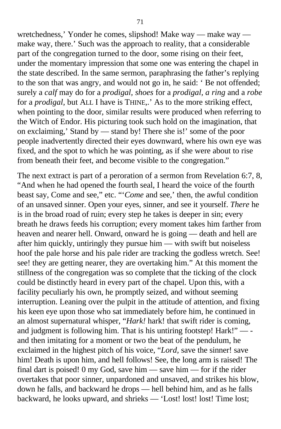wretchedness,' Yonder he comes, slipshod! Make way — make way make way, there.' Such was the approach to reality, that a considerable part of the congregation turned to the door, some rising on their feet, under the momentary impression that some one was entering the chapel in the state described. In the same sermon, paraphrasing the father's replying to the son that was angry, and would not go in, he said: ' Be not offended; surely a *calf* may do for a *prodigal, shoes* for a *prodigal, a ring* and a *robe* for a *prodigal,* but ALL I have is THINE,.' As to the more striking effect, when pointing to the door, similar results were produced when referring to the Witch of Endor. His picturing took such hold on the imagination, that on exclaiming,' Stand by — stand by! There she is!' some of the poor people inadvertently directed their eyes downward, where his own eye was fixed, and the spot to which he was pointing, as if she were about to rise from beneath their feet, and become visible to the congregation."

The next extract is part of a peroration of a sermon from Revelation 6:7, 8, "And when he had opened the fourth seal, I heard the voice of the fourth beast say, Come and see," etc. "'*Come* and see,' then, the awful condition of an unsaved sinner. Open your eyes, sinner, and see it yourself. *There* he is in the broad road of ruin; every step he takes is deeper in sin; every breath he draws feeds his corruption; every moment takes him farther from heaven and nearer hell. Onward, onward he is going — death and hell are after him quickly, untiringly they pursue him — with swift but noiseless hoof the pale horse and his pale rider are tracking the godless wretch. See! see! they are getting nearer, they are overtaking him." At this moment the stillness of the congregation was so complete that the ticking of the clock could be distinctly heard in every part of the chapel. Upon this, with a facility peculiarly his own, he promptly seized, and without seeming interruption. Leaning over the pulpit in the attitude of attention, and fixing his keen eye upon those who sat immediately before him, he continued in an almost supernatural whisper, "*Hark!* hark! that swift rider is coming, and judgment is following him. That is his untiring footstep! Hark!" — and then imitating for a moment or two the beat of the pendulum, he exclaimed in the highest pitch of his voice, "*Lord,* save the sinner! save him! Death is upon him, and hell follows! See, the long arm is raised! The final dart is poised! 0 my God, save him — save him — for if the rider overtakes that poor sinner, unpardoned and unsaved, and strikes his blow, down he falls, and backward he drops — hell behind him, and as he falls backward, he looks upward, and shrieks — 'Lost! lost! lost! Time lost;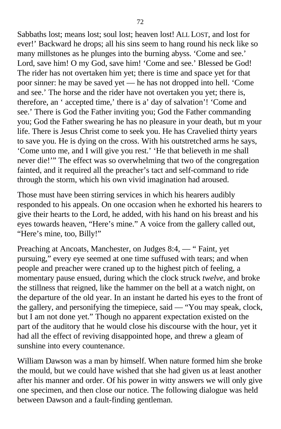Sabbaths lost; means lost; soul lost; heaven lost! ALL LOST, and lost for ever!' Backward he drops; all his sins seem to hang round his neck like so many millstones as he plunges into the burning abyss. 'Come and see.' Lord, save him! O my God, save him! 'Come and see.' Blessed be God! The rider has not overtaken him yet; there is time and space yet for that poor sinner: he may be saved yet — he has not dropped into hell. 'Come and see.' The horse and the rider have not overtaken you yet; there is, therefore, an ' accepted time,' there is a' day of salvation'! 'Come and see.' There is God the Father inviting you; God the Father commanding you; God the Father swearing he has no pleasure in your death, but m your life. There is Jesus Christ come to seek you. He has Cravelied thirty years to save you. He is dying on the cross. With his outstretched arms he says, 'Come unto me, and I will give you rest.' 'He that believeth in me shall never die!'" The effect was so overwhelming that two of the congregation fainted, and it required all the preacher's tact and self-command to ride through the storm, which his own vivid imagination had aroused.

Those must have been stirring services in which his hearers audibly responded to his appeals. On one occasion when he exhorted his hearers to give their hearts to the Lord, he added, with his hand on his breast and his eyes towards heaven, "Here's mine." A voice from the gallery called out, "Here's mine, too, Billy!"

Preaching at Ancoats, Manchester, on Judges 8:4, — " Faint, yet pursuing," every eye seemed at one time suffused with tears; and when people and preacher were craned up to the highest pitch of feeling, a momentary pause ensued, during which the clock struck *twelve,* and broke the stillness that reigned, like the hammer on the bell at a watch night, on the departure of the old year. In an instant he darted his eyes to the front of the gallery, and personifying the timepiece, said — "You may speak, clock, but I am not done yet." Though no apparent expectation existed on the part of the auditory that he would close his discourse with the hour, yet it had all the effect of reviving disappointed hope, and threw a gleam of sunshine into every countenance.

William Dawson was a man by himself. When nature formed him she broke the mould, but we could have wished that she had given us at least another after his manner and order. Of his power in witty answers we will only give one specimen, and then close our notice. The following dialogue was held between Dawson and a fault-finding gentleman.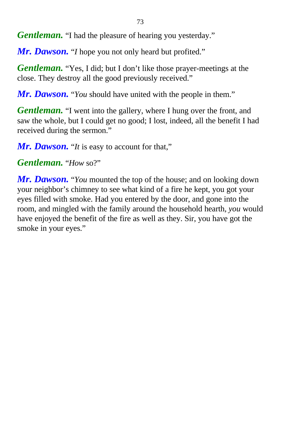*Gentleman.* "I had the pleasure of hearing you yesterday."

*Mr. Dawson.* "*I* hope you not only heard but profited."

*Gentleman.* "Yes, I did; but I don't like those prayer-meetings at the close. They destroy all the good previously received."

*Mr. Dawson.* "*You* should have united with the people in them."

*Gentleman.* "I went into the gallery, where I hung over the front, and saw the whole, but I could get no good; I lost, indeed, all the benefit I had received during the sermon."

*Mr. Dawson.* "It is easy to account for that,"

*Gentleman.* "*How* so?"

*Mr. Dawson.* "*You* mounted the top of the house; and on looking down your neighbor's chimney to see what kind of a fire he kept, you got your eyes filled with smoke. Had you entered by the door, and gone into the room, and mingled with the family around the household hearth, *you* would have enjoyed the benefit of the fire as well as they. Sir, you have got the smoke in your eyes."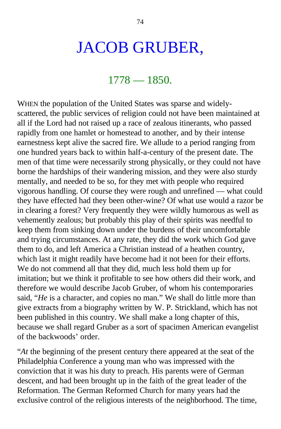## JACOB GRUBER,

### 1778 — 1850.

WHEN the population of the United States was sparse and widelyscattered, the public services of religion could not have been maintained at all if the Lord had not raised up a race of zealous itinerants, who passed rapidly from one hamlet or homestead to another, and by their intense earnestness kept alive the sacred fire. We allude to a period ranging from one hundred years back to within half-a-century of the present date. The men of that time were necessarily strong physically, or they could not have borne the hardships of their wandering mission, and they were also sturdy mentally, and needed to be so, for they met with people who required vigorous handling. Of course they were rough and unrefined — what could they have effected had they been other-wine? Of what use would a razor be in clearing a forest? Very frequently they were wildly humorous as well as vehemently zealous; but probably this play of their spirits was needful to keep them from sinking down under the burdens of their uncomfortable and trying circumstances. At any rate, they did the work which God gave them to do, and left America a Christian instead of a heathen country, which last it might readily have become had it not been for their efforts. We do not commend all that they did, much less hold them up for imitation; but we think it profitable to see how others did their work, and therefore we would describe Jacob Gruber, of whom his contemporaries said, "*He* is a character, and copies no man." We shall do little more than give extracts from a biography written by W. P. Strickland, which has not been published in this country. We shall make a long chapter of this, because we shall regard Gruber as a sort of spacimen American evangelist of the backwoods' order.

"*At* the beginning of the present century there appeared at the seat of the Philadelphia Conference a young man who was impressed with the conviction that it was his duty to preach. His parents were of German descent, and had been brought up in the faith of the great leader of the Reformation. The German Reformed Church for many years had the exclusive control of the religious interests of the neighborhood. The time,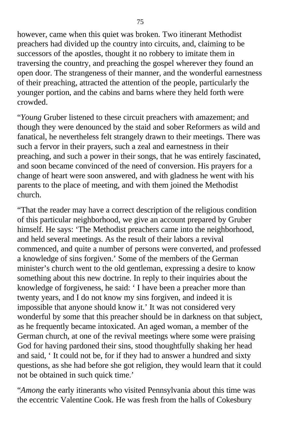however, came when this quiet was broken. Two itinerant Methodist preachers had divided up the country into circuits, and, claiming to be successors of the apostles, thought it no robbery to imitate them in traversing the country, and preaching the gospel wherever they found an open door. The strangeness of their manner, and the wonderful earnestness of their preaching, attracted the attention of the people, particularly the younger portion, and the cabins and barns where they held forth were crowded.

"*Young* Gruber listened to these circuit preachers with amazement; and though they were denounced by the staid and sober Reformers as wild and fanatical, he nevertheless felt strangely drawn to their meetings. There was such a fervor in their prayers, such a zeal and earnestness in their preaching, and such a power in their songs, that he was entirely fascinated, and soon became convinced of the need of conversion. His prayers for a change of heart were soon answered, and with gladness he went with his parents to the place of meeting, and with them joined the Methodist church.

"That the reader may have a correct description of the religious condition of this particular neighborhood, we give an account prepared by Gruber himself. He says: 'The Methodist preachers came into the neighborhood, and held several meetings. As the result of their labors a revival commenced, and quite a number of persons were converted, and professed a knowledge of sins forgiven.' Some of the members of the German minister's church went to the old gentleman, expressing a desire to know something about this new doctrine. In reply to their inquiries about the knowledge of forgiveness, he said: ' I have been a preacher more than twenty years, and I do not know my sins forgiven, and indeed it is impossible that anyone should know it.' It was not considered very wonderful by some that this preacher should be in darkness on that subject, as he frequently became intoxicated. An aged woman, a member of the German church, at one of the revival meetings where some were praising God for having pardoned their sins, stood thoughtfully shaking her head and said, ' It could not be, for if they had to answer a hundred and sixty questions, as she had before she got religion, they would learn that it could not be obtained in such quick time.'

"*Among* the early itinerants who visited Pennsylvania about this time was the eccentric Valentine Cook. He was fresh from the halls of Cokesbury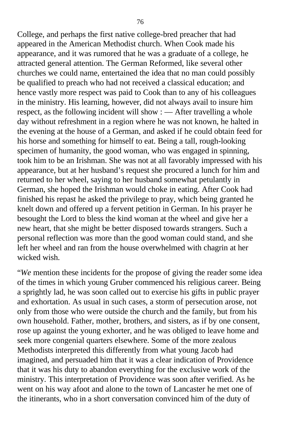College, and perhaps the first native college-bred preacher that had appeared in the American Methodist church. When Cook made his appearance, and it was rumored that he was a graduate of a college, he attracted general attention. The German Reformed, like several other churches we could name, entertained the idea that no man could possibly be qualified to preach who had not received a classical education; and hence vastly more respect was paid to Cook than to any of his colleagues in the ministry. His learning, however, did not always avail to insure him respect, as the following incident will show : — After travelling a whole day without refreshment in a region where he was not known, he halted in the evening at the house of a German, and asked if he could obtain feed for his horse and something for himself to eat. Being a tall, rough-looking specimen of humanity, the good woman, who was engaged in spinning, took him to be an Irishman. She was not at all favorably impressed with his appearance, but at her husband's request she procured a lunch for him and returned to her wheel, saying to her husband somewhat petulantly in German, she hoped the Irishman would choke in eating. After Cook had finished his repast he asked the privilege to pray, which being granted he knelt down and offered up a fervent petition in German. In his prayer he besought the Lord to bless the kind woman at the wheel and give her a new heart, that she might be better disposed towards strangers. Such a personal reflection was more than the good woman could stand, and she left her wheel and ran from the house overwhelmed with chagrin at her wicked wish.

"*We* mention these incidents for the propose of giving the reader some idea of the times in which young Gruber commenced his religious career. Being a sprightly lad, he was soon called out to exercise his gifts in public prayer and exhortation. As usual in such cases, a storm of persecution arose, not only from those who were outside the church and the family, but from his own household. Father, mother, brothers, and sisters, as if by one consent, rose up against the young exhorter, and he was obliged to leave home and seek more congenial quarters elsewhere. Some of the more zealous Methodists interpreted this differently from what young Jacob had imagined, and persuaded him that it was a clear indication of Providence that it was his duty to abandon everything for the exclusive work of the ministry. This interpretation of Providence was soon after verified. As he went on his way afoot and alone to the town of Lancaster he met one of the itinerants, who in a short conversation convinced him of the duty of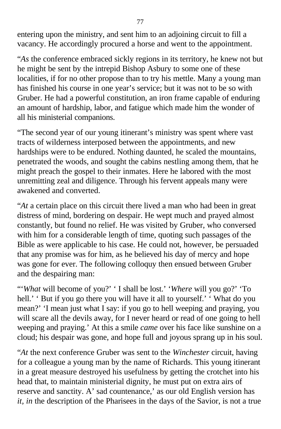entering upon the ministry, and sent him to an adjoining circuit to fill a vacancy. He accordingly procured a horse and went to the appointment.

"*As* the conference embraced sickly regions in its territory, he knew not but he might be sent by the intrepid Bishop Asbury to some one of these localities, if for no other propose than to try his mettle. Many a young man has finished his course in one year's service; but it was not to be so with Gruber. He had a powerful constitution, an iron frame capable of enduring an amount of hardship, labor, and fatigue which made him the wonder of all his ministerial companions.

"The second year of our young itinerant's ministry was spent where vast tracts of wilderness interposed between the appointments, and new hardships were to be endured. Nothing daunted, he scaled the mountains, penetrated the woods, and sought the cabins nestling among them, that he might preach the gospel to their inmates. Here he labored with the most unremitting zeal and diligence. Through his fervent appeals many were awakened and converted.

"*At* a certain place on this circuit there lived a man who had been in great distress of mind, bordering on despair. He wept much and prayed almost constantly, but found no relief. He was visited by Gruber, who conversed with him for a considerable length of time, quoting such passages of the Bible as were applicable to his case. He could not, however, be persuaded that any promise was for him, as he believed his day of mercy and hope was gone for ever. The following colloquy then ensued between Gruber and the despairing man:

"'*What* will become of you?' ' I shall be lost.' '*Where* will you go?' 'To hell.' ' But if you go there you will have it all to yourself.' ' What do you mean?' 'I mean just what I say: if you go to hell weeping and praying, you will scare all the devils away, for I never heard or read of one going to hell weeping and praying.' At this a smile *came* over his face like sunshine on a cloud; his despair was gone, and hope full and joyous sprang up in his soul.

"*At* the next conference Gruber was sent to the *Winchester* circuit, having for a colleague a young man by the name of Richards. This young itinerant in a great measure destroyed his usefulness by getting the crotchet into his head that, to maintain ministerial dignity, he must put on extra airs of reserve and sanctity. A' sad countenance,' as our old English version has *it, in* the description of the Pharisees in the days of the Savior, is not a true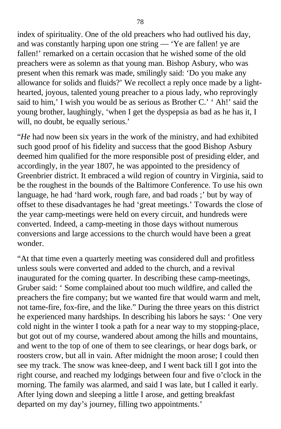index of spirituality. One of the old preachers who had outlived his day, and was constantly harping upon one string — 'Ye are fallen! ye are fallen!' remarked on a certain occasion that he wished some of the old preachers were as solemn as that young man. Bishop Asbury, who was present when this remark was made, smilingly said: 'Do you make any allowance for solids and fluids?' We recollect a reply once made by a lighthearted, joyous, talented young preacher to a pious lady, who reprovingly said to him,' I wish you would be as serious as Brother C.' ' Ah!' said the young brother, laughingly, 'when I get the dyspepsia as bad as he has it, I will, no doubt, be equally serious.'

"*He* had now been six years in the work of the ministry, and had exhibited such good proof of his fidelity and success that the good Bishop Asbury deemed him qualified for the more responsible post of presiding elder, and accordingly, in the year 1807, he was appointed to the presidency of Greenbrier district. It embraced a wild region of country in Virginia, said to be the roughest in the bounds of the Baltimore Conference. To use his own language, he had 'hard work, rough fare, and bad roads ;' but by way of offset to these disadvantages he had 'great meetings.' Towards the close of the year camp-meetings were held on every circuit, and hundreds were converted. Indeed, a camp-meeting in those days without numerous conversions and large accessions to the church would have been a great wonder.

"At that time even a quarterly meeting was considered dull and profitless unless souls were converted and added to the church, and a revival inaugurated for the coming quarter. In describing these camp-meetings, Gruber said: ' Some complained about too much wildfire, and called the preachers the fire company; but we wanted fire that would warm and melt, not tame-fire, fox-fire, and the like." During the three years on this district he experienced many hardships. In describing his labors he says: ' One very cold night in the winter I took a path for a near way to my stopping-place, but got out of my course, wandered about among the hills and mountains, and went to the top of one of them to see clearings, or hear dogs bark, or roosters crow, but all in vain. After midnight the moon arose; I could then see my track. The snow was knee-deep, and I went back till I got into the right course, and reached my lodgings between four and five o'clock in the morning. The family was alarmed, and said I was late, but I called it early. After lying down and sleeping a little I arose, and getting breakfast departed on my day's journey, filling two appointments.'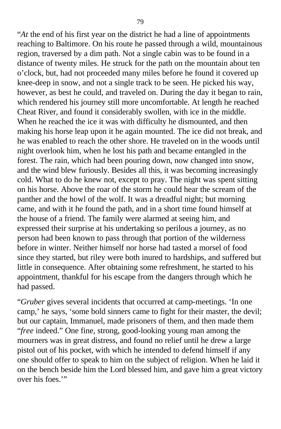"*At* the end of his first year on the district he had a line of appointments reaching to Baltimore. On his route he passed through a wild, mountainous region, traversed by a dim path. Not a single cabin was to be found in a distance of twenty miles. He struck for the path on the mountain about ten o'clock, but, had not proceeded many miles before he found it covered up knee-deep in snow, and not a single track to be seen. He picked his way, however, as best he could, and traveled on. During the day it began to rain, which rendered his journey still more uncomfortable. At length he reached Cheat River, and found it considerably swollen, with ice in the middle. When he reached the ice it was with difficulty he dismounted, and then making his horse leap upon it he again mounted. The ice did not break, and he was enabled to reach the other shore. He traveled on in the woods until night overlook him, when he lost his path and became entangled in the forest. The rain, which had been pouring down, now changed into snow, and the wind blew furiously. Besides all this, it was becoming increasingly cold. What to do he knew not, except to pray. The night was spent sitting on his horse. Above the roar of the storm he could hear the scream of the panther and the howl of the wolf. It was a dreadful night; but morning came, and with it he found the path, and in a short time found himself at the house of a friend. The family were alarmed at seeing him, and expressed their surprise at his undertaking so perilous a journey, as no person had been known to pass through that portion of the wilderness before in winter. Neither himself nor horse had tasted a morsel of food since they started, but riley were both inured to hardships, and suffered but little in consequence. After obtaining some refreshment, he started to his appointment, thankful for his escape from the dangers through which he had passed.

"*Gruber* gives several incidents that occurred at camp-meetings. 'In one camp,' he says, 'some bold sinners came to fight for their master, the devil; but our captain, Immanuel, made prisoners of them, and then made them "*free* indeed." One fine, strong, good-looking young man among the mourners was in great distress, and found no relief until he drew a large pistol out of his pocket, with which he intended to defend himself if any one should offer to speak to him on the subject of religion. When he laid it on the bench beside him the Lord blessed him, and gave him a great victory over his foes."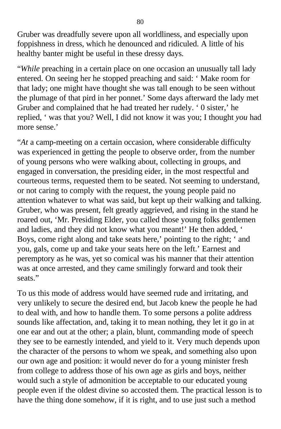Gruber was dreadfully severe upon all worldliness, and especially upon foppishness in dress, which he denounced and ridiculed. A little of his healthy banter might be useful in these dressy days.

"*While* preaching in a certain place on one occasion an unusually tall lady entered. On seeing her he stopped preaching and said: ' Make room for that lady; one might have thought she was tall enough to be seen without the plumage of that pird in her ponnet.' Some days afterward the lady met Gruber and complained that he had treated her rudely. ' 0 sister,' he replied, ' was that you? Well, I did not know it was you; I thought *you* had more sense.'

"*At* a camp-meeting on a certain occasion, where considerable difficulty was experienced in getting the people to observe order, from the number of young persons who were walking about, collecting in groups, and engaged in conversation, the presiding eider, in the most respectful and courteous terms, requested them to be seated. Not seeming to understand, or not caring to comply with the request, the young people paid no attention whatever to what was said, but kept up their walking and talking. Gruber, who was present, felt greatly aggrieved, and rising in the stand he roared out, 'Mr. Presiding Elder, you called those young folks gentlemen and ladies, and they did not know what you meant!' He then added, ' Boys, come right along and take seats here,' pointing to the right; ' and you, gals, come up and take your seats here on the left.' Earnest and peremptory as he was, yet so comical was his manner that their attention was at once arrested, and they came smilingly forward and took their seats."

To us this mode of address would have seemed rude and irritating, and very unlikely to secure the desired end, but Jacob knew the people he had to deal with, and how to handle them. To some persons a polite address sounds like affectation, and, taking it to mean nothing, they let it go in at one ear and out at the other; a plain, blunt, commanding mode of speech they see to be earnestly intended, and yield to it. Very much depends upon the character of the persons to whom we speak, and something also upon our own age and position: it would never do for a young minister fresh from college to address those of his own age as girls and boys, neither would such a style of admonition be acceptable to our educated young people even if the oldest divine so accosted them. The practical lesson is to have the thing done somehow, if it is right, and to use just such a method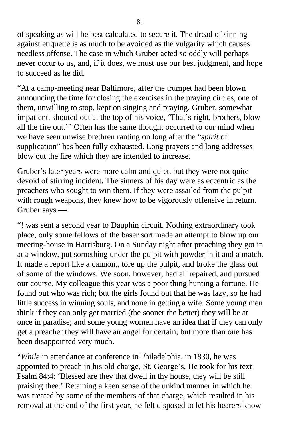of speaking as will be best calculated to secure it. The dread of sinning against etiquette is as much to be avoided as the vulgarity which causes needless offense. The case in which Gruber acted so oddly will perhaps never occur to us, and, if it does, we must use our best judgment, and hope to succeed as he did.

"At a camp-meeting near Baltimore, after the trumpet had been blown announcing the time for closing the exercises in the praying circles, one of them, unwilling to stop, kept on singing and praying. Gruber, somewhat impatient, shouted out at the top of his voice, 'That's right, brothers, blow all the fire out.'" Often has the same thought occurred to our mind when we have seen unwise brethren ranting on long after the "*spirit* of supplication" has been fully exhausted. Long prayers and long addresses blow out the fire which they are intended to increase.

Gruber's later years were more calm and quiet, but they were not quite devoid of stirring incident. The sinners of his day were as eccentric as the preachers who sought to win them. If they were assailed from the pulpit with rough weapons, they knew how to be vigorously offensive in return. Gruber says —

"! was sent a second year to Dauphin circuit. Nothing extraordinary took place, only some fellows of the baser sort made an attempt to blow up our meeting-house in Harrisburg. On a Sunday night after preaching they got in at a window, put something under the pulpit with powder in it and a match. It made a report like a cannon,, tore up the pulpit, and broke the glass out of some of the windows. We soon, however, had all repaired, and pursued our course. My colleague this year was a poor thing hunting a fortune. He found out who was rich; but the girls found out that he was lazy, so he had little success in winning souls, and none in getting a wife. Some young men think if they can only get married (the sooner the better) they will be at once in paradise; and some young women have an idea that if they can only get a preacher they will have an angel for certain; but more than one has been disappointed very much.

"*While* in attendance at conference in Philadelphia, in 1830, he was appointed to preach in his old charge, St. George's. He took for his text Psalm 84:4: 'Blessed are they that dwell in thy house, they will be still praising thee.' Retaining a keen sense of the unkind manner in which he was treated by some of the members of that charge, which resulted in his removal at the end of the first year, he felt disposed to let his hearers know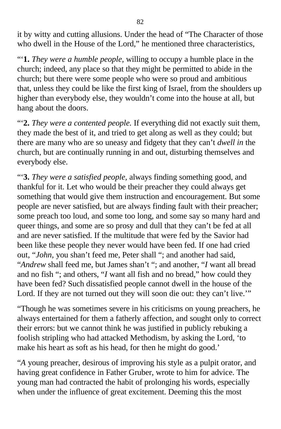it by witty and cutting allusions. Under the head of "The Character of those who dwell in the House of the Lord," he mentioned three characteristics,

"'**1.** *They were a humble people,* willing to occupy a humble place in the church; indeed, any place so that they might be permitted to abide in the church; but there were some people who were so proud and ambitious that, unless they could be like the first king of Israel, from the shoulders up higher than everybody else, they wouldn't come into the house at all, but hang about the doors.

"'**2.** *They were a contented people.* If everything did not exactly suit them, they made the best of it, and tried to get along as well as they could; but there are many who are so uneasy and fidgety that they can't *dwell in* the church, but are continually running in and out, disturbing themselves and everybody else.

"'**3.** *They were a satisfied people,* always finding something good, and thankful for it. Let who would be their preacher they could always get something that would give them instruction and encouragement. But some people are never satisfied, but are always finding fault with their preacher; some preach too loud, and some too long, and some say so many hard and queer things, and some are so prosy and dull that they can't be fed at all and are never satisfied. If the multitude that were fed by the Savior had been like these people they never would have been fed. If one had cried out, "*John,* you shan't feed me, Peter shall "; and another had said, "*Andrew* shall feed me, but James shan't "; and another, "*I* want all bread and no fish "; and others, "*I* want all fish and no bread," how could they have been fed? Such dissatisfied people cannot dwell in the house of the Lord. If they are not turned out they will soon die out: they can't live."

"Though he was sometimes severe in his criticisms on young preachers, he always entertained for them a fatherly affection, and sought only to correct their errors: but we cannot think he was justified in publicly rebuking a foolish stripling who had attacked Methodism, by asking the Lord, 'to make his heart as soft as his head, for then he might do good.'

"*A* young preacher, desirous of improving his style as a pulpit orator, and having great confidence in Father Gruber, wrote to him for advice. The young man had contracted the habit of prolonging his words, especially when under the influence of great excitement. Deeming this the most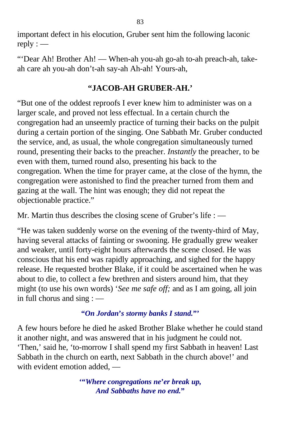important defect in his elocution, Gruber sent him the following laconic  $reply:$  —

"'Dear Ah! Brother Ah! — When-ah you-ah go-ah to-ah preach-ah, takeah care ah you-ah don't-ah say-ah Ah-ah! Yours-ah,

### **"JACOB-AH GRUBER-AH.'**

"But one of the oddest reproofs I ever knew him to administer was on a larger scale, and proved not less effectual. In a certain church the congregation had an unseemly practice of turning their backs on the pulpit during a certain portion of the singing. One Sabbath Mr. Gruber conducted the service, and, as usual, the whole congregation simultaneously turned round, presenting their backs to the preacher. *Instantly* the preacher, to be even with them, turned round also, presenting his back to the congregation. When the time for prayer came, at the close of the hymn, the congregation were astonished to find the preacher turned from them and gazing at the wall. The hint was enough; they did not repeat the objectionable practice."

Mr. Martin thus describes the closing scene of Gruber's life : —

"He was taken suddenly worse on the evening of the twenty-third of May, having several attacks of fainting or swooning. He gradually grew weaker and weaker, until forty-eight hours afterwards the scene closed. He was conscious that his end was rapidly approaching, and sighed for the happy release. He requested brother Blake, if it could be ascertained when he was about to die, to collect a few brethren and sisters around him, that they might (to use his own words) '*See me safe off;* and as I am going, all join in full chorus and sing : —

#### **"***On Jordan***'***s stormy banks I stand.***"'**

A few hours before he died he asked Brother Blake whether he could stand it another night, and was answered that in his judgment he could not. 'Then,' said he, 'to-morrow I shall spend my first Sabbath in heaven! Last Sabbath in the church on earth, next Sabbath in the church above!' and with evident emotion added, —

> **'"***Where congregations ne***'***er break up, And Sabbaths have no end.***"**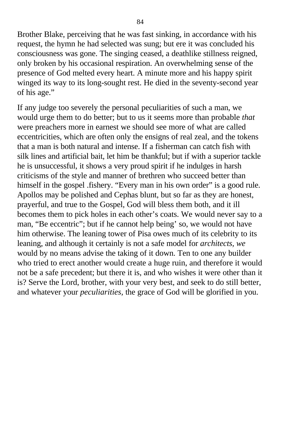Brother Blake, perceiving that he was fast sinking, in accordance with his request, the hymn he had selected was sung; but ere it was concluded his consciousness was gone. The singing ceased, a deathlike stillness reigned, only broken by his occasional respiration. An overwhelming sense of the presence of God melted every heart. A minute more and his happy spirit winged its way to its long-sought rest. He died in the seventy-second year of his age."

If any judge too severely the personal peculiarities of such a man, we would urge them to do better; but to us it seems more than probable *that* were preachers more in earnest we should see more of what are called eccentricities, which are often only the ensigns of real zeal, and the tokens that a man is both natural and intense. If a fisherman can catch fish with silk lines and artificial bait, let him be thankful; but if with a superior tackle he is unsuccessful, it shows a very proud spirit if he indulges in harsh criticisms of the style and manner of brethren who succeed better than himself in the gospel .fishery. "Every man in his own order" is a good rule. Apollos may be polished and Cephas blunt, but so far as they are honest, prayerful, and true to the Gospel, God will bless them both, and it ill becomes them to pick holes in each other's coats. We would never say to a man, "Be eccentric"; but if he cannot help being' so, we would not have him otherwise. The leaning tower of Pisa owes much of its celebrity to its leaning, and although it certainly is not a safe model for *architects, we* would by no means advise the taking of it down. Ten to one any builder who tried to erect another would create a huge ruin, and therefore it would not be a safe precedent; but there it is, and who wishes it were other than it is? Serve the Lord, brother, with your very best, and seek to do still better, and whatever your *peculiarities,* the grace of God will be glorified in you.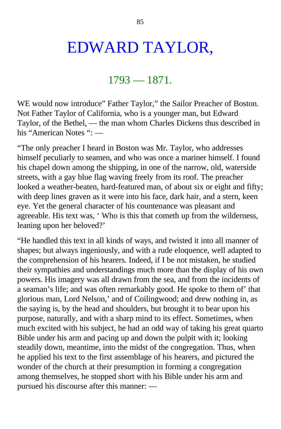## EDWARD TAYLOR,

### 1793 — 1871.

WE would now introduce" Father Taylor," the Sailor Preacher of Boston. Not Father Taylor of California, who is a younger man, but Edward Taylor, of the Bethel, — the man whom Charles Dickens thus described in his "American Notes ": —

"The only preacher I heard in Boston was Mr. Taylor, who addresses himself peculiarly to seamen, and who was once a mariner himself. I found his chapel down among the shipping, in one of the narrow, old, waterside streets, with a gay blue flag waving freely from its roof. The preacher looked a weather-beaten, hard-featured man, of about six or eight and fifty; with deep lines graven as it were into his face, dark hair, and a stern, keen eye. Yet the general character of his countenance was pleasant and agreeable. His text was, ' Who is this that cometh up from the wilderness, leaning upon her beloved?'

"He handled this text in all kinds of ways, and twisted it into all manner of shapes; but always ingeniously, and with a rude eloquence, well adapted to the comprehension of his hearers. Indeed, if I be not mistaken, he studied their sympathies and understandings much more than the display of his own powers. His imagery was all drawn from the sea, and from the incidents of a seaman's life; and was often remarkably good. He spoke to them of' that glorious man, Lord Nelson,' and of Coilingwood; and drew nothing in, as the saying is, by the head and shoulders, but brought it to bear upon his purpose, naturally, and with a sharp mind to its effect. Sometimes, when much excited with his subject, he had an odd way of taking his great quarto Bible under his arm and pacing up and down the pulpit with it; looking steadily down, meantime, into the midst of the congregation. Thus, when he applied his text to the first assemblage of his hearers, and pictured the wonder of the church at their presumption in forming a congregation among themselves, he stopped short with his Bible under his arm and pursued his discourse after this manner: —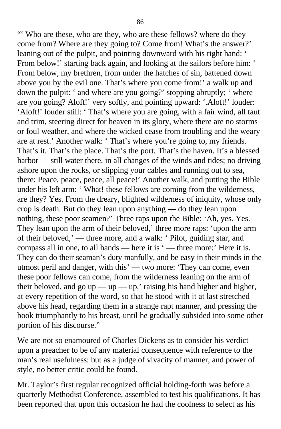"" Who are these, who are they, who are these fellows? where do they come from? Where are they going to? Come from! What's the answer?' leaning out of the pulpit, and pointing downward with his right hand: ' From below!' starting back again, and looking at the sailors before him: ' From below, my brethren, from under the hatches of sin, battened down above you by the evil one. That's where you come from!' a walk up and down the pulpit: ' and where are you going?' stopping abruptly; ' where are you going? Aloft!' very softly, and pointing upward: '.Aloft!' louder: 'Aloft!' louder still: ' That's where you are going, with a fair wind, all taut and trim, steering direct for heaven in its glory, where there are no storms or foul weather, and where the wicked cease from troubling and the weary are at rest.' Another walk: ' That's where you're going to, my friends. That's it. That's the place. That's the port. That's the haven. It's a blessed harbor — still water there, in all changes of the winds and tides; no driving ashore upon the rocks, or slipping your cables and running out to sea, there: Peace, peace, peace, all peace!' Another walk, and putting the Bible under his left arm: ' What! these fellows are coming from the wilderness, are they? Yes. From the dreary, blighted wilderness of iniquity, whose only crop is death. But do they lean upon anything — do they lean upon nothing, these poor seamen?' Three raps upon the Bible: 'Ah, yes. Yes. They lean upon the arm of their beloved,' three more raps: 'upon the arm of their beloved,' — three more, and a walk: ' Pilot, guiding star, and compass all in one, to all hands — here it is ' — three more:' Here it is. They can do their seaman's duty manfully, and be easy in their minds in the utmost peril and danger, with this' — two more: 'They can come, even these poor fellows can come, from the wilderness leaning on the arm of their beloved, and go up — up — up,' raising his hand higher and higher, at every repetition of the word, so that he stood with it at last stretched above his head, regarding them in a strange rapt manner, and pressing the book triumphantly to his breast, until he gradually subsided into some other portion of his discourse."

We are not so enamoured of Charles Dickens as to consider his verdict upon a preacher to be of any material consequence with reference to the man's real usefulness: but as a judge of vivacity of manner, and power of style, no better critic could be found.

Mr. Taylor's first regular recognized official holding-forth was before a quarterly Methodist Conference, assembled to test his qualifications. It has been reported that upon this occasion he had the coolness to select as his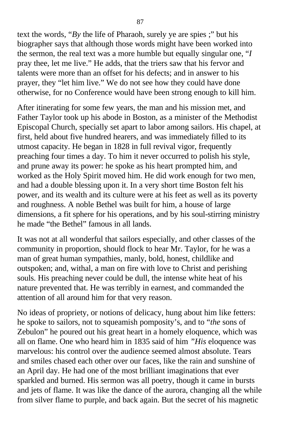text the words, "*By* the life of Pharaoh, surely ye are spies ;" but his biographer says that although those words might have been worked into the sermon, the real text was a more humble but equally singular one, "*I* pray thee, let me live." He adds, that the triers saw that his fervor and talents were more than an offset for his defects; and in answer to his prayer, they "let him live." We do not see how they could have done otherwise, for no Conference would have been strong enough to kill him.

After itinerating for some few years, the man and his mission met, and Father Taylor took up his abode in Boston, as a minister of the Methodist Episcopal Church, specially set apart to labor among sailors. His chapel, at first, held about five hundred hearers, and was immediately filled to its utmost capacity. He began in 1828 in full revival vigor, frequently preaching four times a day. To him it never occurred to polish his style, and prune away its power: he spoke as his heart prompted him, and worked as the Holy Spirit moved him. He did work enough for two men, and had a double blessing upon it. In a very short time Boston felt his power, and its wealth and its culture were at his feet as well as its poverty and roughness. A noble Bethel was built for him, a house of large dimensions, a fit sphere for his operations, and by his soul-stirring ministry he made "the Bethel" famous in all lands.

It was not at all wonderful that sailors especially, and other classes of the community in proportion, should flock to hear Mr. Taylor, for he was a man of great human sympathies, manly, bold, honest, childlike and outspoken; and, withal, a man on fire with love to Christ and perishing souls. His preaching never could be dull, the intense white heat of his nature prevented that. He was terribly in earnest, and commanded the attention of all around him for that very reason.

No ideas of propriety, or notions of delicacy, hung about him like fetters: he spoke to sailors, not to squeamish pomposity's, and to "*the* sons of Zebulon" he poured out his great heart in a homely eloquence, which was all on flame. One who heard him in 1835 said of him *"His* eloquence was marvelous: his control over the audience seemed almost absolute. Tears and smiles chased each other over our faces, like the rain and sunshine of an April day. He had one of the most brilliant imaginations that ever sparkled and burned. His sermon was all poetry, though it came in bursts and jets of flame. It was like the dance of the aurora, changing all the while from silver flame to purple, and back again. But the secret of his magnetic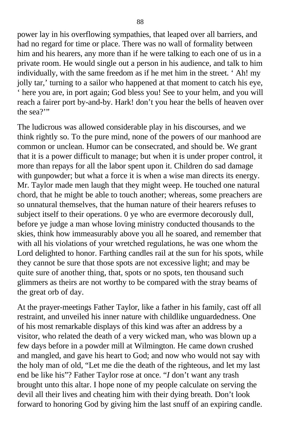power lay in his overflowing sympathies, that leaped over all barriers, and had no regard for time or place. There was no wall of formality between him and his hearers, any more than if he were talking to each one of us in a private room. He would single out a person in his audience, and talk to him individually, with the same freedom as if he met him in the street. ' Ah! my jolly tar,' turning to a sailor who happened at that moment to catch his eye, ' here you are, in port again; God bless you! See to your helm, and you will reach a fairer port by-and-by. Hark! don't you hear the bells of heaven over the sea?"

The ludicrous was allowed considerable play in his discourses, and we think rightly so. To the pure mind, none of the powers of our manhood are common or unclean. Humor can be consecrated, and should be. We grant that it is a power difficult to manage; but when it is under proper control, it more than repays for all the labor spent upon it. Children do sad damage with gunpowder; but what a force it is when a wise man directs its energy. Mr. Taylor made men laugh that they might weep. He touched one natural chord, that he might be able to touch another; whereas, some preachers are so unnatural themselves, that the human nature of their hearers refuses to subject itself to their operations. 0 ye who are evermore decorously dull, before ye judge a man whose loving ministry conducted thousands to the skies, think how immeasurably above you all he soared, and remember that with all his violations of your wretched regulations, he was one whom the Lord delighted to honor. Farthing candles rail at the sun for his spots, while they cannot be sure that those spots are not excessive light; and may be quite sure of another thing, that, spots or no spots, ten thousand such glimmers as theirs are not worthy to be compared with the stray beams of the great orb of day.

At the prayer-meetings Father Taylor, like a father in his family, cast off all restraint, and unveiled his inner nature with childlike unguardedness. One of his most remarkable displays of this kind was after an address by a visitor, who related the death of a very wicked man, who was blown up a few days before in a powder mill at Wilmington. He came down crushed and mangled, and gave his heart to God; and now who would not say with the holy man of old, "Let me die the death of the righteous, and let my last end be like his"? Father Taylor rose at once. "*I* don't want any trash brought unto this altar. I hope none of my people calculate on serving the devil all their lives and cheating him with their dying breath. Don't look forward to honoring God by giving him the last snuff of an expiring candle.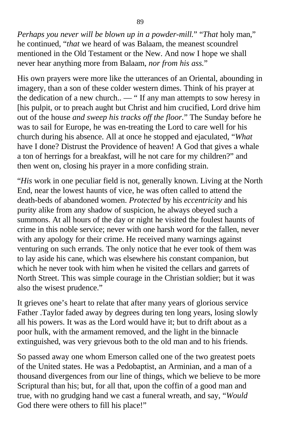*Perhaps you never will be blown up in a powder-mill.*" "*That* holy man," he continued, "*that* we heard of was Balaam, the meanest scoundrel mentioned in the Old Testament or the New. And now I hope we shall never hear anything more from Balaam, *nor from his ass.*"

His own prayers were more like the utterances of an Oriental, abounding in imagery, than a son of these colder western dimes. Think of his prayer at the dedication of a new church.. — " If any man attempts to sow heresy in [his pulpit, or to preach aught but Christ and him crucified, Lord drive him out of the house *and sweep his tracks off the floor.*" The Sunday before he was to sail for Europe, he was en-treating the Lord to care well for his church during his absence. All at once he stopped and ejaculated, "*What* have I done? Distrust the Providence of heaven! A God that gives a whale a ton of herrings for a breakfast, will he not care for my children?" and then went on, closing his prayer in a more confiding strain.

"*His* work in one peculiar field is not, generally known. Living at the North End, near the lowest haunts of vice, he was often called to attend the death-beds of abandoned women. *Protected* by his *eccentricity* and his purity alike from any shadow of suspicion, he always obeyed such a summons. At all hours of the day or night he visited the foulest haunts of crime in this noble service; never with one harsh word for the fallen, never with any apology for their crime. He received many warnings against venturing on such errands. The only notice that he ever took of them was to lay aside his cane, which was elsewhere his constant companion, but which he never took with him when he visited the cellars and garrets of North Street. This was simple courage in the Christian soldier; but it was also the wisest prudence."

It grieves one's heart to relate that after many years of glorious service Father .Taylor faded away by degrees during ten long years, losing slowly all his powers. It was as the Lord would have it; but to drift about as a poor hulk, with the armament removed, and the light in the binnacle extinguished, was very grievous both to the old man and to his friends.

So passed away one whom Emerson called one of the two greatest poets of the United states. He was a Pedobaptist, an Arminian, and a man of a thousand divergences from our line of things, which we believe to be more Scriptural than his; but, for all that, upon the coffin of a good man and true, with no grudging hand we cast a funeral wreath, and say, "*Would* God there were others to fill his place!"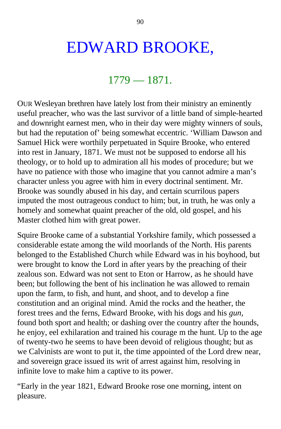## EDWARD BROOKE,

## 1779 — 1871.

OUR Wesleyan brethren have lately lost from their ministry an eminently useful preacher, who was the last survivor of a little band of simple-hearted and downright earnest men, who in their day were mighty winners of souls, but had the reputation of' being somewhat eccentric. 'William Dawson and Samuel Hick were worthily perpetuated in Squire Brooke, who entered into rest in January, 1871. We must not be supposed to endorse all his theology, or to hold up to admiration all his modes of procedure; but we have no patience with those who imagine that you cannot admire a man's character unless you agree with him in every doctrinal sentiment. Mr. Brooke was soundly abused in his day, and certain scurrilous papers imputed the most outrageous conduct to him; but, in truth, he was only a homely and somewhat quaint preacher of the old, old gospel, and his Master clothed him with great power.

Squire Brooke came of a substantial Yorkshire family, which possessed a considerable estate among the wild moorlands of the North. His parents belonged to the Established Church while Edward was in his boyhood, but were brought to know the Lord in after years by the preaching of their zealous son. Edward was not sent to Eton or Harrow, as he should have been; but following the bent of his inclination he was allowed to remain upon the farm, to fish, and hunt, and shoot, and to develop a fine constitution and an original mind. Amid the rocks and the heather, the forest trees and the ferns, Edward Brooke, with his dogs and his *gun,* found both sport and health; or dashing over the country after the hounds, he enjoy, eel exhilaration and trained his courage m the hunt. Up to the age of twenty-two he seems to have been devoid of religious thought; but as we Calvinists are wont to put it, the time appointed of the Lord drew near, and sovereign grace issued its writ of arrest against him, resolving in infinite love to make him a captive to its power.

"Early in the year 1821, Edward Brooke rose one morning, intent on pleasure.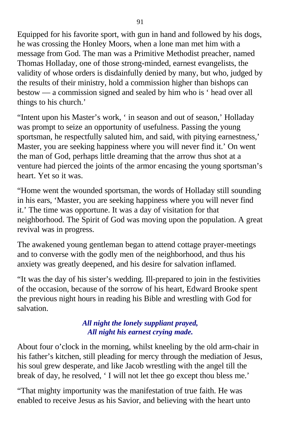Equipped for his favorite sport, with gun in hand and followed by his dogs, he was crossing the Honley Moors, when a lone man met him with a message from God. The man was a Primitive Methodist preacher, named Thomas Holladay, one of those strong-minded, earnest evangelists, the validity of whose orders is disdainfully denied by many, but who, judged by the results of their ministry, hold a commission higher than bishops can bestow — a commission signed and sealed by him who is ' head over all things to his church.'

"Intent upon his Master's work, ' in season and out of season,' Holladay was prompt to seize an opportunity of usefulness. Passing the young sportsman, he respectfully saluted him, and said, with pitying earnestness,' Master, you are seeking happiness where you will never find it.' On went the man of God, perhaps little dreaming that the arrow thus shot at a venture had pierced the joints of the armor encasing the young sportsman's heart. Yet so it was.

"Home went the wounded sportsman, the words of Holladay still sounding in his ears, 'Master, you are seeking happiness where you will never find it.' The time was opportune. It was a day of visitation for that neighborhood. The Spirit of God was moving upon the population. A great revival was in progress.

The awakened young gentleman began to attend cottage prayer-meetings and to converse with the godly men of the neighborhood, and thus his anxiety was greatly deepened, and his desire for salvation inflamed.

"It was the day of his sister's wedding. Ill-prepared to join in the festivities of the occasion, because of the sorrow of his heart, Edward Brooke spent the previous night hours in reading his Bible and wrestling with God for salvation.

#### *All night the lonely suppliant prayed, All night his earnest crying made.*

About four o'clock in the morning, whilst kneeling by the old arm-chair in his father's kitchen, still pleading for mercy through the mediation of Jesus, his soul grew desperate, and like Jacob wrestling with the angel till the break of day, he resolved, ' I will not let thee go except thou bless me.'

"That mighty importunity was the manifestation of true faith. He was enabled to receive Jesus as his Savior, and believing with the heart unto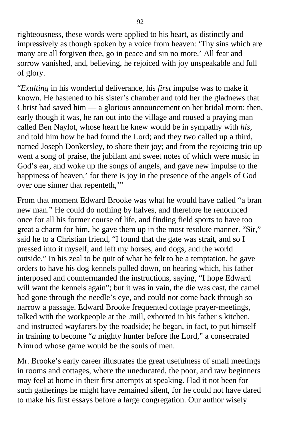righteousness, these words were applied to his heart, as distinctly and impressively as though spoken by a voice from heaven: 'Thy sins which are many are all forgiven thee, go in peace and sin no more.' All fear and sorrow vanished, and, believing, he rejoiced with joy unspeakable and full of glory.

"*Exulting* in his wonderful deliverance, his *first* impulse was to make it known. He hastened to his sister's chamber and told her the gladnews that Christ had saved him — a glorious announcement on her bridal morn: then, early though it was, he ran out into the village and roused a praying man called Ben Naylot, whose heart he knew would be in sympathy with *his,* and told him how he had found the Lord; and they two called up a third, named Joseph Donkersley, to share their joy; and from the rejoicing trio up went a song of praise, the jubilant and sweet notes of which were music in God's ear, and woke up the songs of angels, and gave new impulse to the happiness of heaven,' for there is joy in the presence of the angels of God over one sinner that repenteth,'"

From that moment Edward Brooke was what he would have called "a bran new man." He could do nothing by halves, and therefore he renounced once for all his former course of life, and finding field sports to have too great a charm for him, he gave them up in the most resolute manner. "Sir," said he to a Christian friend, "I found that the gate was strait, and so I pressed into it myself, and left my horses, and dogs, and the world outside." In his zeal to be quit of what he felt to be a temptation, he gave orders to have his dog kennels pulled down, on hearing which, his father interposed and countermanded the instructions, saying, "I hope Edward will want the kennels again"; but it was in vain, the die was cast, the camel had gone through the needle's eye, and could not come back through so narrow a passage. Edward Brooke frequented cottage prayer-meetings, talked with the workpeople at the .mill, exhorted in his father s kitchen, and instructed wayfarers by the roadside; he began, in fact, to put himself in training to become "*a* mighty hunter before the Lord," a consecrated Nimrod whose game would be the souls of men.

Mr. Brooke's early career illustrates the great usefulness of small meetings in rooms and cottages, where the uneducated, the poor, and raw beginners may feel at home in their first attempts at speaking. Had it not been for such gatherings he might have remained silent, for he could not have dared to make his first essays before a large congregation. Our author wisely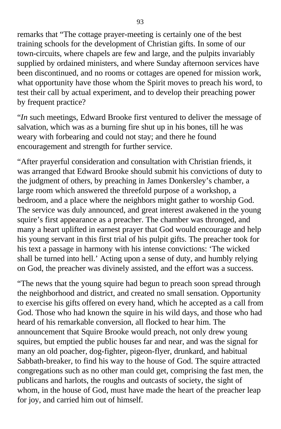remarks that "The cottage prayer-meeting is certainly one of the best training schools for the development of Christian gifts. In some of our town-circuits, where chapels are few and large, and the pulpits invariably supplied by ordained ministers, and where Sunday afternoon services have been discontinued, and no rooms or cottages are opened for mission work, what opportunity have those whom the Spirit moves to preach his word, to test their call by actual experiment, and to develop their preaching power by frequent practice?

"*In* such meetings, Edward Brooke first ventured to deliver the message of salvation, which was as a burning fire shut up in his bones, till he was weary with forbearing and could not stay; and there he found encouragement and strength for further service.

"After prayerful consideration and consultation with Christian friends, it was arranged that Edward Brooke should submit his convictions of duty to the judgment of others, by preaching in James Donkersley's chamber, a large room which answered the threefold purpose of a workshop, a bedroom, and a place where the neighbors might gather to worship God. The service was duly announced, and great interest awakened in the young squire's first appearance as a preacher. The chamber was thronged, and many a heart uplifted in earnest prayer that God would encourage and help his young servant in this first trial of his pulpit gifts. The preacher took for his text a passage in harmony with his intense convictions: 'The wicked shall be turned into hell.' Acting upon a sense of duty, and humbly relying on God, the preacher was divinely assisted, and the effort was a success.

"The news that the young squire had begun to preach soon spread through the neighborhood and district, and created no small sensation. Opportunity to exercise his gifts offered on every hand, which he accepted as a call from God. Those who had known the squire in his wild days, and those who had heard of his remarkable conversion, all flocked to hear him. The announcement that Squire Brooke would preach, not only drew young squires, but emptied the public houses far and near, and was the signal for many an old poacher, dog-fighter, pigeon-flyer, drunkard, and habitual Sabbath-breaker, to find his way to the house of God. The squire attracted congregations such as no other man could get, comprising the fast men, the publicans and harlots, the roughs and outcasts of society, the sight of whom, in the house of God, must have made the heart of the preacher leap for joy, and carried him out of himself.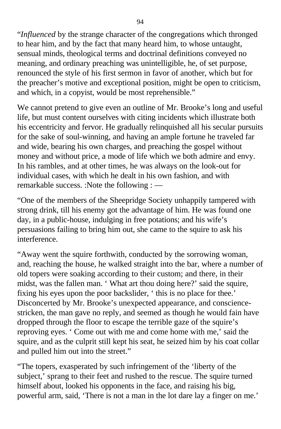"*Influenced* by the strange character of the congregations which thronged to hear him, and by the fact that many heard him, to whose untaught, sensual minds, theological terms and doctrinal definitions conveyed no meaning, and ordinary preaching was unintelligible, he, of set purpose, renounced the style of his first sermon in favor of another, which but for the preacher's motive and exceptional position, might be open to criticism, and which, in a copyist, would be most reprehensible."

We cannot pretend to give even an outline of Mr. Brooke's long and useful life, but must content ourselves with citing incidents which illustrate both his eccentricity and fervor. He gradually relinquished all his secular pursuits for the sake of soul-winning, and having an ample fortune he traveled far and wide, bearing his own charges, and preaching the gospel without money and without price, a mode of life which we both admire and envy. In his rambles, and at other times, he was always on the look-out for individual cases, with which he dealt in his own fashion, and with remarkable success. :Note the following : —

"One of the members of the Sheepridge Society unhappily tampered with strong drink, till his enemy got the advantage of him. He was found one day, in a public-house, indulging in free potations; and his wife's persuasions failing to bring him out, she came to the squire to ask his interference.

"Away went the squire forthwith, conducted by the sorrowing woman, and, reaching the house, he walked straight into the bar, where a number of old topers were soaking according to their custom; and there, in their midst, was the fallen man. ' What art thou doing here?' said the squire, fixing his eyes upon the poor backslider, ' this is no place for thee.' Disconcerted by Mr. Brooke's unexpected appearance, and consciencestricken, the man gave no reply, and seemed as though he would fain have dropped through the floor to escape the terrible gaze of the squire's reproving eyes. ' Come out with me and come home with me,' said the squire, and as the culprit still kept his seat, he seized him by his coat collar and pulled him out into the street."

"The topers, exasperated by such infringement of the 'liberty of the subject,' sprang to their feet and rushed to the rescue. The squire turned himself about, looked his opponents in the face, and raising his big, powerful arm, said, 'There is not a man in the lot dare lay a finger on me.'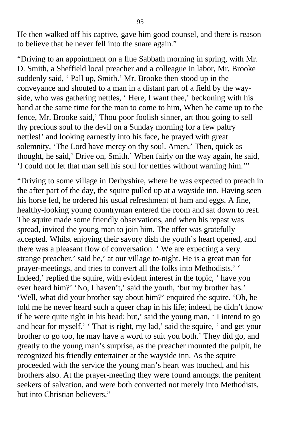He then walked off his captive, gave him good counsel, and there is reason to believe that he never fell into the snare again."

"Driving to an appointment on a flue Sabbath morning in spring, with Mr. D. Smith, a Sheffield local preacher and a colleague in labor, Mr. Brooke suddenly said, ' Pall up, Smith.' Mr. Brooke then stood up in the conveyance and shouted to a man in a distant part of a field by the wayside, who was gathering nettles, ' Here, I want thee,' beckoning with his hand at the same time for the man to come to him, When he came up to the fence, Mr. Brooke said,' Thou poor foolish sinner, art thou going to sell thy precious soul to the devil on a Sunday morning for a few paltry nettles!' and looking earnestly into his face, he prayed with great solemnity, 'The Lord have mercy on thy soul. Amen.' Then, quick as thought, he said,' Drive on, Smith.' When fairly on the way again, he said, 'I could not let that man sell his soul for nettles without warning him.'"

"Driving to some village in Derbyshire, where he was expected to preach in the after part of the day, the squire pulled up at a wayside inn. Having seen his horse fed, he ordered his usual refreshment of ham and eggs. A fine, healthy-looking young countryman entered the room and sat down to rest. The squire made some friendly observations, and when his repast was spread, invited the young man to join him. The offer was gratefully accepted. Whilst enjoying their savory dish the youth's heart opened, and there was a pleasant flow of conversation. ' We are expecting a very strange preacher,' said he,' at our village to-night. He is a great man for prayer-meetings, and tries to convert all the folks into Methodists.' ' Indeed,' replied the squire, with evident interest in the topic, ' have you ever heard him?' 'No, I haven't,' said the youth, 'but my brother has.' 'Well, what did your brother say about him?' enquired the squire. 'Oh, he told me he never heard such a queer chap in his life; indeed, he didn't know if he were quite right in his head; but,' said the young man, ' I intend to go and hear for myself.' ' That is right, my lad,' said the squire, ' and get your brother to go too, he may have a word to suit you both.' They did go, and greatly to the young man's surprise, as the preacher mounted the pulpit, he recognized his friendly entertainer at the wayside inn. As the squire proceeded with the service the young man's heart was touched, and his brothers also. At the prayer-meeting they were found amongst the penitent seekers of salvation, and were both converted not merely into Methodists, but into Christian believers."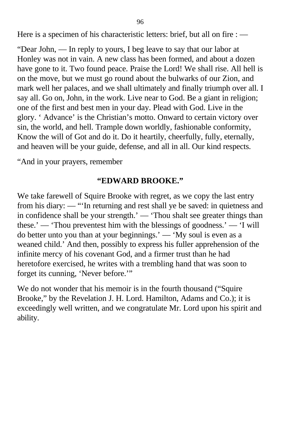Here is a specimen of his characteristic letters: brief, but all on fire : —

"Dear John, — In reply to yours, I beg leave to say that our labor at Honley was not in vain. A new class has been formed, and about a dozen have gone to it. Two found peace. Praise the Lord! We shall rise. All hell is on the move, but we must go round about the bulwarks of our Zion, and mark well her palaces, and we shall ultimately and finally triumph over all. I say all. Go on, John, in the work. Live near to God. Be a giant in religion; one of the first and best men in your day. Plead with God. Live in the glory. ' Advance' is the Christian's motto. Onward to certain victory over sin, the world, and hell. Trample down worldly, fashionable conformity, Know the will of Got and do it. Do it heartily, cheerfully, fully, eternally, and heaven will be your guide, defense, and all in all. Our kind respects.

"And in your prayers, remember

#### **"EDWARD BROOKE."**

We take farewell of Squire Brooke with regret, as we copy the last entry from his diary: — "'In returning and rest shall ye be saved: in quietness and in confidence shall be your strength.' — 'Thou shalt see greater things than these.' — 'Thou preventest him with the blessings of goodness.' — 'I will do better unto you than at your beginnings.' — 'My soul is even as a weaned child.' And then, possibly to express his fuller apprehension of the infinite mercy of his covenant God, and a firmer trust than he had heretofore exercised, he writes with a trembling hand that was soon to forget its cunning, 'Never before.'"

We do not wonder that his memoir is in the fourth thousand ("Squire Brooke," by the Revelation J. H. Lord. Hamilton, Adams and Co.); it is exceedingly well written, and we congratulate Mr. Lord upon his spirit and ability.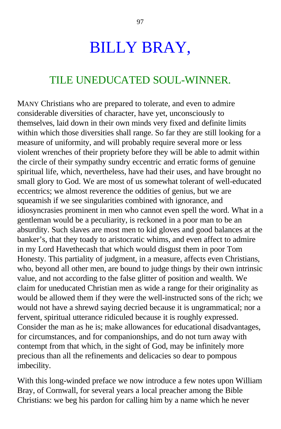## BILLY BRAY,

### TILE UNEDUCATED SOUL-WINNER.

MANY Christians who are prepared to tolerate, and even to admire considerable diversities of character, have yet, unconsciously to themselves, laid down in their own minds very fixed and definite limits within which those diversities shall range. So far they are still looking for a measure of uniformity, and will probably require several more or less violent wrenches of their propriety before they will be able to admit within the circle of their sympathy sundry eccentric and erratic forms of genuine spiritual life, which, nevertheless, have had their uses, and have brought no small glory to God. We are most of us somewhat tolerant of well-educated eccentrics; we almost reverence the oddities of genius, but we are squeamish if we see singularities combined with ignorance, and idiosyncrasies prominent in men who cannot even spell the word. What in a gentleman would be a peculiarity, is reckoned in a poor man to be an absurdity. Such slaves are most men to kid gloves and good balances at the banker's, that they toady to aristocratic whims, and even affect to admire in my Lord Havethecash that which would disgust them in poor Tom Honesty. This partiality of judgment, in a measure, affects even Christians, who, beyond all other men, are bound to judge things by their own intrinsic value, and not according to the false glitter of position and wealth. We claim for uneducated Christian men as wide a range for their originality as would be allowed them if they were the well-instructed sons of the rich; we would not have a shrewd saying decried because it is ungrammatical; nor a fervent, spiritual utterance ridiculed because it is roughly expressed. Consider the man as he is; make allowances for educational disadvantages, for circumstances, and for companionships, and do not turn away with contempt from that which, in the sight of God, may be infinitely more precious than all the refinements and delicacies so dear to pompous imbecility.

With this long-winded preface we now introduce a few notes upon William Bray, of Cornwall, for several years a local preacher among the Bible Christians: we beg his pardon for calling him by a name which he never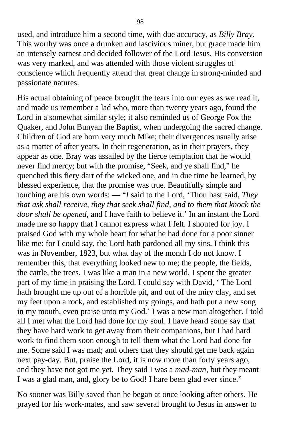used, and introduce him a second time, with due accuracy, as *Billy Bray.* This worthy was once a drunken and lascivious miner, but grace made him an intensely earnest and decided follower of the Lord Jesus. His conversion was very marked, and was attended with those violent struggles of conscience which frequently attend that great change in strong-minded and passionate natures.

His actual obtaining of peace brought the tears into our eyes as we read it, and made us remember a lad who, more than twenty years ago, found the Lord in a somewhat similar style; it also reminded us of George Fox the Quaker, and John Bunyan the Baptist, when undergoing the sacred change. Children of God are born very much Mike; their divergences usually arise as a matter of after years. In their regeneration, as in their prayers, they appear as one. Bray was assailed by the fierce temptation that he would never find mercy; but with the promise, "Seek, and ye shall find," he quenched this fiery dart of the wicked one, and in due time he learned, by blessed experience, that the promise was true. Beautifully simple and touching are his own words: — "*I* said to the Lord, 'Thou hast said, *They that ask shall receive, they that seek shall find, and to them that knock the door shall be opened,* and I have faith to believe it.' In an instant the Lord made me so happy that I cannot express what I felt. I shouted for joy. I praised God with my whole heart for what he had done for a poor sinner like me: for I could say, the Lord hath pardoned all my sins. I think this was in November, 1823, but what day of the month I do not know. I remember this, that everything looked new to me; the people, the fields, the cattle, the trees. I was like a man in a new world. I spent the greater part of my time in praising the Lord. I could say with David, ' The Lord hath brought me up out of a horrible pit, and out of the miry clay, and set my feet upon a rock, and established my goings, and hath put a new song in my mouth, even praise unto my God.' I was a new man altogether. I told all I met what the Lord had done for my soul. I have heard some say that they have hard work to get away from their companions, but I had hard work to find them soon enough to tell them what the Lord had done for me. Some said I was mad; and others that they should get me back again next pay-day. But, praise the Lord, it is now more than forty years ago, and they have not got me yet. They said I was a *mad-man,* but they meant I was a glad man, and, glory be to God! I hare been glad ever since."

No sooner was Billy saved than he began at once looking after others. He prayed for his work-mates, and saw several brought to Jesus in answer to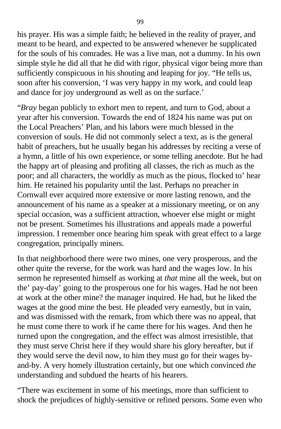his prayer. His was a simple faith; he believed in the reality of prayer, and meant to be heard, and expected to be answered whenever he supplicated for the souls of his comrades. He was a live man, not a dummy. In his own simple style he did all that he did with rigor, physical vigor being more than sufficiently conspicuous in his shouting and leaping for joy. "He tells us, soon after his conversion, 'I was very happy in my work, and could leap and dance for joy underground as well as on the surface.'

"*Bray* began publicly to exhort men to repent, and turn to God, about a year after his conversion. Towards the end of 1824 his name was put on the Local Preachers' Plan, and his labors were much blessed in the conversion of souls. He did not commonly select a text, as is the general habit of preachers, but he usually began his addresses by reciting a verse of a hymn, a little of his own experience, or some telling anecdote. But he had the happy art of pleasing and profiting all classes, the rich as much as the poor; and all characters, the worldly as much as the pious, flocked to' hear him. He retained his popularity until the last. Perhaps no preacher in Cornwall ever acquired more extensive or more lasting renown, and the announcement of his name as a speaker at a missionary meeting, or on any special occasion, was a sufficient attraction, whoever else might or might not be present. Sometimes his illustrations and appeals made a powerful impression. I remember once hearing him speak with great effect to a large congregation, principally miners.

In that neighborhood there were two mines, one very prosperous, and the other quite the reverse, for the work was hard and the wages low. In his sermon he represented himself as working at *that* mine all the week, but on the' pay-day' going to the prosperous one for his wages. Had he not been at work at the other mine? the manager inquired. He had, but he liked the wages at the good mine the best. He pleaded very earnestly, but in vain, and was dismissed with the remark, from which there was no appeal, that he must come there to work if he came there for his wages. And then he turned upon the congregation, and the effect was almost irresistible, that they must serve Christ here if they would share his glory hereafter, but if they would serve the devil now, to him they must go for their wages byand-by. A very homely illustration certainly, but one which convinced *the* understanding and subdued the hearts of his hearers.

"There was excitement in some of his meetings, more than sufficient to shock the prejudices of highly-sensitive or refined persons. Some even who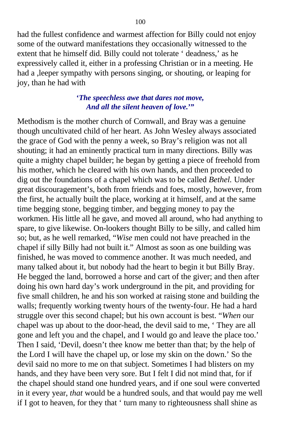had the fullest confidence and warmest affection for Billy could not enjoy some of the outward manifestations they occasionally witnessed to the extent that he himself did. Billy could not tolerate ' deadness,' as he expressively called it, either in a professing Christian or in a meeting. He had a ,leeper sympathy with persons singing, or shouting, or leaping for joy, than he had with

#### **'***The speechless awe that dares not move, And all the silent heaven of love.***'"**

Methodism is the mother church of Cornwall, and Bray was a genuine though uncultivated child of her heart. As John Wesley always associated the grace of God with the penny a week, so Bray's religion was not all shouting; it had an eminently practical turn in many directions. Billy was quite a mighty chapel builder; he began by getting a piece of freehold from his mother, which he cleared with his own hands, and then proceeded to dig out the foundations of a chapel which was to be called *Bethel.* Under great discouragement's, both from friends and foes, mostly, however, from the first, he actually built the place, working at it himself, and at the same time begging stone, begging timber, and begging money to pay the workmen. His little all he gave, and moved all around, who had anything to spare, to give likewise. On-lookers thought Billy to be silly, and called him so; but, as he well remarked, "*Wise* men could not have preached in the chapel if silly Billy had not built it." Almost as soon as one building was finished, he was moved to commence another. It was much needed, and many talked about it, but nobody had the heart to begin it but Billy Bray. He begged the land, borrowed a horse and cart of the giver; and then after doing his own hard day's work underground in the pit, and providing for five small children, he and his son worked at raising stone and building the walls; frequently working twenty hours of the twenty-four. He had a hard struggle over this second chapel; but his own account is best. "*When* our chapel was up about to the door-head, the devil said to me, ' They are all gone and left you and the chapel, and I would go and leave the place too.' Then I said, 'Devil, doesn't thee know me better than that; by the help of the Lord I will have the chapel up, or lose my skin on the down.' So the devil said no more to me on that subject. Sometimes I had blisters on my hands, and they have been very sore. But I felt I did not mind that, for if the chapel should stand one hundred years, and if one soul were converted in it every year, *that* would be a hundred souls, and that would pay me well if I got to heaven, for they that ' turn many to righteousness shall shine as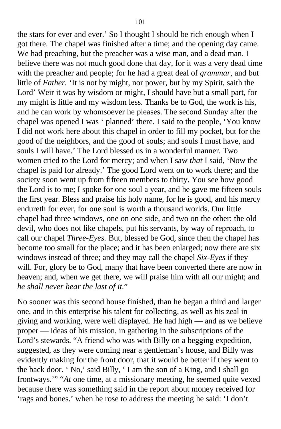the stars for ever and ever.' So I thought I should be rich enough when I got there. The chapel was finished after a time; and the opening day came. We had preaching, but the preacher was a wise man, and a dead man. I believe there was not much good done that day, for it was a very dead time with the preacher and people; for he had a great deal of *grammar,* and but little of *Father.* 'It is not by might, nor power, but by my Spirit, saith the Lord' Weir it was by wisdom or might, I should have but a small part, for my might is little and my wisdom less. Thanks be to God, the work is his, and he can work by whomsoever he pleases. The second Sunday after the chapel was opened I was ' planned' there. I said to the people, 'You know I did not work here about this chapel in order to fill my pocket, but for the good of the neighbors, and the good of souls; and souls I must have, and souls I will have.' The Lord blessed us in a wonderful manner. Two women cried to the Lord for mercy; and when I saw *that* I said, 'Now the chapel is paid for already.' The good Lord went on to work there; and the society soon went up from fifteen members to thirty. You see how good the Lord is to me; I spoke for one soul a year, and he gave me fifteen souls the first year. Bless and praise his holy name, for he is good, and his mercy endureth for ever, for one soul is worth a thousand worlds. Our little chapel had three windows, one on one side, and two on the other; the old devil, who does not like chapels, put his servants, by way of reproach, to call our chapel *Three-Eyes.* But, blessed be God, since then the chapel has become too small for the place; and it has been enlarged; now there are six windows instead of three; and they may call the chapel *Six-Eyes* if they will. For, glory be to God, many that have been converted there are now in heaven; and, when we get there, we will praise him with all our might; and *he shall never hear the last of it.*"

No sooner was this second house finished, than he began a third and larger one, and in this enterprise his talent for collecting, as well as his zeal in giving and working, were well displayed. He had high — and as we believe proper — ideas of his mission, in gathering in the subscriptions of the Lord's stewards. "A friend who was with Billy on a begging expedition, suggested, as they were coming near a gentleman's house, and Billy was evidently making for the front door, that it would be better if they went to the back door. ' No,' said Billy, ' I am the son of a King, and I shall go frontways.'" "*At* one time, at a missionary meeting, he seemed quite vexed because there was something said in the report about money received for 'rags and bones.' when he rose to address the meeting he said: 'I don't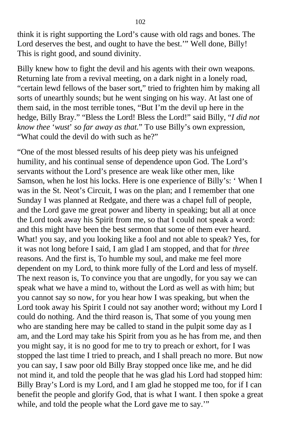think it is right supporting the Lord's cause with old rags and bones. The Lord deserves the best, and ought to have the best.'" Well done, Billy! This is right good, and sound divinity.

Billy knew how to fight the devil and his agents with their own weapons. Returning late from a revival meeting, on a dark night in a lonely road, "certain lewd fellows of the baser sort," tried to frighten him by making all sorts of unearthly sounds; but he went singing on his way. At last one of them said, in the most terrible tones, "But I'm the devil up here in the hedge, Billy Bray." "Bless the Lord! Bless the Lord!" said Billy, "*I did not know thee* '*wust*' *so far away as that.*" To use Billy's own expression, "What could the devil do with such as he?"

"One of the most blessed results of his deep piety was his unfeigned humility, and his continual sense of dependence upon God. The Lord's servants without the Lord's presence are weak like other men, like Samson, when he lost his locks. Here is one experience of Billy's: ' When I was in the St. Neot's Circuit, I was on the plan; and I remember that one Sunday I was planned at Redgate, and there was a chapel full of people, and the Lord gave me great power and liberty in speaking; but all at once the Lord took away his Spirit from me, so that I could not speak a word: and this might have been the best sermon that some of them ever heard. What! you say, and you looking like a fool and not able to speak? Yes, for it was not long before I said, I am glad I am stopped, and that for *three* reasons. And the first is, To humble my soul, and make me feel more dependent on my Lord, to think more fully of the Lord and less of myself. The next reason is, To convince you that are ungodly, for you say we can speak what we have a mind to, without the Lord as well as with him; but you cannot say so now, for you hear how I was speaking, but when the Lord took away his Spirit I could not say another word; without my Lord I could do nothing. And the third reason is, That some of you young men who are standing here may be called to stand in the pulpit some day as I am, and the Lord may take his Spirit from you as he has from me, and then you might say, it is no good for me to try to preach or exhort, for I was stopped the last time I tried to preach, and I shall preach no more. But now you can say, I saw poor old Billy Bray stopped once like me, and he did not mind it, and told the people that he was glad his Lord had stopped him: Billy Bray's Lord is my Lord, and I am glad he stopped me too, for if I can benefit the people and glorify God, that is what I want. I then spoke a great while, and told the people what the Lord gave me to say."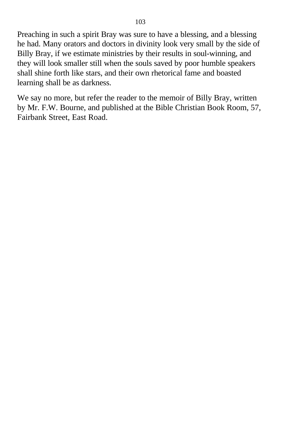Preaching in such a spirit Bray was sure to have a blessing, and a blessing he had. Many orators and doctors in divinity look very small by the side of Billy Bray, if we estimate ministries by their results in soul-winning, and they will look smaller still when the souls saved by poor humble speakers shall shine forth like stars, and their own rhetorical fame and boasted learning shall be as darkness.

We say no more, but refer the reader to the memoir of Billy Bray, written by Mr. F.W. Bourne, and published at the Bible Christian Book Room, 57, Fairbank Street, East Road.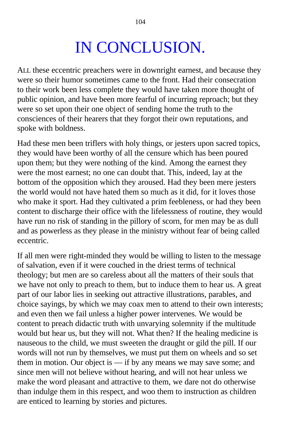# IN CONCLUSION.

ALL these eccentric preachers were in downright earnest, and because they were so their humor sometimes came to the front. Had their consecration to their work been less complete they would have taken more thought of public opinion, and have been more fearful of incurring reproach; but they were so set upon their one object of sending home the truth to the consciences of their hearers that they forgot their own reputations, and spoke with boldness.

Had these men been triflers with holy things, or jesters upon sacred topics, they would have been worthy of all the censure which has been poured upon them; but they were nothing of the kind. Among the earnest they were the most earnest; no one can doubt that. This, indeed, lay at the bottom of the opposition which they aroused. Had they been mere jesters the world would not have hated them so much as it did, for it loves those who make it sport. Had they cultivated a prim feebleness, or had they been content to discharge their office with the lifelessness of routine, they would have run no risk of standing in the pillory of scorn, for men may be as dull and as powerless as they please in the ministry without fear of being called eccentric.

If all men were right-minded they would be willing to listen to the message of salvation, even if it were couched in the driest terms of technical theology; but men are so careless about all the matters of their souls that we have not only to preach to them, but to induce them to hear us. A great part of our labor lies in seeking out attractive illustrations, parables, and choice sayings, by which we may coax men to attend to their own interests; and even then we fail unless a higher power intervenes. We would be content to preach didactic truth with unvarying solemnity if the multitude would but hear us, but they will not. What then? If the healing medicine is nauseous to the child, we must sweeten the draught or gild the pill. If our words will not run by themselves, we must put them on wheels and so set them in motion. Our object is — if by any means we may save some; and since men will not believe without hearing, and will not hear unless we make the word pleasant and attractive to them, we dare not do otherwise than indulge them in this respect, and woo them to instruction as children are enticed to learning by stories and pictures.